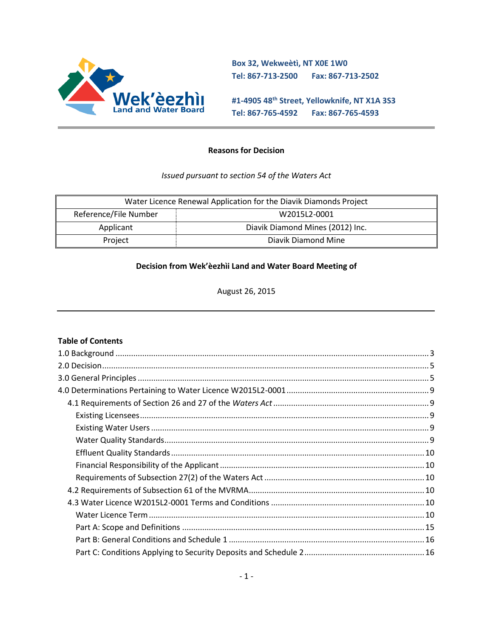

**Box 32, Wekweètì, NT X0E 1W0 Tel: 867-713-2500 Fax: 867-713-2502** 

**#1-4905 48th Street, Yellowknife, NT X1A 3S3 Tel: 867-765-4592 Fax: 867-765-4593**

### **Reasons for Decision**

#### *Issued pursuant to section 54 of the Waters Act*

| Water Licence Renewal Application for the Diavik Diamonds Project |                                  |  |
|-------------------------------------------------------------------|----------------------------------|--|
| Reference/File Number                                             | W2015L2-0001                     |  |
| Applicant                                                         | Diavik Diamond Mines (2012) Inc. |  |
| Project                                                           | Diavik Diamond Mine              |  |

#### **Decision from Wek'èezhìi Land and Water Board Meeting of**

August 26, 2015

#### **Table of Contents**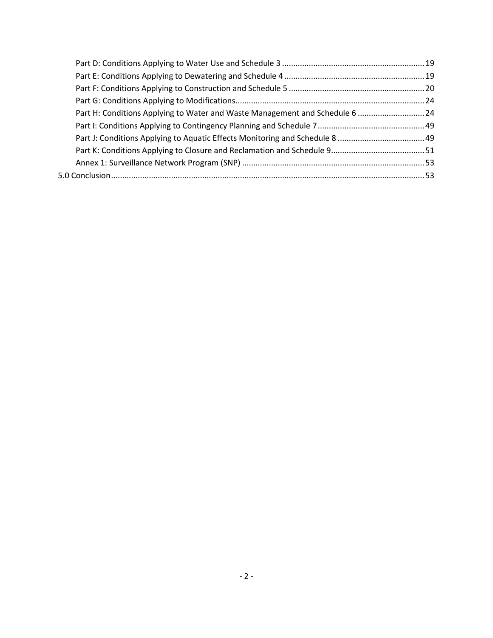|  | Part H: Conditions Applying to Water and Waste Management and Schedule 6  24 |  |
|--|------------------------------------------------------------------------------|--|
|  |                                                                              |  |
|  |                                                                              |  |
|  |                                                                              |  |
|  |                                                                              |  |
|  |                                                                              |  |
|  |                                                                              |  |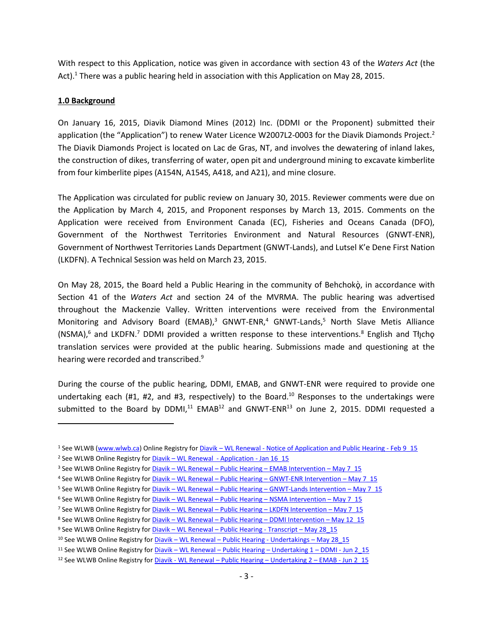With respect to this Application, notice was given in accordance with section 43 of the *Waters Act* (the Act).<sup>1</sup> There was a public hearing held in association with this Application on May 28, 2015.

#### <span id="page-2-0"></span>**1.0 Background**

 $\overline{a}$ 

On January 16, 2015, Diavik Diamond Mines (2012) Inc. (DDMI or the Proponent) submitted their application (the "Application") to renew Water Licence W2007L2-0003 for the Diavik Diamonds Project.<sup>2</sup> The Diavik Diamonds Project is located on Lac de Gras, NT, and involves the dewatering of inland lakes, the construction of dikes, transferring of water, open pit and underground mining to excavate kimberlite from four kimberlite pipes (A154N, A154S, A418, and A21), and mine closure.

The Application was circulated for public review on January 30, 2015. Reviewer comments were due on the Application by March 4, 2015, and Proponent responses by March 13, 2015. Comments on the Application were received from Environment Canada (EC), Fisheries and Oceans Canada (DFO), Government of the Northwest Territories Environment and Natural Resources (GNWT-ENR), Government of Northwest Territories Lands Department (GNWT-Lands), and Lutsel K'e Dene First Nation (LKDFN). A Technical Session was held on March 23, 2015.

On May 28, 2015, the Board held a Public Hearing in the community of Behchokò, in accordance with Section 41 of the *Waters Act* and section 24 of the MVRMA. The public hearing was advertised throughout the Mackenzie Valley. Written interventions were received from the Environmental Monitoring and Advisory Board (EMAB),<sup>3</sup> GNWT-ENR,<sup>4</sup> GNWT-Lands,<sup>5</sup> North Slave Metis Alliance (NSMA),<sup>6</sup> and LKDFN.<sup>7</sup> DDMI provided a written response to these interventions.<sup>8</sup> English and Tłįchą translation services were provided at the public hearing. Submissions made and questioning at the hearing were recorded and transcribed.<sup>9</sup>

During the course of the public hearing, DDMI, EMAB, and GNWT-ENR were required to provide one undertaking each (#1, #2, and #3, respectively) to the Board.<sup>10</sup> Responses to the undertakings were submitted to the Board by DDMI,<sup>11</sup> EMAB<sup>12</sup> and GNWT-ENR<sup>13</sup> on June 2, 2015. DDMI requested a

<sup>&</sup>lt;sup>1</sup> See WLWB [\(www.wlwb.ca\)](http://www.wlwb.ca/) Online Registry for Diavik – WL Renewal - [Notice of Application and Public Hearing -](http://www.mvlwb.ca/Boards/WLWB/Registry/2015/W2015L2-0001/Diavik%20-%20WL%20Renewal%20-%20Notice%20of%20Application%20and%20Public%20Hearing%20-%20Feb%209_15.pdf) Feb 9 15

<sup>&</sup>lt;sup>2</sup> See WLWB Online Registry for Diavik – [WL Renewal -](http://www.mvlwb.ca/Boards/WLWB/Registry/2015/W2015L2-0001/Diavik%20-%20WL%20Renewal%20-%20Application%20-%20Jan%2016_15.pdf) Application - Jan 16 15

<sup>&</sup>lt;sup>3</sup> See WLWB Online Registry for Diavik – WL Renewal – Public Hearing – [EMAB Intervention](http://www.mvlwb.ca/Boards/WLWB/Registry/2015/W2015L2-0001/Diavik%20-%20WL%20Renewal%20-%20Public%20Hearing%20-%20EMAB%20Intervention%20-%20May%207_15.pdf) – May 7\_15

<sup>4</sup> See WLWB Online Registry for Diavik – WL Renewal – Public Hearing – [GNWT-ENR Intervention](http://www.mvlwb.ca/Boards/WLWB/Registry/2015/W2015L2-0001/Diavik%20-%20WL%20Renewal%20-%20Public%20Hearing%20-%20GNWT-ENR%20Intervention%20-%20May%207_15.pdf) – May 7\_15

<sup>5</sup> See WLWB Online Registry for Diavik – WL Renewal – Public Hearing – [GNWT-Lands Intervention](http://www.mvlwb.ca/Boards/WLWB/Registry/2015/W2015L2-0001/Diavik%20-%20WL%20Renewal%20-%20Public%20Hearing%20-%20GNWT-Lands%20Inspector%20Intervention%20-%20May%207_15.pdf) – May 7\_15

<sup>&</sup>lt;sup>6</sup> See WLWB Online Registry for Diavik – WL Renewal – Public Hearing – [NSMA Intervention](http://www.mvlwb.ca/Boards/WLWB/Registry/2015/W2015L2-0001/Diavik%20-%20WL%20Renewal%20-%20Public%20Hearing%20-%20NSMA%20Intervention%20-%20May%207_15.pdf) – May 7\_15

<sup>&</sup>lt;sup>7</sup> See WLWB Online Registry for *Diavik – WL Renewal – Public Hearing – [LKDFN Intervention](http://www.mvlwb.ca/Boards/WLWB/Registry/2015/W2015L2-0001/Diavik%20-%20WL%20Renewal%20-%20Public%20Hearing%20-%20LKDFN%20Intervention%20-%20May%207_15.pdf) – May 7\_15* 

<sup>8</sup> See WLWB Online Registry for Diavik - WL Renewal - Public Hearing - [DDMI Intervention](http://www.mvlwb.ca/Boards/WLWB/Registry/2015/W2015L2-0001/Diavik%20-%20WL%20Renewal%20-%20Public%20Hearing%20-%20DDMI%20Intervention%20-%20May%2012_15.pdf) - May 12\_15

<sup>9</sup> See WLWB Online Registry for Diavik – WL Renewal – [Public Hearing -](http://www.mvlwb.ca/Boards/WLWB/Registry/2015/W2015L2-0001/Diavik%20-%20WL%20Renewal%20-%20Public%20Hearing%20-%20Transcript%20-%20May%2028_15.pdf) Transcript – May 28\_15

<sup>10</sup> See WLWB Online Registry for *Diavik* – WL Renewal – [Public Hearing -](http://www.mvlwb.ca/Boards/WLWB/Registry/2015/W2015L2-0001/Diavik%20-%20WL%20Renewal%20-%20Public%20Hearing%20-%20Undertakings%20-%20May%2028_15.pdf) Undertakings – May 28 15

<sup>11</sup> See WLWB Online Registry for Diavik – WL Renewal – [Public Hearing](http://www.mvlwb.ca/Boards/WLWB/Registry/2015/W2015L2-0001/Diavik%20-%20WL%20Renewal%20-%20Public%20Hearing%20-%20Undertaking%201%20-%20DDMI%20-%20Jun%202_15.pdf) – Undertaking 1 – DDMI - Jun 2\_15

<sup>12</sup> See WLWB Online Registry for Diavik - WL Renewal – [Public Hearing](http://www.mvlwb.ca/Boards/WLWB/Registry/2015/W2015L2-0001/Diavik%20-%20WL%20Renewal%20-%20Public%20Hearing%20-%20Undertaking%202%20-%20EMAB%20-%20Jun%202_15.pdf) – Undertaking 2 – EMAB - Jun 2\_15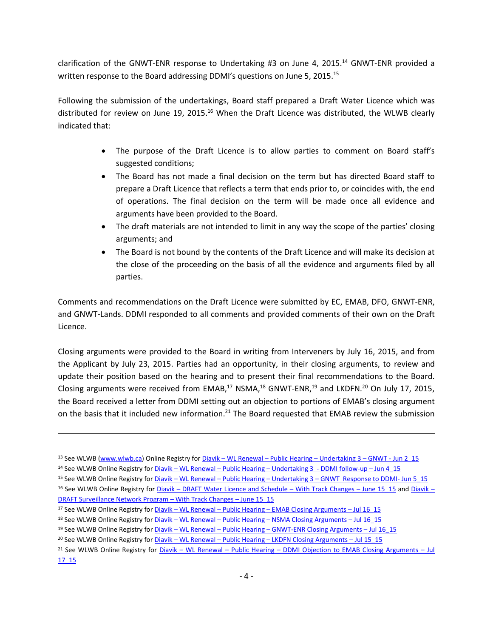clarification of the GNWT-ENR response to Undertaking #3 on June 4, 2015.<sup>14</sup> GNWT-ENR provided a written response to the Board addressing DDMI's questions on June 5, 2015.<sup>15</sup>

Following the submission of the undertakings, Board staff prepared a Draft Water Licence which was distributed for review on June 19, 2015.<sup>16</sup> When the Draft Licence was distributed, the WLWB clearly indicated that:

- The purpose of the Draft Licence is to allow parties to comment on Board staff's suggested conditions;
- The Board has not made a final decision on the term but has directed Board staff to prepare a Draft Licence that reflects a term that ends prior to, or coincides with, the end of operations. The final decision on the term will be made once all evidence and arguments have been provided to the Board.
- The draft materials are not intended to limit in any way the scope of the parties' closing arguments; and
- The Board is not bound by the contents of the Draft Licence and will make its decision at the close of the proceeding on the basis of all the evidence and arguments filed by all parties.

Comments and recommendations on the Draft Licence were submitted by EC, EMAB, DFO, GNWT-ENR, and GNWT-Lands. DDMI responded to all comments and provided comments of their own on the Draft Licence.

Closing arguments were provided to the Board in writing from Interveners by July 16, 2015, and from the Applicant by July 23, 2015. Parties had an opportunity, in their closing arguments, to review and update their position based on the hearing and to present their final recommendations to the Board. Closing arguments were received from EMAB, $^{17}$  NSMA, $^{18}$  GNWT-ENR, $^{19}$  and LKDFN. $^{20}$  On July 17, 2015, the Board received a letter from DDMI setting out an objection to portions of EMAB's closing argument on the basis that it included new information.<sup>21</sup> The Board requested that EMAB review the submission

<sup>13</sup> See WLWB [\(www.wlwb.ca\)](http://www.wlwb.ca/) Online Registry for Diavik – WL Renewal – [Public Hearing](http://www.mvlwb.ca/Boards/WLWB/Registry/2015/W2015L2-0001/Diavik%20-%20WL%20Renewal%20-%20Public%20Hearing%20-%20Undertaking%203%20-%20GNWT%20-%20Jun%202_15.pdf) – Undertaking 3 – GNWT - Jun 2\_15

<sup>14</sup> See WLWB Online Registry for Diavik – WL Renewal – Public Hearing – Undertaking 3 - [DDMI follow-up](http://www.mvlwb.ca/Boards/WLWB/Registry/2015/W2015L2-0001/Diavik%20-%20WL%20Renewal%20-%20Public%20Hearing%20-%20Undertaking%203%20-%20DDMI%20follow-up%20-%20Jun%204_15.pdf) – Jun 4\_15

<sup>15</sup> See WLWB Online Registry for Diavik – WL Renewal – Public Hearing – Undertaking 3 – [GNWT Response to DDMI-](http://www.mvlwb.ca/Boards/WLWB/Registry/2015/W2015L2-0001/Diavik%20-%20WL%20Renewal%20-%20Public%20Hearing%20-%20Undertaking%203%20-%20GNWT%20Response%20to%20DDMI%20-%20Jun%205_15.pdf) Jun 5\_15

<sup>&</sup>lt;sup>16</sup> See WLWB Online Registry for *Diavik* – [DRAFT Water Licence and Schedule](http://www.mvlwb.ca/Boards/WLWB/Registry/2015/W2015L2-0001/Diavik%20-%20DRAFT%20Water%20Licence%20and%20Schedules%20-%20WITH%20TRACK%20CHANGES%20-%20June%2015_15.pdf) – With Track Changes – June 15 15 and [Diavik](http://www.mvlwb.ca/Boards/WLWB/Registry/2015/W2015L2-0001/Diavik%20-%20DRAFT%20Surveillance%20Network%20Program%20-%20WITH%20TRACK%20CHANGES%20-%20June%2015_15.pdf) – [DRAFT Surveillance Network Program](http://www.mvlwb.ca/Boards/WLWB/Registry/2015/W2015L2-0001/Diavik%20-%20DRAFT%20Surveillance%20Network%20Program%20-%20WITH%20TRACK%20CHANGES%20-%20June%2015_15.pdf) - With Track Changes - June 15 15

<sup>17</sup> See WLWB Online Registry for Diavik – WL Renewal – Public Hearing – [EMAB Closing Arguments](http://www.mvlwb.ca/Boards/WLWB/Registry/2015/W2015L2-0001/Diavik%20-%20WL%20Renewal%20-%20Public%20Hearing%20-%20EMAB%20Closing%20Arguments%20-%20Jul%2016_15.pdf) – Jul 16 15

<sup>18</sup> See WLWB Online Registry for *Diavik* – WL Renewal – Public Hearing – [NSMA Closing Arguments](http://www.mvlwb.ca/Boards/WLWB/Registry/2015/W2015L2-0001/Diavik%20-%20WL%20Renewal%20-%20Public%20Hearing%20-%20NSMA%20Closing%20Arguments%20-%20Jul%2016_15.pdf) – Jul 16 15

<sup>19</sup> See WLWB Online Registry for Diavik – WL Renewal – Public Hearing – [GNWT-ENR Closing Arguments](http://www.mvlwb.ca/Boards/WLWB/Registry/2007/W2007L2-0003/Diavik%20-%20WL%20Renewal%20-%20Public%20Hearing%20-%20GNWT-ENR%20Closing%20Arguments%20-%20Jul%2016_15.pdf) – Jul 16\_15

<sup>&</sup>lt;sup>20</sup> See WLWB Online Registry for Diavik – WL Renewal – Public Hearing – [LKDFN Closing Arguments](http://www.mvlwb.ca/Boards/WLWB/Registry/2007/W2007L2-0003/Diavik%20-%20WL%20Renewal%20-%20Public%20Hearing%20-%20LKDFN%20Closing%20Arguments%20-%20Jul%2015_15.pdf) – Jul 15\_15

<sup>&</sup>lt;sup>21</sup> See WLWB Online Registry for *Diavik* – WL Renewal – Public Hearing – [DDMI Objection to EMAB Closing Arguments](http://www.mvlwb.ca/Boards/WLWB/Registry/2015/W2015L2-0001/Diavik%20-%20WL%20Renewal%20-%20Public%20Hearing%20-%20DDMI%20Objection%20to%20EMAB%20Closing%20Arguments%20-%20Jul%2017_15.pdf) – Jul [17\\_15](http://www.mvlwb.ca/Boards/WLWB/Registry/2015/W2015L2-0001/Diavik%20-%20WL%20Renewal%20-%20Public%20Hearing%20-%20DDMI%20Objection%20to%20EMAB%20Closing%20Arguments%20-%20Jul%2017_15.pdf)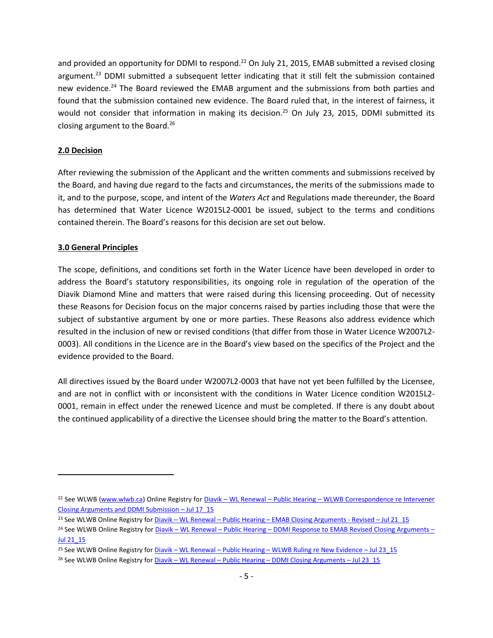and provided an opportunity for DDMI to respond.<sup>22</sup> On July 21, 2015, EMAB submitted a revised closing argument.<sup>23</sup> DDMI submitted a subsequent letter indicating that it still felt the submission contained new evidence.<sup>24</sup> The Board reviewed the EMAB argument and the submissions from both parties and found that the submission contained new evidence. The Board ruled that, in the interest of fairness, it would not consider that information in making its decision.<sup>25</sup> On July 23, 2015, DDMI submitted its closing argument to the Board.<sup>26</sup>

### <span id="page-4-0"></span>**2.0 Decision**

After reviewing the submission of the Applicant and the written comments and submissions received by the Board, and having due regard to the facts and circumstances, the merits of the submissions made to it, and to the purpose, scope, and intent of the *Waters Act* and Regulations made thereunder, the Board has determined that Water Licence W2015L2-0001 be issued, subject to the terms and conditions contained therein. The Board's reasons for this decision are set out below.

### <span id="page-4-1"></span>**3.0 General Principles**

 $\overline{a}$ 

The scope, definitions, and conditions set forth in the Water Licence have been developed in order to address the Board's statutory responsibilities, its ongoing role in regulation of the operation of the Diavik Diamond Mine and matters that were raised during this licensing proceeding. Out of necessity these Reasons for Decision focus on the major concerns raised by parties including those that were the subject of substantive argument by one or more parties. These Reasons also address evidence which resulted in the inclusion of new or revised conditions (that differ from those in Water Licence W2007L2- 0003). All conditions in the Licence are in the Board's view based on the specifics of the Project and the evidence provided to the Board.

All directives issued by the Board under W2007L2-0003 that have not yet been fulfilled by the Licensee, and are not in conflict with or inconsistent with the conditions in Water Licence condition W2015L2- 0001, remain in effect under the renewed Licence and must be completed. If there is any doubt about the continued applicability of a directive the Licensee should bring the matter to the Board's attention.

<sup>&</sup>lt;sup>22</sup> See WLWB [\(www.wlwb.ca\)](http://www.wlwb.ca/) Online Registry for Diavik – WL Renewal – Public Hearing – WLWB Correspondence re Intervener [Closing Arguments and DDMI Submission](http://www.mvlwb.ca/Boards/WLWB/Registry/2015/W2015L2-0001/Diavik%20-%20WL%20Renewal%20-%20Public%20Hearing%20-%20WLWB%20Correspondence%20re%20Intervener%20Closing%20Arguments%20and%20DDMI%20Submission%20-%20Jul%2017_15.pdf) – Jul 17\_15

<sup>&</sup>lt;sup>23</sup> See WLWB Online Registry for <u>Diavik – WL Renewal – Public Hearing – [EMAB Closing Arguments -](http://www.mvlwb.ca/Boards/WLWB/Registry/2015/W2015L2-0001/Diavik%20-%20WL%20Renewal%20-%20Public%20Hearing%20-%20EMAB%20Closing%20Arguments%20-%20Revised%20-%20Jul%2021_15.pdf) Revised – Jul 21\_15</u>

<sup>&</sup>lt;sup>24</sup> See WLWB Online Registry for Diavik – WL Renewal – Public Hearing – [DDMI Response to EMAB Revised Closing Arguments](http://www.mvlwb.ca/Boards/WLWB/Registry/2015/W2015L2-0001/Diavik%20-%20WL%20Renewal%20-%20Public%20Hearing%20-%20DDMI%20Response%20to%20EMAB%20Revised%20Closing%20Arguments%20-%20Jul%2021_15.pdf) – [Jul 21\\_15](http://www.mvlwb.ca/Boards/WLWB/Registry/2015/W2015L2-0001/Diavik%20-%20WL%20Renewal%20-%20Public%20Hearing%20-%20DDMI%20Response%20to%20EMAB%20Revised%20Closing%20Arguments%20-%20Jul%2021_15.pdf)

<sup>&</sup>lt;sup>25</sup> See WLWB Online Registry for Diavik – WL Renewal – Public Hearing – [WLWB Ruling re New Evidence](http://www.mvlwb.ca/Boards/WLWB/Registry/2015/W2015L2-0001/Diavik%20-%20WL%20Renewal%20-%20Public%20Hearing%20-%20WLWB%20Board%20Ruling%20re%20New%20Evidence%20-%20Jul%2023_15.pdf) – Jul 23\_15

<sup>&</sup>lt;sup>26</sup> See WLWB Online Registry for Diavik – WL Renewal – Public Hearing – [DDMI Closing Arguments](http://www.mvlwb.ca/Boards/WLWB/Registry/2015/W2015L2-0001/Diavik%20-%20WL%20Renewal%20-%20Public%20Hearing%20-%20DDMI%20Closing%20Arguments%20-%20Jul%2023_15.pdf) – Jul 23\_15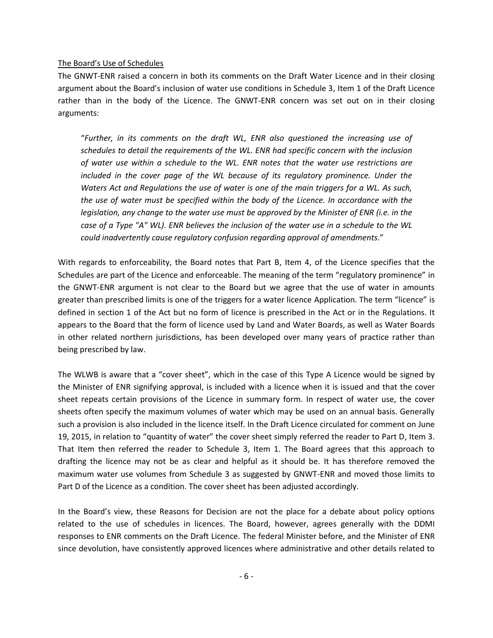#### The Board's Use of Schedules

The GNWT-ENR raised a concern in both its comments on the Draft Water Licence and in their closing argument about the Board's inclusion of water use conditions in Schedule 3, Item 1 of the Draft Licence rather than in the body of the Licence. The GNWT-ENR concern was set out on in their closing arguments:

"*Further, in its comments on the draft WL, ENR also questioned the increasing use of schedules to detail the requirements of the WL. ENR had specific concern with the inclusion of water use within a schedule to the WL. ENR notes that the water use restrictions are included in the cover page of the WL because of its regulatory prominence. Under the Waters Act and Regulations the use of water is one of the main triggers for a WL. As such, the use of water must be specified within the body of the Licence. In accordance with the legislation, any change to the water use must be approved by the Minister of ENR (i.e. in the case of a Type "A" WL). ENR believes the inclusion of the water use in a schedule to the WL could inadvertently cause regulatory confusion regarding approval of amendments*."

With regards to enforceability, the Board notes that Part B, Item 4, of the Licence specifies that the Schedules are part of the Licence and enforceable. The meaning of the term "regulatory prominence" in the GNWT-ENR argument is not clear to the Board but we agree that the use of water in amounts greater than prescribed limits is one of the triggers for a water licence Application. The term "licence" is defined in section 1 of the Act but no form of licence is prescribed in the Act or in the Regulations. It appears to the Board that the form of licence used by Land and Water Boards, as well as Water Boards in other related northern jurisdictions, has been developed over many years of practice rather than being prescribed by law.

The WLWB is aware that a "cover sheet", which in the case of this Type A Licence would be signed by the Minister of ENR signifying approval, is included with a licence when it is issued and that the cover sheet repeats certain provisions of the Licence in summary form. In respect of water use, the cover sheets often specify the maximum volumes of water which may be used on an annual basis. Generally such a provision is also included in the licence itself. In the Draft Licence circulated for comment on June 19, 2015, in relation to "quantity of water" the cover sheet simply referred the reader to Part D, Item 3. That Item then referred the reader to Schedule 3, Item 1. The Board agrees that this approach to drafting the licence may not be as clear and helpful as it should be. It has therefore removed the maximum water use volumes from Schedule 3 as suggested by GNWT-ENR and moved those limits to Part D of the Licence as a condition. The cover sheet has been adjusted accordingly.

In the Board's view, these Reasons for Decision are not the place for a debate about policy options related to the use of schedules in licences. The Board, however, agrees generally with the DDMI responses to ENR comments on the Draft Licence. The federal Minister before, and the Minister of ENR since devolution, have consistently approved licences where administrative and other details related to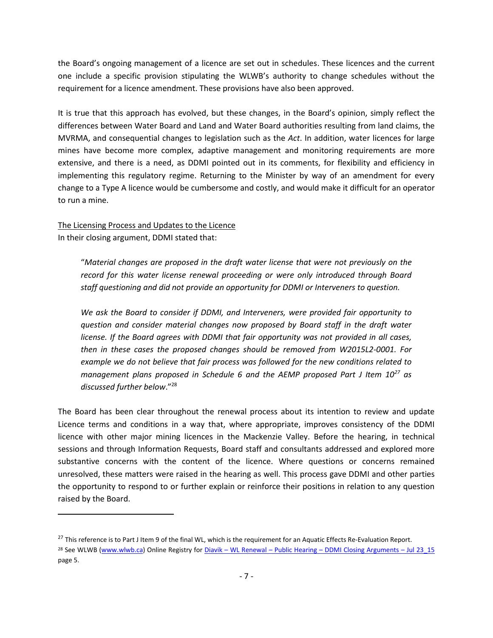the Board's ongoing management of a licence are set out in schedules. These licences and the current one include a specific provision stipulating the WLWB's authority to change schedules without the requirement for a licence amendment. These provisions have also been approved.

It is true that this approach has evolved, but these changes, in the Board's opinion, simply reflect the differences between Water Board and Land and Water Board authorities resulting from land claims, the MVRMA, and consequential changes to legislation such as the *Act*. In addition, water licences for large mines have become more complex, adaptive management and monitoring requirements are more extensive, and there is a need, as DDMI pointed out in its comments, for flexibility and efficiency in implementing this regulatory regime. Returning to the Minister by way of an amendment for every change to a Type A licence would be cumbersome and costly, and would make it difficult for an operator to run a mine.

The Licensing Process and Updates to the Licence In their closing argument, DDMI stated that:

 $\overline{a}$ 

"*Material changes are proposed in the draft water license that were not previously on the record for this water license renewal proceeding or were only introduced through Board staff questioning and did not provide an opportunity for DDMI or Interveners to question.* 

*We ask the Board to consider if DDMI, and Interveners, were provided fair opportunity to question and consider material changes now proposed by Board staff in the draft water license. If the Board agrees with DDMI that fair opportunity was not provided in all cases, then in these cases the proposed changes should be removed from W2015L2-0001. For example we do not believe that fair process was followed for the new conditions related to management plans proposed in Schedule 6 and the AEMP proposed Part J Item 10<sup>27</sup> as discussed further below*."<sup>28</sup>

The Board has been clear throughout the renewal process about its intention to review and update Licence terms and conditions in a way that, where appropriate, improves consistency of the DDMI licence with other major mining licences in the Mackenzie Valley. Before the hearing, in technical sessions and through Information Requests, Board staff and consultants addressed and explored more substantive concerns with the content of the licence. Where questions or concerns remained unresolved, these matters were raised in the hearing as well. This process gave DDMI and other parties the opportunity to respond to or further explain or reinforce their positions in relation to any question raised by the Board.

<sup>&</sup>lt;sup>27</sup> This reference is to Part J Item 9 of the final WL, which is the requirement for an Aquatic Effects Re-Evaluation Report. <sup>28</sup> See WLWB [\(www.wlwb.ca\)](http://www.wlwb.ca/) Online Registry for Diavik – WL Renewal – Public Hearing – [DDMI Closing Arguments](http://www.mvlwb.ca/Boards/WLWB/Registry/2015/W2015L2-0001/Diavik%20-%20WL%20Renewal%20-%20Public%20Hearing%20-%20DDMI%20Closing%20Arguments%20-%20Jul%2023_15.pdf) – Jul 23\_15 page 5.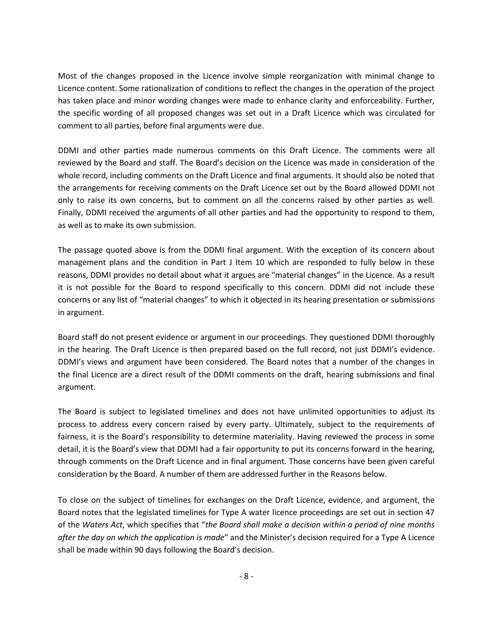Most of the changes proposed in the Licence involve simple reorganization with minimal change to Licence content. Some rationalization of conditions to reflect the changes in the operation of the project has taken place and minor wording changes were made to enhance clarity and enforceability. Further, the specific wording of all proposed changes was set out in a Draft Licence which was circulated for comment to all parties, before final arguments were due.

DDMI and other parties made numerous comments on this Draft Licence. The comments were all reviewed by the Board and staff. The Board's decision on the Licence was made in consideration of the whole record, including comments on the Draft Licence and final arguments. It should also be noted that the arrangements for receiving comments on the Draft Licence set out by the Board allowed DDMI not only to raise its own concerns, but to comment on all the concerns raised by other parties as well. Finally, DDMI received the arguments of all other parties and had the opportunity to respond to them, as well as to make its own submission.

The passage quoted above is from the DDMI final argument. With the exception of its concern about management plans and the condition in Part J Item 10 which are responded to fully below in these reasons, DDMI provides no detail about what it argues are "material changes" in the Licence. As a result it is not possible for the Board to respond specifically to this concern. DDMI did not include these concerns or any list of "material changes" to which it objected in its hearing presentation or submissions in argument.

Board staff do not present evidence or argument in our proceedings. They questioned DDMI thoroughly in the hearing. The Draft Licence is then prepared based on the full record, not just DDMI's evidence. DDMI's views and argument have been considered. The Board notes that a number of the changes in the final Licence are a direct result of the DDMI comments on the draft, hearing submissions and final argument.

The Board is subject to legislated timelines and does not have unlimited opportunities to adjust its process to address every concern raised by every party. Ultimately, subject to the requirements of fairness, it is the Board's responsibility to determine materiality. Having reviewed the process in some detail, it is the Board's view that DDMI had a fair opportunity to put its concerns forward in the hearing, through comments on the Draft Licence and in final argument. Those concerns have been given careful consideration by the Board. A number of them are addressed further in the Reasons below.

To close on the subject of timelines for exchanges on the Draft Licence, evidence, and argument, the Board notes that the legislated timelines for Type A water licence proceedings are set out in section 47 of the *Waters Act*, which specifies that "*the Board shall make a decision within a period of nine months after the day on which the application is made*" and the Minister's decision required for a Type A Licence shall be made within 90 days following the Board's decision.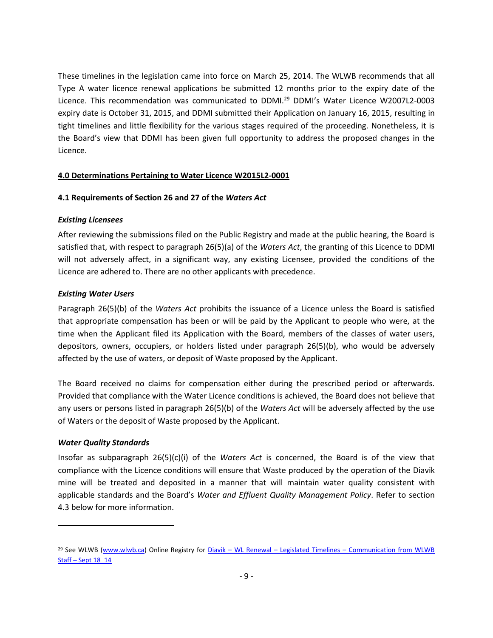These timelines in the legislation came into force on March 25, 2014. The WLWB recommends that all Type A water licence renewal applications be submitted 12 months prior to the expiry date of the Licence. This recommendation was communicated to DDMI.<sup>29</sup> DDMI's Water Licence W2007L2-0003 expiry date is October 31, 2015, and DDMI submitted their Application on January 16, 2015, resulting in tight timelines and little flexibility for the various stages required of the proceeding. Nonetheless, it is the Board's view that DDMI has been given full opportunity to address the proposed changes in the Licence.

#### <span id="page-8-0"></span>**4.0 Determinations Pertaining to Water Licence W2015L2-0001**

#### <span id="page-8-1"></span>**4.1 Requirements of Section 26 and 27 of the** *Waters Act*

#### <span id="page-8-2"></span>*Existing Licensees*

After reviewing the submissions filed on the Public Registry and made at the public hearing, the Board is satisfied that, with respect to paragraph 26(5)(a) of the *Waters Act*, the granting of this Licence to DDMI will not adversely affect, in a significant way, any existing Licensee, provided the conditions of the Licence are adhered to. There are no other applicants with precedence.

### <span id="page-8-3"></span>*Existing Water Users*

Paragraph 26(5)(b) of the *Waters Act* prohibits the issuance of a Licence unless the Board is satisfied that appropriate compensation has been or will be paid by the Applicant to people who were, at the time when the Applicant filed its Application with the Board, members of the classes of water users, depositors, owners, occupiers, or holders listed under paragraph 26(5)(b), who would be adversely affected by the use of waters, or deposit of Waste proposed by the Applicant.

The Board received no claims for compensation either during the prescribed period or afterwards. Provided that compliance with the Water Licence conditions is achieved, the Board does not believe that any users or persons listed in paragraph 26(5)(b) of the *Waters Act* will be adversely affected by the use of Waters or the deposit of Waste proposed by the Applicant.

#### <span id="page-8-4"></span>*Water Quality Standards*

 $\overline{a}$ 

Insofar as subparagraph 26(5)(c)(i) of the *Waters Act* is concerned, the Board is of the view that compliance with the Licence conditions will ensure that Waste produced by the operation of the Diavik mine will be treated and deposited in a manner that will maintain water quality consistent with applicable standards and the Board's *Water and Effluent Quality Management Policy*. Refer to section 4.3 below for more information.

<sup>&</sup>lt;sup>29</sup> See WLWB [\(www.wlwb.ca\)](http://www.wlwb.ca/) Online Registry for Diavik – WL Renewal – Legislated Timelines – Communication from WLWB Staff – [Sept 18\\_14](http://www.mvlwb.ca/Boards/WLWB/Registry/2015/W2015L2-0001/Diavik%20-%20WL%20Renewal%20-%20Legislated%20Timelines%20-%20Communication%20from%20WLWB%20Staff%20-%20Sept%2018_14.pdf)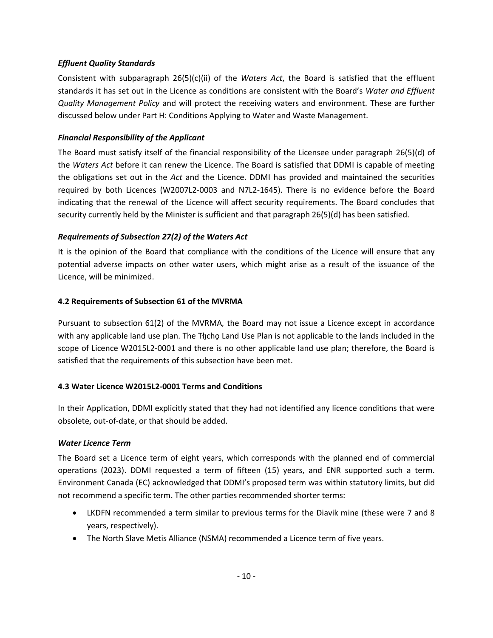### <span id="page-9-0"></span>*Effluent Quality Standards*

Consistent with subparagraph 26(5)(c)(ii) of the *Waters Act*, the Board is satisfied that the effluent standards it has set out in the Licence as conditions are consistent with the Board's *Water and Effluent Quality Management Policy* and will protect the receiving waters and environment. These are further discussed below under Part H: Conditions Applying to Water and Waste Management.

### <span id="page-9-1"></span>*Financial Responsibility of the Applicant*

The Board must satisfy itself of the financial responsibility of the Licensee under paragraph 26(5)(d) of the *Waters Act* before it can renew the Licence. The Board is satisfied that DDMI is capable of meeting the obligations set out in the *Act* and the Licence. DDMI has provided and maintained the securities required by both Licences (W2007L2-0003 and N7L2-1645). There is no evidence before the Board indicating that the renewal of the Licence will affect security requirements. The Board concludes that security currently held by the Minister is sufficient and that paragraph 26(5)(d) has been satisfied.

### <span id="page-9-2"></span>*Requirements of Subsection 27(2) of the Waters Act*

It is the opinion of the Board that compliance with the conditions of the Licence will ensure that any potential adverse impacts on other water users, which might arise as a result of the issuance of the Licence, will be minimized.

### <span id="page-9-3"></span>**4.2 Requirements of Subsection 61 of the MVRMA**

Pursuant to subsection 61(2) of the MVRMA*,* the Board may not issue a Licence except in accordance with any applicable land use plan. The Tłįchǫ Land Use Plan is not applicable to the lands included in the scope of Licence W2015L2-0001 and there is no other applicable land use plan; therefore, the Board is satisfied that the requirements of this subsection have been met.

#### <span id="page-9-4"></span>**4.3 Water Licence W2015L2-0001 Terms and Conditions**

In their Application, DDMI explicitly stated that they had not identified any licence conditions that were obsolete, out-of-date, or that should be added.

#### <span id="page-9-5"></span>*Water Licence Term*

The Board set a Licence term of eight years, which corresponds with the planned end of commercial operations (2023). DDMI requested a term of fifteen (15) years, and ENR supported such a term. Environment Canada (EC) acknowledged that DDMI's proposed term was within statutory limits, but did not recommend a specific term. The other parties recommended shorter terms:

- LKDFN recommended a term similar to previous terms for the Diavik mine (these were 7 and 8 years, respectively).
- The North Slave Metis Alliance (NSMA) recommended a Licence term of five years.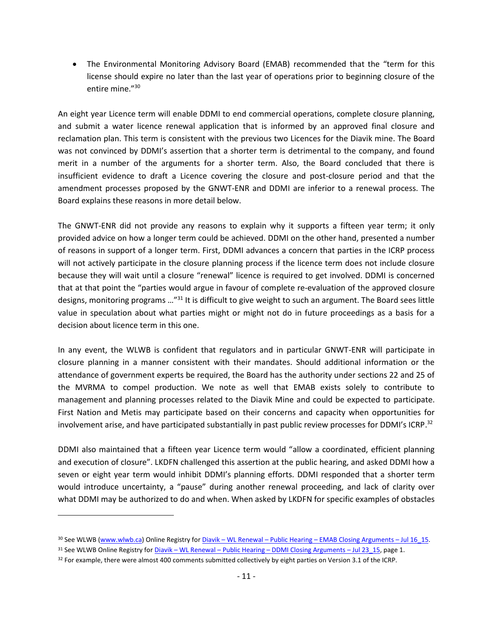• The Environmental Monitoring Advisory Board (EMAB) recommended that the "term for this license should expire no later than the last year of operations prior to beginning closure of the entire mine."<sup>30</sup>

An eight year Licence term will enable DDMI to end commercial operations, complete closure planning, and submit a water licence renewal application that is informed by an approved final closure and reclamation plan. This term is consistent with the previous two Licences for the Diavik mine. The Board was not convinced by DDMI's assertion that a shorter term is detrimental to the company, and found merit in a number of the arguments for a shorter term. Also, the Board concluded that there is insufficient evidence to draft a Licence covering the closure and post-closure period and that the amendment processes proposed by the GNWT-ENR and DDMI are inferior to a renewal process. The Board explains these reasons in more detail below.

The GNWT-ENR did not provide any reasons to explain why it supports a fifteen year term; it only provided advice on how a longer term could be achieved. DDMI on the other hand, presented a number of reasons in support of a longer term. First, DDMI advances a concern that parties in the ICRP process will not actively participate in the closure planning process if the licence term does not include closure because they will wait until a closure "renewal" licence is required to get involved. DDMI is concerned that at that point the "parties would argue in favour of complete re-evaluation of the approved closure designs, monitoring programs …"<sup>31</sup> It is difficult to give weight to such an argument. The Board sees little value in speculation about what parties might or might not do in future proceedings as a basis for a decision about licence term in this one.

In any event, the WLWB is confident that regulators and in particular GNWT-ENR will participate in closure planning in a manner consistent with their mandates. Should additional information or the attendance of government experts be required, the Board has the authority under sections 22 and 25 of the MVRMA to compel production. We note as well that EMAB exists solely to contribute to management and planning processes related to the Diavik Mine and could be expected to participate. First Nation and Metis may participate based on their concerns and capacity when opportunities for involvement arise, and have participated substantially in past public review processes for DDMI's ICRP.<sup>32</sup>

DDMI also maintained that a fifteen year Licence term would "allow a coordinated, efficient planning and execution of closure". LKDFN challenged this assertion at the public hearing, and asked DDMI how a seven or eight year term would inhibit DDMI's planning efforts. DDMI responded that a shorter term would introduce uncertainty, a "pause" during another renewal proceeding, and lack of clarity over what DDMI may be authorized to do and when. When asked by LKDFN for specific examples of obstacles

<sup>30</sup> See WLWB [\(www.wlwb.ca\)](http://www.wlwb.ca/) Online Registry for *Diavik* – WL Renewal – Public Hearing – [EMAB Closing Arguments](http://www.mvlwb.ca/Boards/WLWB/Registry/2015/W2015L2-0001/Diavik%20-%20WL%20Renewal%20-%20Public%20Hearing%20-%20EMAB%20Closing%20Arguments%20-%20Jul%2016_15.pdf) – Jul 16 15.

<sup>31</sup> See WLWB Online Registry for Diavik – WL Renewal – Public Hearing – [DDMI Closing Arguments](http://www.mvlwb.ca/Boards/WLWB/Registry/2015/W2015L2-0001/Diavik%20-%20WL%20Renewal%20-%20Public%20Hearing%20-%20DDMI%20Closing%20Arguments%20-%20Jul%2023_15.pdf) – Jul 23\_15, page 1.

<sup>&</sup>lt;sup>32</sup> For example, there were almost 400 comments submitted collectively by eight parties on Version 3.1 of the ICRP.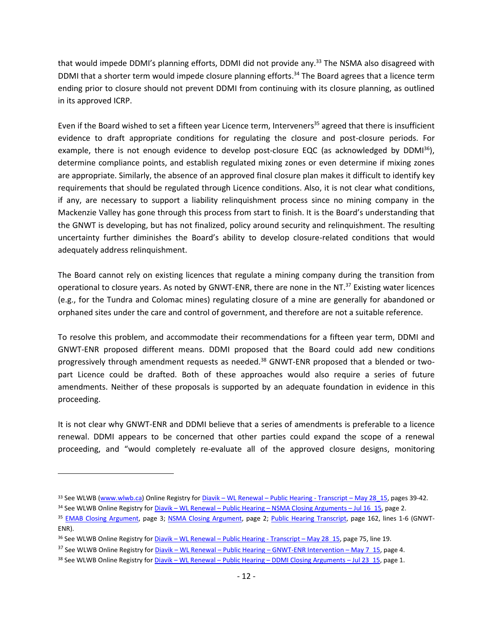that would impede DDMI's planning efforts, DDMI did not provide any.<sup>33</sup> The NSMA also disagreed with DDMI that a shorter term would impede closure planning efforts.<sup>34</sup> The Board agrees that a licence term ending prior to closure should not prevent DDMI from continuing with its closure planning, as outlined in its approved ICRP.

Even if the Board wished to set a fifteen year Licence term, Interveners<sup>35</sup> agreed that there is insufficient evidence to draft appropriate conditions for regulating the closure and post-closure periods. For example, there is not enough evidence to develop post-closure EQC (as acknowledged by  $DDMI^{36}$ ), determine compliance points, and establish regulated mixing zones or even determine if mixing zones are appropriate. Similarly, the absence of an approved final closure plan makes it difficult to identify key requirements that should be regulated through Licence conditions. Also, it is not clear what conditions, if any, are necessary to support a liability relinquishment process since no mining company in the Mackenzie Valley has gone through this process from start to finish. It is the Board's understanding that the GNWT is developing, but has not finalized, policy around security and relinquishment. The resulting uncertainty further diminishes the Board's ability to develop closure-related conditions that would adequately address relinquishment.

The Board cannot rely on existing licences that regulate a mining company during the transition from operational to closure years. As noted by GNWT-ENR, there are none in the NT.<sup>37</sup> Existing water licences (e.g., for the Tundra and Colomac mines) regulating closure of a mine are generally for abandoned or orphaned sites under the care and control of government, and therefore are not a suitable reference.

To resolve this problem, and accommodate their recommendations for a fifteen year term, DDMI and GNWT-ENR proposed different means. DDMI proposed that the Board could add new conditions progressively through amendment requests as needed.<sup>38</sup> GNWT-ENR proposed that a blended or twopart Licence could be drafted. Both of these approaches would also require a series of future amendments. Neither of these proposals is supported by an adequate foundation in evidence in this proceeding.

It is not clear why GNWT-ENR and DDMI believe that a series of amendments is preferable to a licence renewal. DDMI appears to be concerned that other parties could expand the scope of a renewal proceeding, and "would completely re-evaluate all of the approved closure designs, monitoring

<sup>33</sup> See WLWB [\(www.wlwb.ca\)](http://www.wlwb.ca/) Online Registry for Diavik – WL Renewal – [Public Hearing -](http://www.mvlwb.ca/Boards/WLWB/Registry/2015/W2015L2-0001/Diavik%20-%20WL%20Renewal%20-%20Public%20Hearing%20-%20Transcript%20-%20May%2028_15.pdf) Transcript – May 28\_15, pages 39-42.

<sup>34</sup> See WLWB Online Registry for Diavik – WL Renewal – Public Hearing – [NSMA Closing Arguments](http://www.mvlwb.ca/Boards/WLWB/Registry/2015/W2015L2-0001/Diavik%20-%20WL%20Renewal%20-%20Public%20Hearing%20-%20NSMA%20Closing%20Arguments%20-%20Jul%2016_15.pdf) – Jul 16\_15, page 2.

<sup>35</sup> [EMAB Closing Argument,](http://www.mvlwb.ca/Boards/WLWB/Registry/2015/W2015L2-0001/Diavik%20-%20WL%20Renewal%20-%20Public%20Hearing%20-%20EMAB%20Closing%20Arguments%20-%20Jul%2016_15.pdf) page 3; [NSMA Closing Argument,](http://www.mvlwb.ca/Boards/WLWB/Registry/2015/W2015L2-0001/Diavik%20-%20WL%20Renewal%20-%20Public%20Hearing%20-%20NSMA%20Closing%20Arguments%20-%20Jul%2016_15.pdf) page 2; [Public Hearing Transcript,](http://www.mvlwb.ca/Boards/WLWB/Registry/2015/W2015L2-0001/Diavik%20-%20WL%20Renewal%20-%20Public%20Hearing%20-%20Transcript%20-%20May%2028_15.pdf) page 162, lines 1-6 (GNWT-ENR).

<sup>&</sup>lt;sup>36</sup> See WLWB Online Registry for Diavik – WL Renewal – [Public Hearing -](http://www.mvlwb.ca/Boards/WLWB/Registry/2015/W2015L2-0001/Diavik%20-%20WL%20Renewal%20-%20Public%20Hearing%20-%20Transcript%20-%20May%2028_15.pdf) Transcript – May 28\_15, page 75, line 19.

<sup>37</sup> See WLWB Online Registry for Diavik – WL Renewal – Public Hearing – [GNWT-ENR Intervention](http://www.mvlwb.ca/Boards/WLWB/Registry/2015/W2015L2-0001/Diavik%20-%20WL%20Renewal%20-%20Public%20Hearing%20-%20GNWT-ENR%20Intervention%20-%20May%207_15.pdf) – May 7\_15, page 4.

<sup>38</sup> See WLWB Online Registry for Diavik – WL Renewal – Public Hearing – [DDMI Closing Arguments](http://www.mvlwb.ca/Boards/WLWB/Registry/2015/W2015L2-0001/Diavik%20-%20WL%20Renewal%20-%20Public%20Hearing%20-%20DDMI%20Closing%20Arguments%20-%20Jul%2023_15.pdf) – Jul 23\_15, page 1.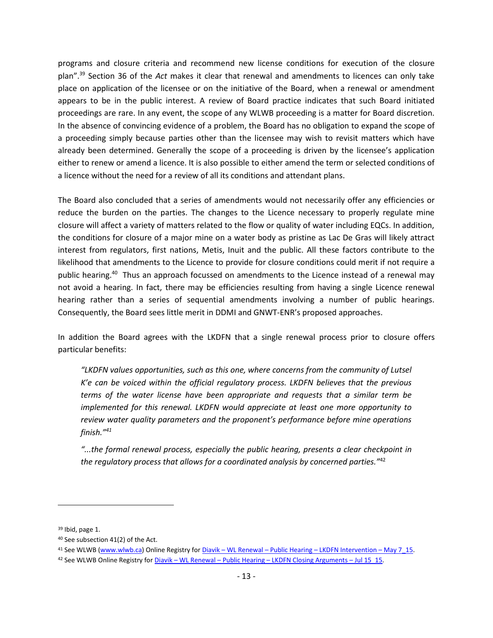programs and closure criteria and recommend new license conditions for execution of the closure plan".<sup>39</sup> Section 36 of the *Act* makes it clear that renewal and amendments to licences can only take place on application of the licensee or on the initiative of the Board, when a renewal or amendment appears to be in the public interest. A review of Board practice indicates that such Board initiated proceedings are rare. In any event, the scope of any WLWB proceeding is a matter for Board discretion. In the absence of convincing evidence of a problem, the Board has no obligation to expand the scope of a proceeding simply because parties other than the licensee may wish to revisit matters which have already been determined. Generally the scope of a proceeding is driven by the licensee's application either to renew or amend a licence. It is also possible to either amend the term or selected conditions of a licence without the need for a review of all its conditions and attendant plans.

The Board also concluded that a series of amendments would not necessarily offer any efficiencies or reduce the burden on the parties. The changes to the Licence necessary to properly regulate mine closure will affect a variety of matters related to the flow or quality of water including EQCs. In addition, the conditions for closure of a major mine on a water body as pristine as Lac De Gras will likely attract interest from regulators, first nations, Metis, Inuit and the public. All these factors contribute to the likelihood that amendments to the Licence to provide for closure conditions could merit if not require a public hearing.<sup>40</sup> Thus an approach focussed on amendments to the Licence instead of a renewal may not avoid a hearing. In fact, there may be efficiencies resulting from having a single Licence renewal hearing rather than a series of sequential amendments involving a number of public hearings. Consequently, the Board sees little merit in DDMI and GNWT-ENR's proposed approaches.

In addition the Board agrees with the LKDFN that a single renewal process prior to closure offers particular benefits:

*"LKDFN values opportunities, such as this one, where concerns from the community of Lutsel K'e can be voiced within the official regulatory process. LKDFN believes that the previous terms of the water license have been appropriate and requests that a similar term be implemented for this renewal. LKDFN would appreciate at least one more opportunity to review water quality parameters and the proponent's performance before mine operations finish."<sup>41</sup>*

*"...the formal renewal process, especially the public hearing, presents a clear checkpoint in the regulatory process that allows for a coordinated analysis by concerned parties."*<sup>42</sup>

<sup>39</sup> Ibid, page 1.

<sup>40</sup> See subsection 41(2) of the Act.

<sup>41</sup> See WLWB [\(www.wlwb.ca\)](http://www.wlwb.ca/) Online Registry for Diavik – WL Renewal – Public Hearing – [LKDFN Intervention](http://www.mvlwb.ca/Boards/WLWB/Registry/2015/W2015L2-0001/Diavik%20-%20WL%20Renewal%20-%20Public%20Hearing%20-%20LKDFN%20Intervention%20-%20May%207_15.pdf) – May 7\_15.

<sup>42</sup> See WLWB Online Registry for Diavik – WL Renewal – Public Hearing – [LKDFN Closing Arguments](http://www.mvlwb.ca/Boards/WLWB/Registry/2007/W2007L2-0003/Diavik%20-%20WL%20Renewal%20-%20Public%20Hearing%20-%20LKDFN%20Closing%20Arguments%20-%20Jul%2015_15.pdf) – Jul 15\_15.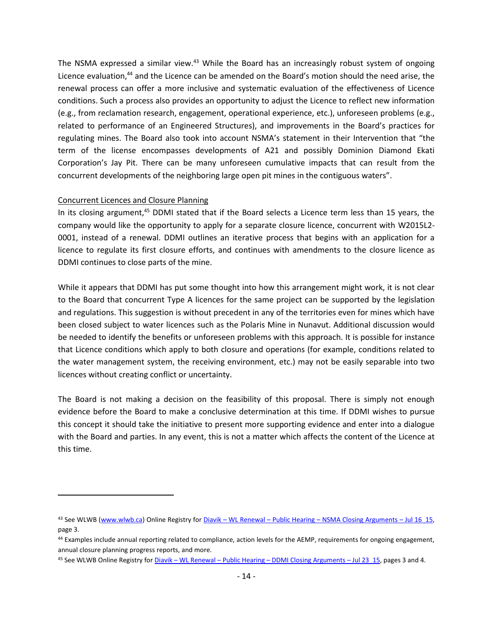The NSMA expressed a similar view.<sup>43</sup> While the Board has an increasingly robust system of ongoing Licence evaluation,<sup>44</sup> and the Licence can be amended on the Board's motion should the need arise, the renewal process can offer a more inclusive and systematic evaluation of the effectiveness of Licence conditions. Such a process also provides an opportunity to adjust the Licence to reflect new information (e.g., from reclamation research, engagement, operational experience, etc.), unforeseen problems (e.g., related to performance of an Engineered Structures), and improvements in the Board's practices for regulating mines. The Board also took into account NSMA's statement in their Intervention that "the term of the license encompasses developments of A21 and possibly Dominion Diamond Ekati Corporation's Jay Pit. There can be many unforeseen cumulative impacts that can result from the concurrent developments of the neighboring large open pit mines in the contiguous waters".

#### Concurrent Licences and Closure Planning

 $\overline{a}$ 

In its closing argument,<sup>45</sup> DDMI stated that if the Board selects a Licence term less than 15 years, the company would like the opportunity to apply for a separate closure licence, concurrent with W2015L2- 0001, instead of a renewal. DDMI outlines an iterative process that begins with an application for a licence to regulate its first closure efforts, and continues with amendments to the closure licence as DDMI continues to close parts of the mine.

While it appears that DDMI has put some thought into how this arrangement might work, it is not clear to the Board that concurrent Type A licences for the same project can be supported by the legislation and regulations. This suggestion is without precedent in any of the territories even for mines which have been closed subject to water licences such as the Polaris Mine in Nunavut. Additional discussion would be needed to identify the benefits or unforeseen problems with this approach. It is possible for instance that Licence conditions which apply to both closure and operations (for example, conditions related to the water management system, the receiving environment, etc.) may not be easily separable into two licences without creating conflict or uncertainty.

The Board is not making a decision on the feasibility of this proposal. There is simply not enough evidence before the Board to make a conclusive determination at this time. If DDMI wishes to pursue this concept it should take the initiative to present more supporting evidence and enter into a dialogue with the Board and parties. In any event, this is not a matter which affects the content of the Licence at this time.

<sup>43</sup> See WLWB [\(www.wlwb.ca\)](http://www.wlwb.ca/) Online Registry for Diavik – WL Renewal – Public Hearing – [NSMA Closing Arguments](http://www.mvlwb.ca/Boards/WLWB/Registry/2015/W2015L2-0001/Diavik%20-%20WL%20Renewal%20-%20Public%20Hearing%20-%20NSMA%20Closing%20Arguments%20-%20Jul%2016_15.pdf) – Jul 16\_15, page 3.

<sup>44</sup> Examples include annual reporting related to compliance, action levels for the AEMP, requirements for ongoing engagement, annual closure planning progress reports, and more.

<sup>45</sup> See WLWB Online Registry for Diavik – WL Renewal – Public Hearing – [DDMI Closing Arguments](http://www.mvlwb.ca/Boards/WLWB/Registry/2015/W2015L2-0001/Diavik%20-%20WL%20Renewal%20-%20Public%20Hearing%20-%20DDMI%20Closing%20Arguments%20-%20Jul%2023_15.pdf) – Jul 23\_15, pages 3 and 4.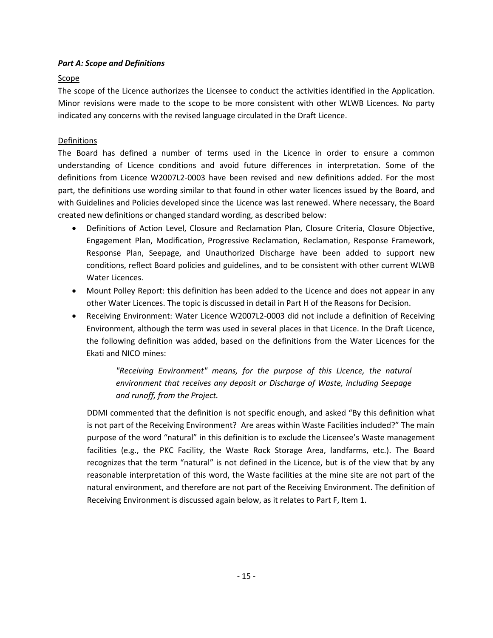# <span id="page-14-0"></span>*Part A: Scope and Definitions*

# Scope

The scope of the Licence authorizes the Licensee to conduct the activities identified in the Application. Minor revisions were made to the scope to be more consistent with other WLWB Licences. No party indicated any concerns with the revised language circulated in the Draft Licence.

# Definitions

The Board has defined a number of terms used in the Licence in order to ensure a common understanding of Licence conditions and avoid future differences in interpretation. Some of the definitions from Licence W2007L2-0003 have been revised and new definitions added. For the most part, the definitions use wording similar to that found in other water licences issued by the Board, and with Guidelines and Policies developed since the Licence was last renewed. Where necessary, the Board created new definitions or changed standard wording, as described below:

- Definitions of Action Level, Closure and Reclamation Plan, Closure Criteria, Closure Objective, Engagement Plan, Modification, Progressive Reclamation, Reclamation, Response Framework, Response Plan, Seepage, and Unauthorized Discharge have been added to support new conditions, reflect Board policies and guidelines, and to be consistent with other current WLWB Water Licences.
- Mount Polley Report: this definition has been added to the Licence and does not appear in any other Water Licences. The topic is discussed in detail in Part H of the Reasons for Decision.
- Receiving Environment: Water Licence W2007L2-0003 did not include a definition of Receiving Environment, although the term was used in several places in that Licence. In the Draft Licence, the following definition was added, based on the definitions from the Water Licences for the Ekati and NICO mines:

*"Receiving Environment" means, for the purpose of this Licence, the natural environment that receives any deposit or Discharge of Waste, including Seepage and runoff, from the Project.*

DDMI commented that the definition is not specific enough, and asked "By this definition what is not part of the Receiving Environment? Are areas within Waste Facilities included?" The main purpose of the word "natural" in this definition is to exclude the Licensee's Waste management facilities (e.g., the PKC Facility, the Waste Rock Storage Area, landfarms, etc.). The Board recognizes that the term "natural" is not defined in the Licence, but is of the view that by any reasonable interpretation of this word, the Waste facilities at the mine site are not part of the natural environment, and therefore are not part of the Receiving Environment. The definition of Receiving Environment is discussed again below, as it relates to Part F, Item 1.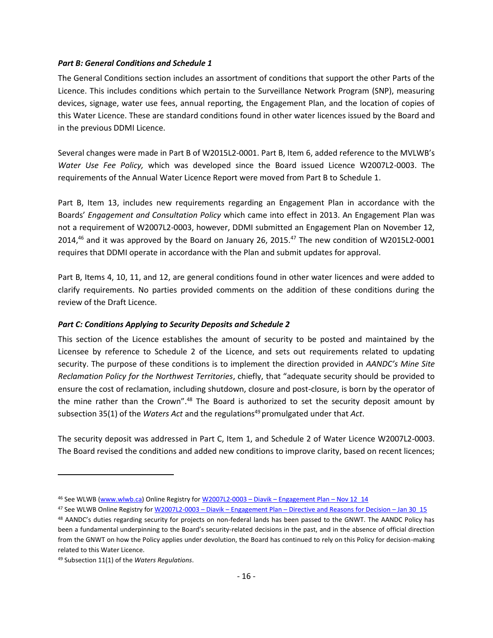#### <span id="page-15-0"></span>*Part B: General Conditions and Schedule 1*

The General Conditions section includes an assortment of conditions that support the other Parts of the Licence. This includes conditions which pertain to the Surveillance Network Program (SNP), measuring devices, signage, water use fees, annual reporting, the Engagement Plan, and the location of copies of this Water Licence. These are standard conditions found in other water licences issued by the Board and in the previous DDMI Licence.

Several changes were made in Part B of W2015L2-0001. Part B, Item 6, added reference to the MVLWB's *Water Use Fee Policy,* which was developed since the Board issued Licence W2007L2-0003. The requirements of the Annual Water Licence Report were moved from Part B to Schedule 1.

Part B, Item 13, includes new requirements regarding an Engagement Plan in accordance with the Boards' *Engagement and Consultation Policy* which came into effect in 2013. An Engagement Plan was not a requirement of W2007L2-0003, however, DDMI submitted an Engagement Plan on November 12, 2014,<sup>46</sup> and it was approved by the Board on January 26, 2015.<sup>47</sup> The new condition of W2015L2-0001 requires that DDMI operate in accordance with the Plan and submit updates for approval.

Part B, Items 4, 10, 11, and 12, are general conditions found in other water licences and were added to clarify requirements. No parties provided comments on the addition of these conditions during the review of the Draft Licence.

#### <span id="page-15-1"></span>*Part C: Conditions Applying to Security Deposits and Schedule 2*

This section of the Licence establishes the amount of security to be posted and maintained by the Licensee by reference to Schedule 2 of the Licence, and sets out requirements related to updating security. The purpose of these conditions is to implement the direction provided in *AANDC's Mine Site Reclamation Policy for the Northwest Territories*, chiefly, that "adequate security should be provided to ensure the cost of reclamation, including shutdown, closure and post-closure, is born by the operator of the mine rather than the Crown". <sup>48</sup> The Board is authorized to set the security deposit amount by subsection 35(1) of the *Waters Act* and the regulations<sup>49</sup> promulgated under that *Act*.

The security deposit was addressed in Part C, Item 1, and Schedule 2 of Water Licence W2007L2-0003. The Board revised the conditions and added new conditions to improve clarity, based on recent licences;

<sup>46</sup> See WLWB [\(www.wlwb.ca\)](http://www.wlwb.ca/) Online Registry for W2007L2-0003 - Diavik - [Engagement Plan](http://www.mvlwb.ca/Boards/WLWB/Registry/2007/W2007L2-0003/W2007L2-0003%20-%20Diavik%20-%20Engagement%20Plan%20-%20Nov%2012_14.pdf) - Nov 12\_14

<sup>47</sup> See WLWB Online Registry for W2007L2-0003 - Diavik - Engagement Plan - [Directive and Reasons for Decision](http://www.mvlwb.ca/Boards/WLWB/Registry/2007/W2007L2-0003/W2007L2-0003%20-%20Diavik%20-%20Engagement%20Plan%20-%20Directive%20and%20Reasons%20for%20Decision%20-%20Jan%2030%20_15.pdf) - Jan 30 15

<sup>48</sup> AANDC's duties regarding security for projects on non-federal lands has been passed to the GNWT. The AANDC Policy has been a fundamental underpinning to the Board's security-related decisions in the past, and in the absence of official direction from the GNWT on how the Policy applies under devolution, the Board has continued to rely on this Policy for decision-making related to this Water Licence.

<sup>49</sup> Subsection 11(1) of the *Waters Regulations*.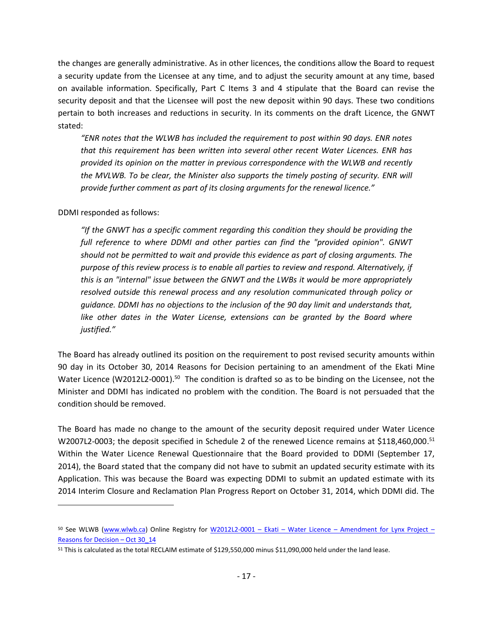the changes are generally administrative. As in other licences, the conditions allow the Board to request a security update from the Licensee at any time, and to adjust the security amount at any time, based on available information. Specifically, Part C Items 3 and 4 stipulate that the Board can revise the security deposit and that the Licensee will post the new deposit within 90 days. These two conditions pertain to both increases and reductions in security. In its comments on the draft Licence, the GNWT stated:

*"ENR notes that the WLWB has included the requirement to post within 90 days. ENR notes that this requirement has been written into several other recent Water Licences. ENR has provided its opinion on the matter in previous correspondence with the WLWB and recently*  the MVLWB. To be clear, the Minister also supports the timely posting of security. ENR will *provide further comment as part of its closing arguments for the renewal licence."*

DDMI responded as follows:

 $\overline{a}$ 

*"If the GNWT has a specific comment regarding this condition they should be providing the full reference to where DDMI and other parties can find the "provided opinion". GNWT should not be permitted to wait and provide this evidence as part of closing arguments. The purpose of this review process is to enable all parties to review and respond. Alternatively, if this is an "internal" issue between the GNWT and the LWBs it would be more appropriately resolved outside this renewal process and any resolution communicated through policy or guidance. DDMI has no objections to the inclusion of the 90 day limit and understands that,*  like other dates in the Water License, extensions can be granted by the Board where *justified."*

The Board has already outlined its position on the requirement to post revised security amounts within 90 day in its October 30, 2014 Reasons for Decision pertaining to an amendment of the Ekati Mine Water Licence (W2012L2-0001).<sup>50</sup> The condition is drafted so as to be binding on the Licensee, not the Minister and DDMI has indicated no problem with the condition. The Board is not persuaded that the condition should be removed.

The Board has made no change to the amount of the security deposit required under Water Licence W2007L2-0003; the deposit specified in Schedule 2 of the renewed Licence remains at \$118,460,000.<sup>51</sup> Within the Water Licence Renewal Questionnaire that the Board provided to DDMI (September 17, 2014), the Board stated that the company did not have to submit an updated security estimate with its Application. This was because the Board was expecting DDMI to submit an updated estimate with its 2014 Interim Closure and Reclamation Plan Progress Report on October 31, 2014, which DDMI did. The

<sup>50</sup> See WLWB [\(www.wlwb.ca\)](http://www.wlwb.ca/) Online Registry for W2012L2-0001 – Ekati – Water Licence – [Amendment for Lynx Project](http://www.mvlwb.ca/Boards/WLWB/Registry/2012/W2012L2-0001/W2012L2-0001%20-%20Ekati%20-%20Water%20Licence%20-%20Amendment%20RE%20Security%20Timing%20-%20Reasons%20for%20Decision%20-%20Oct%2030_14.pdf) – [Reasons for Decision](http://www.mvlwb.ca/Boards/WLWB/Registry/2012/W2012L2-0001/W2012L2-0001%20-%20Ekati%20-%20Water%20Licence%20-%20Amendment%20RE%20Security%20Timing%20-%20Reasons%20for%20Decision%20-%20Oct%2030_14.pdf) – Oct 30\_14

<sup>&</sup>lt;sup>51</sup> This is calculated as the total RECLAIM estimate of \$129,550,000 minus \$11,090,000 held under the land lease.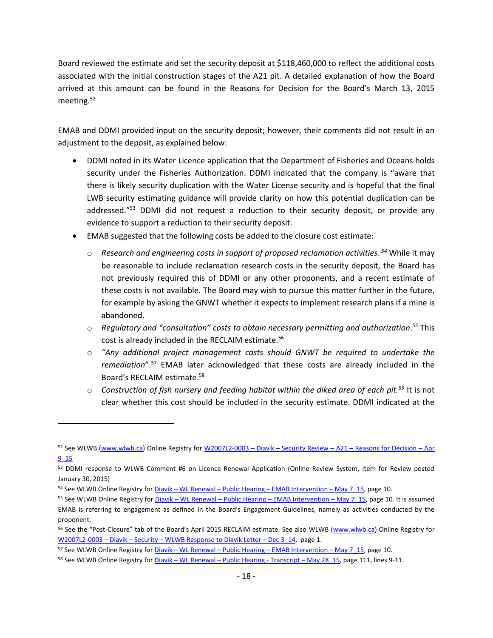Board reviewed the estimate and set the security deposit at \$118,460,000 to reflect the additional costs associated with the initial construction stages of the A21 pit. A detailed explanation of how the Board arrived at this amount can be found in the Reasons for Decision for the Board's March 13, 2015 meeting.<sup>52</sup>

EMAB and DDMI provided input on the security deposit; however, their comments did not result in an adjustment to the deposit, as explained below:

- DDMI noted in its Water Licence application that the Department of Fisheries and Oceans holds security under the Fisheries Authorization. DDMI indicated that the company is "aware that there is likely security duplication with the Water License security and is hopeful that the final LWB security estimating guidance will provide clarity on how this potential duplication can be addressed."<sup>53</sup> DDMI did not request a reduction to their security deposit, or provide any evidence to support a reduction to their security deposit.
- EMAB suggested that the following costs be added to the closure cost estimate:
	- o *Research and engineering costs in support of proposed reclamation activities*. *<sup>54</sup>* While it may be reasonable to include reclamation research costs in the security deposit, the Board has not previously required this of DDMI or any other proponents, and a recent estimate of these costs is not available. The Board may wish to pursue this matter further in the future, for example by asking the GNWT whether it expects to implement research plans if a mine is abandoned.
	- o *Regulatory and "consultation" costs to obtain necessary permitting and authorization*. *<sup>55</sup>* This cost is already included in the RECLAIM estimate.<sup>56</sup>
	- o *"Any additional project management costs should GNWT be required to undertake the remediation*".<sup>57</sup> EMAB later acknowledged that these costs are already included in the Board's RECLAIM estimate.<sup>58</sup>
	- o *Construction of fish nursery and feeding habitat within the diked area of each pit.<sup>59</sup>* It is not clear whether this cost should be included in the security estimate. DDMI indicated at the

<sup>52</sup> See WLWB [\(www.wlwb.ca\)](http://www.wlwb.ca/) Online Registry for W2007L2-0003 - Diavik - Security Review - A21 - [Reasons for Decision](http://www.mvlwb.ca/Boards/WLWB/Registry/2007/W2007L2-0003/W2007L2-0003%20-%20Diavik%20-%20Security%20Review%20-%20A21%20-%20Reasons%20for%20Decision%20-%20Apr%209_15.pdf) - Apr [9\\_15](http://www.mvlwb.ca/Boards/WLWB/Registry/2007/W2007L2-0003/W2007L2-0003%20-%20Diavik%20-%20Security%20Review%20-%20A21%20-%20Reasons%20for%20Decision%20-%20Apr%209_15.pdf)

<sup>53</sup> DDMI response to WLWB Comment #6 on Licence Renewal Application (Online Review System, Item for Review posted January 30, 2015)

<sup>54</sup> See WLWB Online Registry for Diavik – WL Renewal – Public Hearing – [EMAB Intervention](http://www.mvlwb.ca/Boards/WLWB/Registry/2015/W2015L2-0001/Diavik%20-%20WL%20Renewal%20-%20Public%20Hearing%20-%20EMAB%20Intervention%20-%20May%207_15.pdf) – May 7\_15, page 10.

<sup>55</sup> See WLWB Online Registry for Diavik – WL Renewal – Public Hearing – [EMAB Intervention](http://www.mvlwb.ca/Boards/WLWB/Registry/2015/W2015L2-0001/Diavik%20-%20WL%20Renewal%20-%20Public%20Hearing%20-%20EMAB%20Intervention%20-%20May%207_15.pdf) – May 7\_15, page 10. It is assumed EMAB is referring to engagement as defined in the Board's Engagement Guidelines, namely as activities conducted by the proponent.

<sup>56</sup> See the "Post-Closure" tab of the Board's April 2015 RECLAIM estimate. See also WLWB [\(www.wlwb.ca\)](http://www.wlwb.ca/) Online Registry for W2007L2-0003 – Diavik – Security – [WLWB Response to Diavik Letter](http://www.mvlwb.ca/Boards/WLWB/Registry/2007/W2007L2-0003/W2007L2-0003%20-%20Diavik%20-%20Security%20-%20WLWB%20Response%20to%20Diavik%20Letter%20-%20Dec%203_14.pdf) – Dec 3\_14, page 1.

<sup>57</sup> See WLWB Online Registry for Diavik – WL Renewal – Public Hearing – [EMAB Intervention](http://www.mvlwb.ca/Boards/WLWB/Registry/2015/W2015L2-0001/Diavik%20-%20WL%20Renewal%20-%20Public%20Hearing%20-%20EMAB%20Intervention%20-%20May%207_15.pdf) – May 7\_15, page 10.

<sup>58</sup> See WLWB Online Registry for Diavik – WL Renewal – [Public Hearing -](http://www.mvlwb.ca/Boards/WLWB/Registry/2015/W2015L2-0001/Diavik%20-%20WL%20Renewal%20-%20Public%20Hearing%20-%20Transcript%20-%20May%2028_15.pdf) Transcript – May 28\_15, page 111, lines 9-11.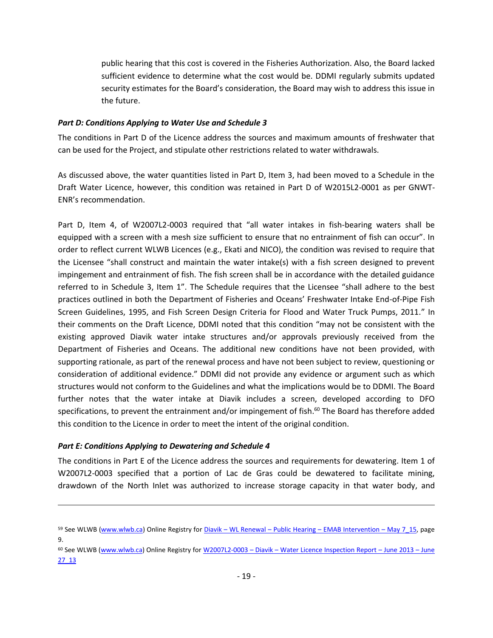public hearing that this cost is covered in the Fisheries Authorization. Also, the Board lacked sufficient evidence to determine what the cost would be. DDMI regularly submits updated security estimates for the Board's consideration, the Board may wish to address this issue in the future.

#### <span id="page-18-0"></span>*Part D: Conditions Applying to Water Use and Schedule 3*

The conditions in Part D of the Licence address the sources and maximum amounts of freshwater that can be used for the Project, and stipulate other restrictions related to water withdrawals.

As discussed above, the water quantities listed in Part D, Item 3, had been moved to a Schedule in the Draft Water Licence, however, this condition was retained in Part D of W2015L2-0001 as per GNWT-ENR's recommendation.

Part D, Item 4, of W2007L2-0003 required that "all water intakes in fish-bearing waters shall be equipped with a screen with a mesh size sufficient to ensure that no entrainment of fish can occur". In order to reflect current WLWB Licences (e.g., Ekati and NICO), the condition was revised to require that the Licensee "shall construct and maintain the water intake(s) with a fish screen designed to prevent impingement and entrainment of fish. The fish screen shall be in accordance with the detailed guidance referred to in Schedule 3, Item 1". The Schedule requires that the Licensee "shall adhere to the best practices outlined in both the Department of Fisheries and Oceans' Freshwater Intake End-of-Pipe Fish Screen Guidelines, 1995, and Fish Screen Design Criteria for Flood and Water Truck Pumps, 2011." In their comments on the Draft Licence, DDMI noted that this condition "may not be consistent with the existing approved Diavik water intake structures and/or approvals previously received from the Department of Fisheries and Oceans. The additional new conditions have not been provided, with supporting rationale, as part of the renewal process and have not been subject to review, questioning or consideration of additional evidence." DDMI did not provide any evidence or argument such as which structures would not conform to the Guidelines and what the implications would be to DDMI. The Board further notes that the water intake at Diavik includes a screen, developed according to DFO specifications, to prevent the entrainment and/or impingement of fish. <sup>60</sup> The Board has therefore added this condition to the Licence in order to meet the intent of the original condition.

#### <span id="page-18-1"></span>*Part E: Conditions Applying to Dewatering and Schedule 4*

 $\overline{a}$ 

The conditions in Part E of the Licence address the sources and requirements for dewatering. Item 1 of W2007L2-0003 specified that a portion of Lac de Gras could be dewatered to facilitate mining, drawdown of the North Inlet was authorized to increase storage capacity in that water body, and

<sup>59</sup> See WLWB [\(www.wlwb.ca\)](http://www.wlwb.ca/) Online Registry for Diavik – WL Renewal – Public Hearing – [EMAB Intervention](http://www.mvlwb.ca/Boards/WLWB/Registry/2015/W2015L2-0001/Diavik%20-%20WL%20Renewal%20-%20Public%20Hearing%20-%20EMAB%20Intervention%20-%20May%207_15.pdf) – May 7\_15, page 9.

<sup>60</sup> See WLWB [\(www.wlwb.ca\)](http://www.wlwb.ca/) Online Registry for W2007L2-0003 – Diavik – [Water Licence Inspection Report](http://www.mvlwb.ca/Boards/WLWB/Registry/2007/W2007L2-0003/W2007L2-0003%20-%20Diavik%20-%20Water%20Licence%20Inspection%20Report%20-%20June%202013%20-%20Jun%2027_13.pdf) – June 2013 – June [27\\_13](http://www.mvlwb.ca/Boards/WLWB/Registry/2007/W2007L2-0003/W2007L2-0003%20-%20Diavik%20-%20Water%20Licence%20Inspection%20Report%20-%20June%202013%20-%20Jun%2027_13.pdf)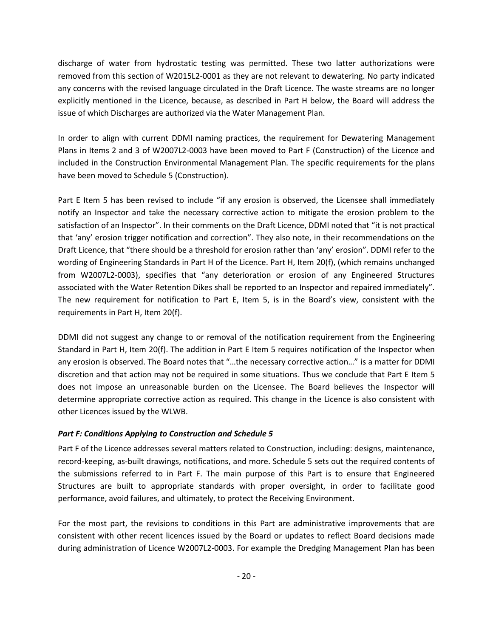discharge of water from hydrostatic testing was permitted. These two latter authorizations were removed from this section of W2015L2-0001 as they are not relevant to dewatering. No party indicated any concerns with the revised language circulated in the Draft Licence. The waste streams are no longer explicitly mentioned in the Licence, because, as described in Part H below, the Board will address the issue of which Discharges are authorized via the Water Management Plan.

In order to align with current DDMI naming practices, the requirement for Dewatering Management Plans in Items 2 and 3 of W2007L2-0003 have been moved to Part F (Construction) of the Licence and included in the Construction Environmental Management Plan. The specific requirements for the plans have been moved to Schedule 5 (Construction).

Part E Item 5 has been revised to include "if any erosion is observed, the Licensee shall immediately notify an Inspector and take the necessary corrective action to mitigate the erosion problem to the satisfaction of an Inspector". In their comments on the Draft Licence, DDMI noted that "it is not practical that 'any' erosion trigger notification and correction". They also note, in their recommendations on the Draft Licence, that "there should be a threshold for erosion rather than 'any' erosion". DDMI refer to the wording of Engineering Standards in Part H of the Licence. Part H, Item 20(f), (which remains unchanged from W2007L2-0003), specifies that "any deterioration or erosion of any Engineered Structures associated with the Water Retention Dikes shall be reported to an Inspector and repaired immediately". The new requirement for notification to Part E, Item 5, is in the Board's view, consistent with the requirements in Part H, Item 20(f).

DDMI did not suggest any change to or removal of the notification requirement from the Engineering Standard in Part H, Item 20(f). The addition in Part E Item 5 requires notification of the Inspector when any erosion is observed. The Board notes that "…the necessary corrective action…" is a matter for DDMI discretion and that action may not be required in some situations. Thus we conclude that Part E Item 5 does not impose an unreasonable burden on the Licensee. The Board believes the Inspector will determine appropriate corrective action as required. This change in the Licence is also consistent with other Licences issued by the WLWB.

# <span id="page-19-0"></span>*Part F: Conditions Applying to Construction and Schedule 5*

Part F of the Licence addresses several matters related to Construction, including: designs, maintenance, record-keeping, as-built drawings, notifications, and more. Schedule 5 sets out the required contents of the submissions referred to in Part F. The main purpose of this Part is to ensure that Engineered Structures are built to appropriate standards with proper oversight, in order to facilitate good performance, avoid failures, and ultimately, to protect the Receiving Environment.

For the most part, the revisions to conditions in this Part are administrative improvements that are consistent with other recent licences issued by the Board or updates to reflect Board decisions made during administration of Licence W2007L2-0003. For example the Dredging Management Plan has been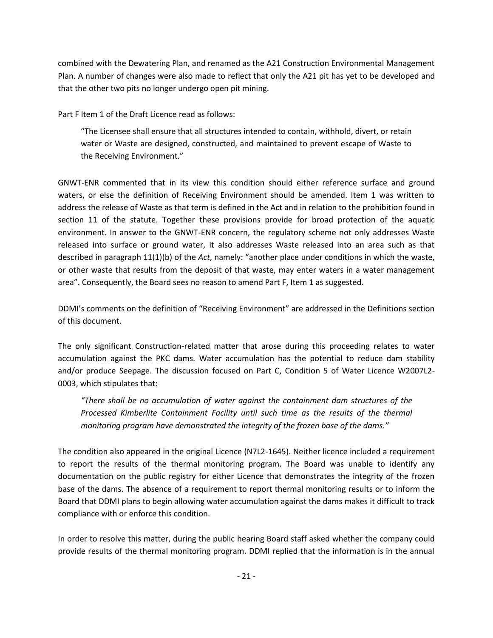combined with the Dewatering Plan, and renamed as the A21 Construction Environmental Management Plan. A number of changes were also made to reflect that only the A21 pit has yet to be developed and that the other two pits no longer undergo open pit mining.

Part F Item 1 of the Draft Licence read as follows:

"The Licensee shall ensure that all structures intended to contain, withhold, divert, or retain water or Waste are designed, constructed, and maintained to prevent escape of Waste to the Receiving Environment."

GNWT-ENR commented that in its view this condition should either reference surface and ground waters, or else the definition of Receiving Environment should be amended. Item 1 was written to address the release of Waste as that term is defined in the Act and in relation to the prohibition found in section 11 of the statute. Together these provisions provide for broad protection of the aquatic environment. In answer to the GNWT-ENR concern, the regulatory scheme not only addresses Waste released into surface or ground water, it also addresses Waste released into an area such as that described in paragraph 11(1)(b) of the *Act*, namely: "another place under conditions in which the waste, or other waste that results from the deposit of that waste, may enter waters in a water management area". Consequently, the Board sees no reason to amend Part F, Item 1 as suggested.

DDMI's comments on the definition of "Receiving Environment" are addressed in the Definitions section of this document.

The only significant Construction-related matter that arose during this proceeding relates to water accumulation against the PKC dams. Water accumulation has the potential to reduce dam stability and/or produce Seepage. The discussion focused on Part C, Condition 5 of Water Licence W2007L2- 0003, which stipulates that:

*"There shall be no accumulation of water against the containment dam structures of the Processed Kimberlite Containment Facility until such time as the results of the thermal monitoring program have demonstrated the integrity of the frozen base of the dams."* 

The condition also appeared in the original Licence (N7L2-1645). Neither licence included a requirement to report the results of the thermal monitoring program. The Board was unable to identify any documentation on the public registry for either Licence that demonstrates the integrity of the frozen base of the dams. The absence of a requirement to report thermal monitoring results or to inform the Board that DDMI plans to begin allowing water accumulation against the dams makes it difficult to track compliance with or enforce this condition.

In order to resolve this matter, during the public hearing Board staff asked whether the company could provide results of the thermal monitoring program. DDMI replied that the information is in the annual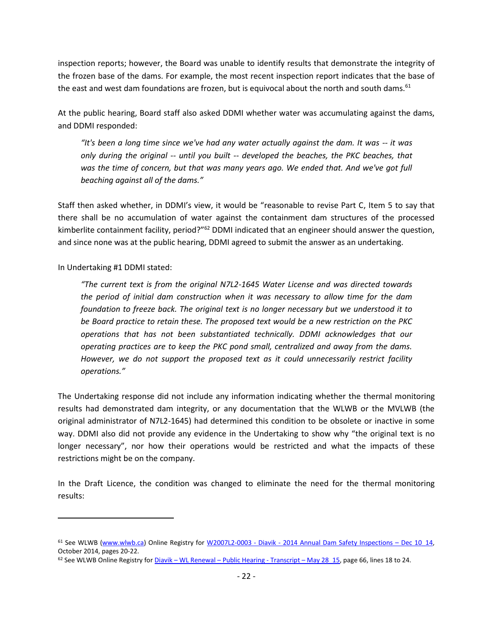inspection reports; however, the Board was unable to identify results that demonstrate the integrity of the frozen base of the dams. For example, the most recent inspection report indicates that the base of the east and west dam foundations are frozen, but is equivocal about the north and south dams.<sup>61</sup>

At the public hearing, Board staff also asked DDMI whether water was accumulating against the dams, and DDMI responded:

*"It's been a long time since we've had any water actually against the dam. It was -- it was only during the original -- until you built -- developed the beaches, the PKC beaches, that was the time of concern, but that was many years ago. We ended that. And we've got full beaching against all of the dams."* 

Staff then asked whether, in DDMI's view, it would be "reasonable to revise Part C, Item 5 to say that there shall be no accumulation of water against the containment dam structures of the processed kimberlite containment facility, period?"<sup>62</sup> DDMI indicated that an engineer should answer the question, and since none was at the public hearing, DDMI agreed to submit the answer as an undertaking.

In Undertaking #1 DDMI stated:

 $\overline{a}$ 

*"The current text is from the original N7L2-1645 Water License and was directed towards the period of initial dam construction when it was necessary to allow time for the dam foundation to freeze back. The original text is no longer necessary but we understood it to be Board practice to retain these. The proposed text would be a new restriction on the PKC operations that has not been substantiated technically. DDMI acknowledges that our operating practices are to keep the PKC pond small, centralized and away from the dams. However, we do not support the proposed text as it could unnecessarily restrict facility operations."*

The Undertaking response did not include any information indicating whether the thermal monitoring results had demonstrated dam integrity, or any documentation that the WLWB or the MVLWB (the original administrator of N7L2-1645) had determined this condition to be obsolete or inactive in some way. DDMI also did not provide any evidence in the Undertaking to show why "the original text is no longer necessary", nor how their operations would be restricted and what the impacts of these restrictions might be on the company.

In the Draft Licence, the condition was changed to eliminate the need for the thermal monitoring results:

 $61$  See WLWB [\(www.wlwb.ca\)](http://www.wlwb.ca/) Online Registry for W2007L2-0003 - Diavik - [2014 Annual Dam Safety Inspections](http://www.mvlwb.ca/Boards/WLWB/Registry/2007/W2007L2-0003/Reports/Inspection/W2007L2-0003%20-%20Diavik%20-%202014%20Annual%20Dam%20Safety%20Inspections%20-%20Dec%2010_14.pdf) – Dec 10\_14, October 2014, pages 20-22.

 $62$  See WLWB Online Registry for Diavik – WL Renewal – [Public Hearing -](http://www.mvlwb.ca/Boards/WLWB/Registry/2015/W2015L2-0001/Diavik%20-%20WL%20Renewal%20-%20Public%20Hearing%20-%20Transcript%20-%20May%2028_15.pdf) Transcript – May 28 15, page 66, lines 18 to 24.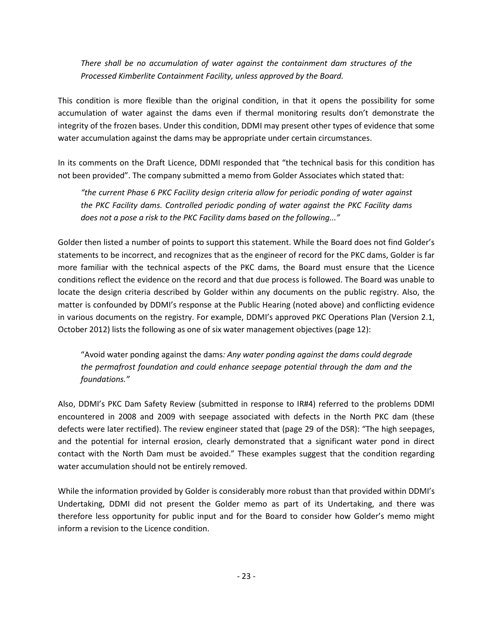*There shall be no accumulation of water against the containment dam structures of the Processed Kimberlite Containment Facility, unless approved by the Board.* 

This condition is more flexible than the original condition, in that it opens the possibility for some accumulation of water against the dams even if thermal monitoring results don't demonstrate the integrity of the frozen bases. Under this condition, DDMI may present other types of evidence that some water accumulation against the dams may be appropriate under certain circumstances.

In its comments on the Draft Licence, DDMI responded that "the technical basis for this condition has not been provided". The company submitted a memo from Golder Associates which stated that:

*"the current Phase 6 PKC Facility design criteria allow for periodic ponding of water against the PKC Facility dams. Controlled periodic ponding of water against the PKC Facility dams does not a pose a risk to the PKC Facility dams based on the following..."* 

Golder then listed a number of points to support this statement. While the Board does not find Golder's statements to be incorrect, and recognizes that as the engineer of record for the PKC dams, Golder is far more familiar with the technical aspects of the PKC dams, the Board must ensure that the Licence conditions reflect the evidence on the record and that due process is followed. The Board was unable to locate the design criteria described by Golder within any documents on the public registry. Also, the matter is confounded by DDMI's response at the Public Hearing (noted above) and conflicting evidence in various documents on the registry. For example, DDMI's approved PKC Operations Plan (Version 2.1, October 2012) lists the following as one of six water management objectives (page 12):

"Avoid water ponding against the dams*: Any water ponding against the dams could degrade the permafrost foundation and could enhance seepage potential through the dam and the foundations."*

Also, DDMI's PKC Dam Safety Review (submitted in response to IR#4) referred to the problems DDMI encountered in 2008 and 2009 with seepage associated with defects in the North PKC dam (these defects were later rectified). The review engineer stated that (page 29 of the DSR): "The high seepages, and the potential for internal erosion, clearly demonstrated that a significant water pond in direct contact with the North Dam must be avoided." These examples suggest that the condition regarding water accumulation should not be entirely removed.

While the information provided by Golder is considerably more robust than that provided within DDMI's Undertaking, DDMI did not present the Golder memo as part of its Undertaking, and there was therefore less opportunity for public input and for the Board to consider how Golder's memo might inform a revision to the Licence condition.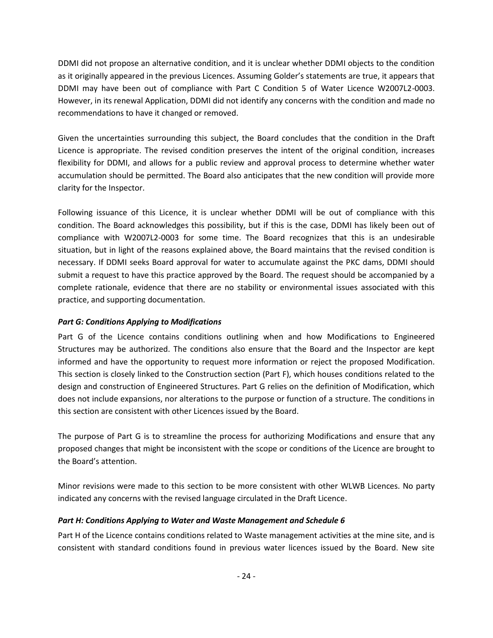DDMI did not propose an alternative condition, and it is unclear whether DDMI objects to the condition as it originally appeared in the previous Licences. Assuming Golder's statements are true, it appears that DDMI may have been out of compliance with Part C Condition 5 of Water Licence W2007L2-0003. However, in its renewal Application, DDMI did not identify any concerns with the condition and made no recommendations to have it changed or removed.

Given the uncertainties surrounding this subject, the Board concludes that the condition in the Draft Licence is appropriate. The revised condition preserves the intent of the original condition, increases flexibility for DDMI, and allows for a public review and approval process to determine whether water accumulation should be permitted. The Board also anticipates that the new condition will provide more clarity for the Inspector.

Following issuance of this Licence, it is unclear whether DDMI will be out of compliance with this condition. The Board acknowledges this possibility, but if this is the case, DDMI has likely been out of compliance with W2007L2-0003 for some time. The Board recognizes that this is an undesirable situation, but in light of the reasons explained above, the Board maintains that the revised condition is necessary. If DDMI seeks Board approval for water to accumulate against the PKC dams, DDMI should submit a request to have this practice approved by the Board. The request should be accompanied by a complete rationale, evidence that there are no stability or environmental issues associated with this practice, and supporting documentation.

# <span id="page-23-0"></span>*Part G: Conditions Applying to Modifications*

Part G of the Licence contains conditions outlining when and how Modifications to Engineered Structures may be authorized. The conditions also ensure that the Board and the Inspector are kept informed and have the opportunity to request more information or reject the proposed Modification. This section is closely linked to the Construction section (Part F), which houses conditions related to the design and construction of Engineered Structures. Part G relies on the definition of Modification, which does not include expansions, nor alterations to the purpose or function of a structure. The conditions in this section are consistent with other Licences issued by the Board.

The purpose of Part G is to streamline the process for authorizing Modifications and ensure that any proposed changes that might be inconsistent with the scope or conditions of the Licence are brought to the Board's attention.

Minor revisions were made to this section to be more consistent with other WLWB Licences. No party indicated any concerns with the revised language circulated in the Draft Licence.

# <span id="page-23-1"></span>*Part H: Conditions Applying to Water and Waste Management and Schedule 6*

Part H of the Licence contains conditions related to Waste management activities at the mine site, and is consistent with standard conditions found in previous water licences issued by the Board. New site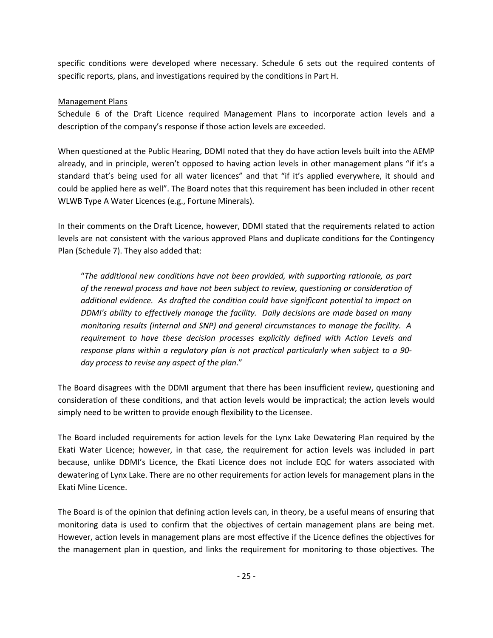specific conditions were developed where necessary. Schedule 6 sets out the required contents of specific reports, plans, and investigations required by the conditions in Part H.

# Management Plans

Schedule 6 of the Draft Licence required Management Plans to incorporate action levels and a description of the company's response if those action levels are exceeded.

When questioned at the Public Hearing, DDMI noted that they do have action levels built into the AEMP already, and in principle, weren't opposed to having action levels in other management plans "if it's a standard that's being used for all water licences" and that "if it's applied everywhere, it should and could be applied here as well". The Board notes that this requirement has been included in other recent WLWB Type A Water Licences (e.g., Fortune Minerals).

In their comments on the Draft Licence, however, DDMI stated that the requirements related to action levels are not consistent with the various approved Plans and duplicate conditions for the Contingency Plan (Schedule 7). They also added that:

"*The additional new conditions have not been provided, with supporting rationale, as part of the renewal process and have not been subject to review, questioning or consideration of additional evidence. As drafted the condition could have significant potential to impact on DDMI's ability to effectively manage the facility. Daily decisions are made based on many monitoring results (internal and SNP) and general circumstances to manage the facility. A requirement to have these decision processes explicitly defined with Action Levels and response plans within a regulatory plan is not practical particularly when subject to a 90 day process to revise any aspect of the plan*."

The Board disagrees with the DDMI argument that there has been insufficient review, questioning and consideration of these conditions, and that action levels would be impractical; the action levels would simply need to be written to provide enough flexibility to the Licensee.

The Board included requirements for action levels for the Lynx Lake Dewatering Plan required by the Ekati Water Licence; however, in that case, the requirement for action levels was included in part because, unlike DDMI's Licence, the Ekati Licence does not include EQC for waters associated with dewatering of Lynx Lake. There are no other requirements for action levels for management plans in the Ekati Mine Licence.

The Board is of the opinion that defining action levels can, in theory, be a useful means of ensuring that monitoring data is used to confirm that the objectives of certain management plans are being met. However, action levels in management plans are most effective if the Licence defines the objectives for the management plan in question, and links the requirement for monitoring to those objectives. The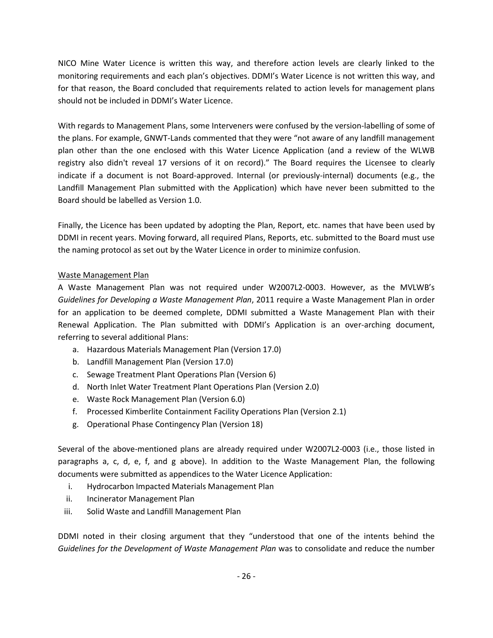NICO Mine Water Licence is written this way, and therefore action levels are clearly linked to the monitoring requirements and each plan's objectives. DDMI's Water Licence is not written this way, and for that reason, the Board concluded that requirements related to action levels for management plans should not be included in DDMI's Water Licence.

With regards to Management Plans, some Interveners were confused by the version-labelling of some of the plans. For example, GNWT-Lands commented that they were "not aware of any landfill management plan other than the one enclosed with this Water Licence Application (and a review of the WLWB registry also didn't reveal 17 versions of it on record)." The Board requires the Licensee to clearly indicate if a document is not Board-approved. Internal (or previously-internal) documents (e.g., the Landfill Management Plan submitted with the Application) which have never been submitted to the Board should be labelled as Version 1.0.

Finally, the Licence has been updated by adopting the Plan, Report, etc. names that have been used by DDMI in recent years. Moving forward, all required Plans, Reports, etc. submitted to the Board must use the naming protocol as set out by the Water Licence in order to minimize confusion.

### Waste Management Plan

A Waste Management Plan was not required under W2007L2-0003. However, as the MVLWB's *Guidelines for Developing a Waste Management Plan*, 2011 require a Waste Management Plan in order for an application to be deemed complete, DDMI submitted a Waste Management Plan with their Renewal Application. The Plan submitted with DDMI's Application is an over-arching document, referring to several additional Plans:

- a. Hazardous Materials Management Plan (Version 17.0)
- b. Landfill Management Plan (Version 17.0)
- c. Sewage Treatment Plant Operations Plan (Version 6)
- d. North Inlet Water Treatment Plant Operations Plan (Version 2.0)
- e. Waste Rock Management Plan (Version 6.0)
- f. Processed Kimberlite Containment Facility Operations Plan (Version 2.1)
- g. Operational Phase Contingency Plan (Version 18)

Several of the above-mentioned plans are already required under W2007L2-0003 (i.e., those listed in paragraphs a, c, d, e, f, and g above). In addition to the Waste Management Plan, the following documents were submitted as appendices to the Water Licence Application:

- i. Hydrocarbon Impacted Materials Management Plan
- ii. Incinerator Management Plan
- iii. Solid Waste and Landfill Management Plan

DDMI noted in their closing argument that they "understood that one of the intents behind the *Guidelines for the Development of Waste Management Plan* was to consolidate and reduce the number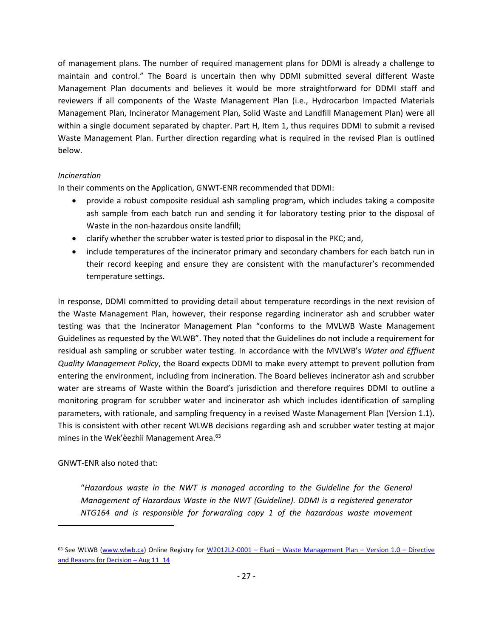of management plans. The number of required management plans for DDMI is already a challenge to maintain and control." The Board is uncertain then why DDMI submitted several different Waste Management Plan documents and believes it would be more straightforward for DDMI staff and reviewers if all components of the Waste Management Plan (i.e., Hydrocarbon Impacted Materials Management Plan, Incinerator Management Plan, Solid Waste and Landfill Management Plan) were all within a single document separated by chapter. Part H, Item 1, thus requires DDMI to submit a revised Waste Management Plan. Further direction regarding what is required in the revised Plan is outlined below.

### *Incineration*

In their comments on the Application, GNWT-ENR recommended that DDMI:

- provide a robust composite residual ash sampling program, which includes taking a composite ash sample from each batch run and sending it for laboratory testing prior to the disposal of Waste in the non-hazardous onsite landfill;
- clarify whether the scrubber water is tested prior to disposal in the PKC; and,
- include temperatures of the incinerator primary and secondary chambers for each batch run in their record keeping and ensure they are consistent with the manufacturer's recommended temperature settings.

In response, DDMI committed to providing detail about temperature recordings in the next revision of the Waste Management Plan, however, their response regarding incinerator ash and scrubber water testing was that the Incinerator Management Plan "conforms to the MVLWB Waste Management Guidelines as requested by the WLWB". They noted that the Guidelines do not include a requirement for residual ash sampling or scrubber water testing. In accordance with the MVLWB's *Water and Effluent Quality Management Policy*, the Board expects DDMI to make every attempt to prevent pollution from entering the environment, including from incineration. The Board believes incinerator ash and scrubber water are streams of Waste within the Board's jurisdiction and therefore requires DDMI to outline a monitoring program for scrubber water and incinerator ash which includes identification of sampling parameters, with rationale, and sampling frequency in a revised Waste Management Plan (Version 1.1). This is consistent with other recent WLWB decisions regarding ash and scrubber water testing at major mines in the Wek'èezhìi Management Area.<sup>63</sup>

# GNWT-ENR also noted that:

 $\overline{a}$ 

"*Hazardous waste in the NWT is managed according to the Guideline for the General Management of Hazardous Waste in the NWT (Guideline). DDMI is a registered generator NTG164 and is responsible for forwarding copy 1 of the hazardous waste movement* 

<sup>63</sup> See WLWB [\(www.wlwb.ca\)](http://www.wlwb.ca/) Online Registry for W2012L2-0001 – Ekati – [Waste Management Plan](http://www.mvlwb.ca/Boards/WLWB/Registry/2012/W2012L2-0001/W2012L2-0001%20-%20Ekati%20-%20Waste%20Management%20Plan%20-%20Version%201.0%20-%20Directive%20and%20Reasons%20for%20Decision%20-%20Aug%2011_14.pdf) – Version 1.0 – Directive [and Reasons for Decision](http://www.mvlwb.ca/Boards/WLWB/Registry/2012/W2012L2-0001/W2012L2-0001%20-%20Ekati%20-%20Waste%20Management%20Plan%20-%20Version%201.0%20-%20Directive%20and%20Reasons%20for%20Decision%20-%20Aug%2011_14.pdf) - Aug 11\_14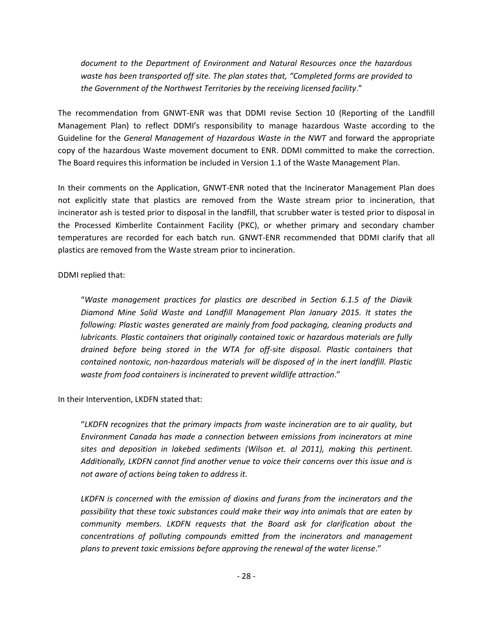*document to the Department of Environment and Natural Resources once the hazardous waste has been transported off site. The plan states that, "Completed forms are provided to the Government of the Northwest Territories by the receiving licensed facility*."

The recommendation from GNWT-ENR was that DDMI revise Section 10 (Reporting of the Landfill Management Plan) to reflect DDMI's responsibility to manage hazardous Waste according to the Guideline for the *General Management of Hazardous Waste in the NWT* and forward the appropriate copy of the hazardous Waste movement document to ENR. DDMI committed to make the correction. The Board requires this information be included in Version 1.1 of the Waste Management Plan.

In their comments on the Application, GNWT-ENR noted that the Incinerator Management Plan does not explicitly state that plastics are removed from the Waste stream prior to incineration, that incinerator ash is tested prior to disposal in the landfill, that scrubber water is tested prior to disposal in the Processed Kimberlite Containment Facility (PKC), or whether primary and secondary chamber temperatures are recorded for each batch run. GNWT-ENR recommended that DDMI clarify that all plastics are removed from the Waste stream prior to incineration.

DDMI replied that:

"*Waste management practices for plastics are described in Section 6.1.5 of the Diavik Diamond Mine Solid Waste and Landfill Management Plan January 2015. It states the following: Plastic wastes generated are mainly from food packaging, cleaning products and lubricants. Plastic containers that originally contained toxic or hazardous materials are fully drained before being stored in the WTA for off-site disposal. Plastic containers that contained nontoxic, non-hazardous materials will be disposed of in the inert landfill. Plastic waste from food containers is incinerated to prevent wildlife attraction*."

In their Intervention, LKDFN stated that:

"*LKDFN recognizes that the primary impacts from waste incineration are to air quality, but Environment Canada has made a connection between emissions from incinerators at mine sites and deposition in lakebed sediments (Wilson et. al 2011), making this pertinent. Additionally, LKDFN cannot find another venue to voice their concerns over this issue and is not aware of actions being taken to address it.*

*LKDFN is concerned with the emission of dioxins and furans from the incinerators and the possibility that these toxic substances could make their way into animals that are eaten by community members. LKDFN requests that the Board ask for clarification about the concentrations of polluting compounds emitted from the incinerators and management plans to prevent toxic emissions before approving the renewal of the water license*."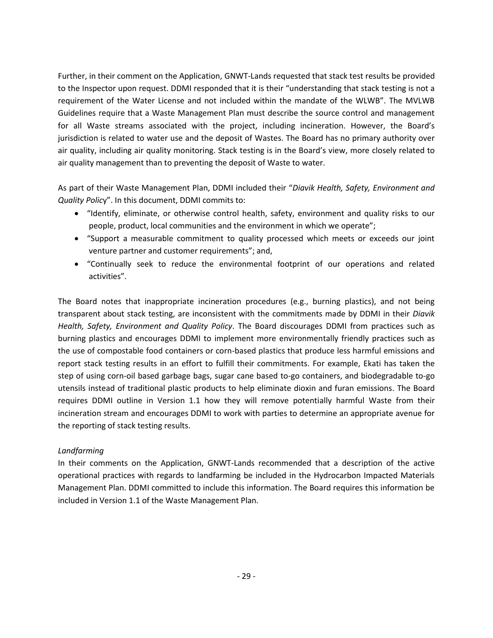Further, in their comment on the Application, GNWT-Lands requested that stack test results be provided to the Inspector upon request. DDMI responded that it is their "understanding that stack testing is not a requirement of the Water License and not included within the mandate of the WLWB". The MVLWB Guidelines require that a Waste Management Plan must describe the source control and management for all Waste streams associated with the project, including incineration. However, the Board's jurisdiction is related to water use and the deposit of Wastes. The Board has no primary authority over air quality, including air quality monitoring. Stack testing is in the Board's view, more closely related to air quality management than to preventing the deposit of Waste to water.

As part of their Waste Management Plan, DDMI included their "*Diavik Health, Safety, Environment and Quality Polic*y". In this document, DDMI commits to:

- "Identify, eliminate, or otherwise control health, safety, environment and quality risks to our people, product, local communities and the environment in which we operate";
- "Support a measurable commitment to quality processed which meets or exceeds our joint venture partner and customer requirements"; and,
- "Continually seek to reduce the environmental footprint of our operations and related activities".

The Board notes that inappropriate incineration procedures (e.g., burning plastics), and not being transparent about stack testing, are inconsistent with the commitments made by DDMI in their *Diavik Health, Safety, Environment and Quality Policy*. The Board discourages DDMI from practices such as burning plastics and encourages DDMI to implement more environmentally friendly practices such as the use of compostable food containers or corn-based plastics that produce less harmful emissions and report stack testing results in an effort to fulfill their commitments. For example, Ekati has taken the step of using corn-oil based garbage bags, sugar cane based to-go containers, and biodegradable to-go utensils instead of traditional plastic products to help eliminate dioxin and furan emissions. The Board requires DDMI outline in Version 1.1 how they will remove potentially harmful Waste from their incineration stream and encourages DDMI to work with parties to determine an appropriate avenue for the reporting of stack testing results.

# *Landfarming*

In their comments on the Application, GNWT-Lands recommended that a description of the active operational practices with regards to landfarming be included in the Hydrocarbon Impacted Materials Management Plan. DDMI committed to include this information. The Board requires this information be included in Version 1.1 of the Waste Management Plan.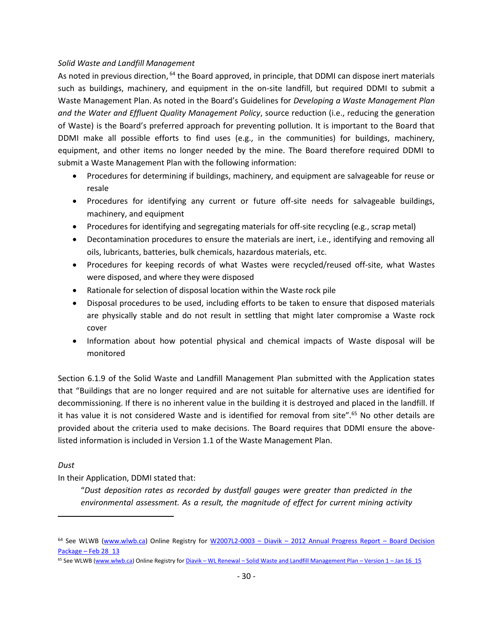### *Solid Waste and Landfill Management*

As noted in previous direction, <sup>64</sup> the Board approved, in principle, that DDMI can dispose inert materials such as buildings, machinery, and equipment in the on-site landfill, but required DDMI to submit a Waste Management Plan. As noted in the Board's Guidelines for *Developing a Waste Management Plan and the Water and Effluent Quality Management Policy*, source reduction (i.e., reducing the generation of Waste) is the Board's preferred approach for preventing pollution. It is important to the Board that DDMI make all possible efforts to find uses (e.g., in the communities) for buildings, machinery, equipment, and other items no longer needed by the mine. The Board therefore required DDMI to submit a Waste Management Plan with the following information:

- Procedures for determining if buildings, machinery, and equipment are salvageable for reuse or resale
- Procedures for identifying any current or future off-site needs for salvageable buildings, machinery, and equipment
- Procedures for identifying and segregating materials for off-site recycling (e.g., scrap metal)
- Decontamination procedures to ensure the materials are inert, i.e., identifying and removing all oils, lubricants, batteries, bulk chemicals, hazardous materials, etc.
- Procedures for keeping records of what Wastes were recycled/reused off-site, what Wastes were disposed, and where they were disposed
- Rationale for selection of disposal location within the Waste rock pile
- Disposal procedures to be used, including efforts to be taken to ensure that disposed materials are physically stable and do not result in settling that might later compromise a Waste rock cover
- Information about how potential physical and chemical impacts of Waste disposal will be monitored

Section 6.1.9 of the Solid Waste and Landfill Management Plan submitted with the Application states that "Buildings that are no longer required and are not suitable for alternative uses are identified for decommissioning. If there is no inherent value in the building it is destroyed and placed in the landfill. If it has value it is not considered Waste and is identified for removal from site".<sup>65</sup> No other details are provided about the criteria used to make decisions. The Board requires that DDMI ensure the abovelisted information is included in Version 1.1 of the Waste Management Plan.

*Dust*

 $\overline{a}$ 

In their Application, DDMI stated that:

"*Dust deposition rates as recorded by dustfall gauges were greater than predicted in the environmental assessment. As a result, the magnitude of effect for current mining activity* 

<sup>&</sup>lt;sup>64</sup> See WLWB [\(www.wlwb.ca\)](http://www.wlwb.ca/) Online Registry for W2007L2-0003 – Diavik – [2012 Annual Progress Report](http://www.mvlwb.ca/Boards/WLWB/Registry/2007/W2007L2-0003/W2007L2-0003%20-%20Diavik%20-%20ICRP%20-%202012%20Annual%20Progress%20Report%20-%20Board%20Decision%20Package%20-%20Feb%2028_13.pdf) – Board Decision Package – [Feb 28\\_13](http://www.mvlwb.ca/Boards/WLWB/Registry/2007/W2007L2-0003/W2007L2-0003%20-%20Diavik%20-%20ICRP%20-%202012%20Annual%20Progress%20Report%20-%20Board%20Decision%20Package%20-%20Feb%2028_13.pdf)

<sup>&</sup>lt;sup>65</sup> See WLWB [\(www.wlwb.ca\)](http://www.wlwb.ca/) Online Registry for Diavik – WL Renewal – [Solid Waste and Landfill Management Plan](http://www.mvlwb.ca/Boards/WLWB/Registry/2015/W2015L2-0001/Diavik%20-%20WL%20Renewal%20-%20Solid%20Waste%20and%20Landfill%20Management%20Plan%20-%20Version%201%20-%20Jan%2016_15.pdf) – Version 1 – Jan 16 15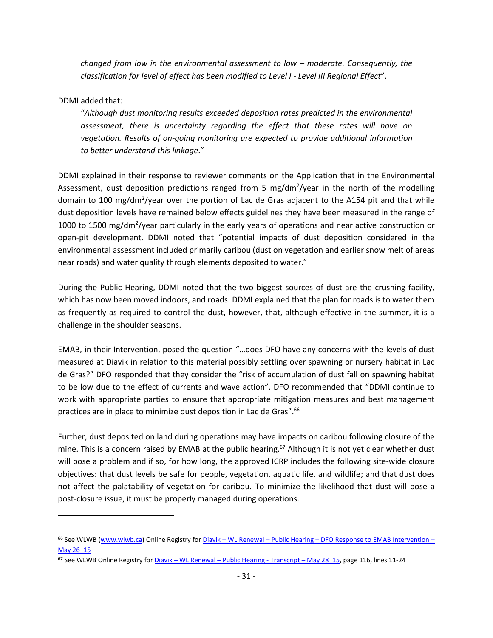*changed from low in the environmental assessment to low – moderate. Consequently, the classification for level of effect has been modified to Level I - Level III Regional Effect*".

### DDMI added that:

 $\overline{a}$ 

"*Although dust monitoring results exceeded deposition rates predicted in the environmental assessment, there is uncertainty regarding the effect that these rates will have on vegetation. Results of on-going monitoring are expected to provide additional information to better understand this linkage*."

DDMI explained in their response to reviewer comments on the Application that in the Environmental Assessment, dust deposition predictions ranged from 5 mg/dm<sup>2</sup>/year in the north of the modelling domain to 100 mg/dm<sup>2</sup>/year over the portion of Lac de Gras adjacent to the A154 pit and that while dust deposition levels have remained below effects guidelines they have been measured in the range of 1000 to 1500 mg/dm<sup>2</sup>/year particularly in the early years of operations and near active construction or open-pit development. DDMI noted that "potential impacts of dust deposition considered in the environmental assessment included primarily caribou (dust on vegetation and earlier snow melt of areas near roads) and water quality through elements deposited to water."

During the Public Hearing, DDMI noted that the two biggest sources of dust are the crushing facility, which has now been moved indoors, and roads. DDMI explained that the plan for roads is to water them as frequently as required to control the dust, however, that, although effective in the summer, it is a challenge in the shoulder seasons.

EMAB, in their Intervention, posed the question "…does DFO have any concerns with the levels of dust measured at Diavik in relation to this material possibly settling over spawning or nursery habitat in Lac de Gras?" DFO responded that they consider the "risk of accumulation of dust fall on spawning habitat to be low due to the effect of currents and wave action". DFO recommended that "DDMI continue to work with appropriate parties to ensure that appropriate mitigation measures and best management practices are in place to minimize dust deposition in Lac de Gras".<sup>66</sup>

Further, dust deposited on land during operations may have impacts on caribou following closure of the mine. This is a concern raised by EMAB at the public hearing.<sup>67</sup> Although it is not yet clear whether dust will pose a problem and if so, for how long, the approved ICRP includes the following site-wide closure objectives: that dust levels be safe for people, vegetation, aquatic life, and wildlife; and that dust does not affect the palatability of vegetation for caribou. To minimize the likelihood that dust will pose a post-closure issue, it must be properly managed during operations.

<sup>&</sup>lt;sup>66</sup> See WLWB [\(www.wlwb.ca\)](http://www.wlwb.ca/) Online Registry for Diavik – WL Renewal – Public Hearing – [DFO Response to EMAB Intervention](http://www.mvlwb.ca/Boards/WLWB/Registry/2015/W2015L2-0001/Diavik%20-%20WL%20Renewal%20-%20Public%20Hearing%20-%20DFO%20Response%20to%20EMAB%20Intervention%20-%20May%2026_15.pdf) – [May 26\\_15](http://www.mvlwb.ca/Boards/WLWB/Registry/2015/W2015L2-0001/Diavik%20-%20WL%20Renewal%20-%20Public%20Hearing%20-%20DFO%20Response%20to%20EMAB%20Intervention%20-%20May%2026_15.pdf)

<sup>67</sup> See WLWB Online Registry for Diavik – WL Renewal – [Public Hearing -](http://www.mvlwb.ca/Boards/WLWB/Registry/2015/W2015L2-0001/Diavik%20-%20WL%20Renewal%20-%20Public%20Hearing%20-%20Transcript%20-%20May%2028_15.pdf) Transcript – May 28\_15, page 116, lines 11-24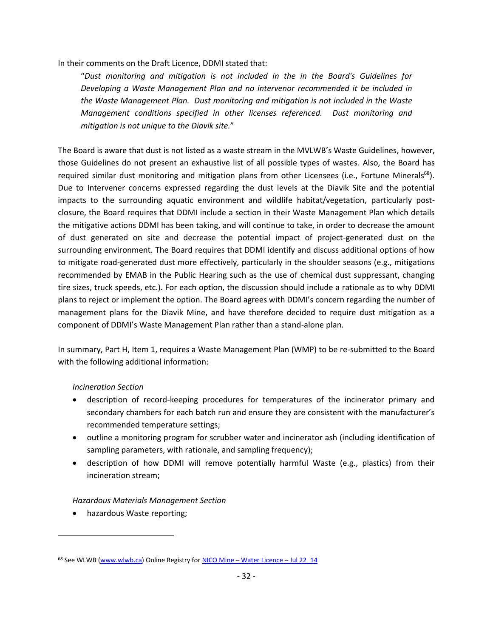In their comments on the Draft Licence, DDMI stated that:

"*Dust monitoring and mitigation is not included in the in the Board's Guidelines for Developing a Waste Management Plan and no intervenor recommended it be included in the Waste Management Plan. Dust monitoring and mitigation is not included in the Waste Management conditions specified in other licenses referenced. Dust monitoring and mitigation is not unique to the Diavik site.*"

The Board is aware that dust is not listed as a waste stream in the MVLWB's Waste Guidelines, however, those Guidelines do not present an exhaustive list of all possible types of wastes. Also, the Board has required similar dust monitoring and mitigation plans from other Licensees (i.e., Fortune Minerals<sup>68</sup>). Due to Intervener concerns expressed regarding the dust levels at the Diavik Site and the potential impacts to the surrounding aquatic environment and wildlife habitat/vegetation, particularly postclosure, the Board requires that DDMI include a section in their Waste Management Plan which details the mitigative actions DDMI has been taking, and will continue to take, in order to decrease the amount of dust generated on site and decrease the potential impact of project-generated dust on the surrounding environment. The Board requires that DDMI identify and discuss additional options of how to mitigate road-generated dust more effectively, particularly in the shoulder seasons (e.g., mitigations recommended by EMAB in the Public Hearing such as the use of chemical dust suppressant, changing tire sizes, truck speeds, etc.). For each option, the discussion should include a rationale as to why DDMI plans to reject or implement the option. The Board agrees with DDMI's concern regarding the number of management plans for the Diavik Mine, and have therefore decided to require dust mitigation as a component of DDMI's Waste Management Plan rather than a stand-alone plan.

In summary, Part H, Item 1, requires a Waste Management Plan (WMP) to be re-submitted to the Board with the following additional information:

# *Incineration Section*

- description of record-keeping procedures for temperatures of the incinerator primary and secondary chambers for each batch run and ensure they are consistent with the manufacturer's recommended temperature settings;
- outline a monitoring program for scrubber water and incinerator ash (including identification of sampling parameters, with rationale, and sampling frequency);
- description of how DDMI will remove potentially harmful Waste (e.g., plastics) from their incineration stream;

# *Hazardous Materials Management Section*

hazardous Waste reporting;

<sup>68</sup> See WLWB [\(www.wlwb.ca\)](http://www.wlwb.ca/) Online Registry for NICO Mine – [Water Licence](See%20WLWB%20(www.wlwb.ca)%20Online%20Registry%20for%20Diavik%20–%20WL%20Renewal%20–%20Public%20Hearing%20–%20DFO%20Response%20to%20EMAB%20Intervention%20–%20May%2026_15) – Jul 22\_14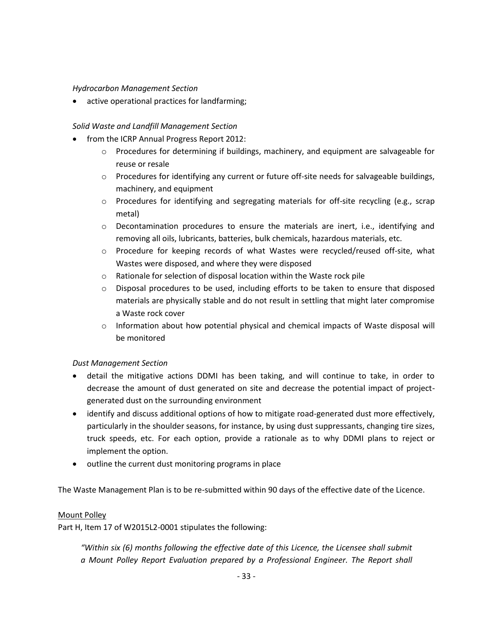#### *Hydrocarbon Management Section*

active operational practices for landfarming;

### *Solid Waste and Landfill Management Section*

- from the ICRP Annual Progress Report 2012:
	- o Procedures for determining if buildings, machinery, and equipment are salvageable for reuse or resale
	- $\circ$  Procedures for identifying any current or future off-site needs for salvageable buildings, machinery, and equipment
	- o Procedures for identifying and segregating materials for off-site recycling (e.g., scrap metal)
	- o Decontamination procedures to ensure the materials are inert, i.e., identifying and removing all oils, lubricants, batteries, bulk chemicals, hazardous materials, etc.
	- o Procedure for keeping records of what Wastes were recycled/reused off-site, what Wastes were disposed, and where they were disposed
	- o Rationale for selection of disposal location within the Waste rock pile
	- o Disposal procedures to be used, including efforts to be taken to ensure that disposed materials are physically stable and do not result in settling that might later compromise a Waste rock cover
	- o Information about how potential physical and chemical impacts of Waste disposal will be monitored

# *Dust Management Section*

- detail the mitigative actions DDMI has been taking, and will continue to take, in order to decrease the amount of dust generated on site and decrease the potential impact of projectgenerated dust on the surrounding environment
- identify and discuss additional options of how to mitigate road-generated dust more effectively, particularly in the shoulder seasons, for instance, by using dust suppressants, changing tire sizes, truck speeds, etc. For each option, provide a rationale as to why DDMI plans to reject or implement the option.
- outline the current dust monitoring programs in place

The Waste Management Plan is to be re-submitted within 90 days of the effective date of the Licence.

#### Mount Polley

Part H, Item 17 of W2015L2-0001 stipulates the following:

*"Within six (6) months following the effective date of this Licence, the Licensee shall submit a Mount Polley Report Evaluation prepared by a Professional Engineer. The Report shall*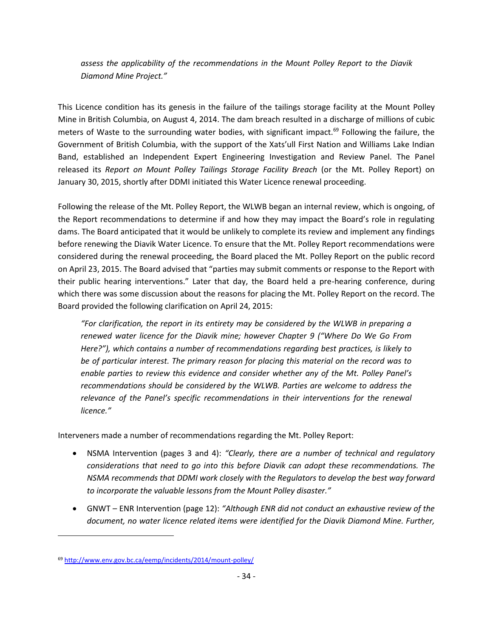*assess the applicability of the recommendations in the Mount Polley Report to the Diavik Diamond Mine Project."*

This Licence condition has its genesis in the failure of the tailings storage facility at the Mount Polley Mine in British Columbia, on August 4, 2014. The dam breach resulted in a discharge of millions of cubic meters of Waste to the surrounding water bodies, with significant impact.<sup>69</sup> Following the failure, the Government of British Columbia, with the support of the Xats'ull First Nation and Williams Lake Indian Band, established an Independent Expert Engineering Investigation and Review Panel. The Panel released its *Report on Mount Polley Tailings Storage Facility Breach* (or the Mt. Polley Report) on January 30, 2015, shortly after DDMI initiated this Water Licence renewal proceeding.

Following the release of the Mt. Polley Report, the WLWB began an internal review, which is ongoing, of the Report recommendations to determine if and how they may impact the Board's role in regulating dams. The Board anticipated that it would be unlikely to complete its review and implement any findings before renewing the Diavik Water Licence. To ensure that the Mt. Polley Report recommendations were considered during the renewal proceeding, the Board placed the Mt. Polley Report on the public record on April 23, 2015. The Board advised that "parties may submit comments or response to the Report with their public hearing interventions." Later that day, the Board held a pre-hearing conference, during which there was some discussion about the reasons for placing the Mt. Polley Report on the record. The Board provided the following clarification on April 24, 2015:

*"For clarification, the report in its entirety may be considered by the WLWB in preparing a renewed water licence for the Diavik mine; however Chapter 9 ("Where Do We Go From Here?"), which contains a number of recommendations regarding best practices, is likely to be of particular interest. The primary reason for placing this material on the record was to enable parties to review this evidence and consider whether any of the Mt. Polley Panel's recommendations should be considered by the WLWB. Parties are welcome to address the relevance of the Panel's specific recommendations in their interventions for the renewal licence."*

Interveners made a number of recommendations regarding the Mt. Polley Report:

- NSMA Intervention (pages 3 and 4): *"Clearly, there are a number of technical and regulatory considerations that need to go into this before Diavik can adopt these recommendations. The NSMA recommends that DDMI work closely with the Regulators to develop the best way forward to incorporate the valuable lessons from the Mount Polley disaster."*
- GNWT ENR Intervention (page 12): *"Although ENR did not conduct an exhaustive review of the document, no water licence related items were identified for the Diavik Diamond Mine. Further,*

<sup>69</sup> <http://www.env.gov.bc.ca/eemp/incidents/2014/mount-polley/>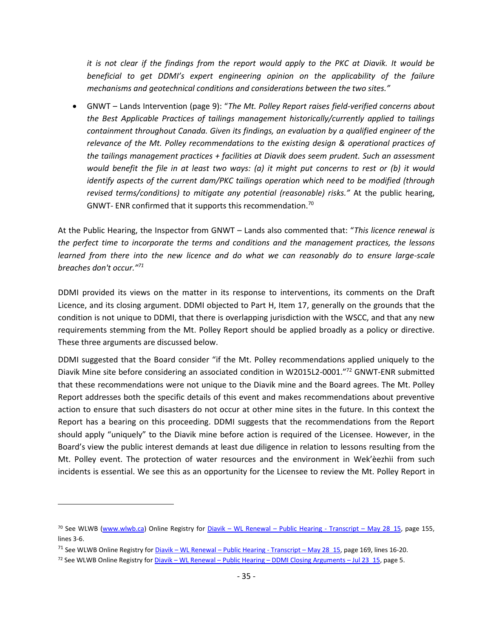*it is not clear if the findings from the report would apply to the PKC at Diavik. It would be beneficial to get DDMI's expert engineering opinion on the applicability of the failure mechanisms and geotechnical conditions and considerations between the two sites."*

 GNWT – Lands Intervention (page 9): "*The Mt. Polley Report raises field-verified concerns about the Best Applicable Practices of tailings management historically/currently applied to tailings containment throughout Canada. Given its findings, an evaluation by a qualified engineer of the relevance of the Mt. Polley recommendations to the existing design & operational practices of the tailings management practices + facilities at Diavik does seem prudent. Such an assessment would benefit the file in at least two ways: (a) it might put concerns to rest or (b) it would identify aspects of the current dam/PKC tailings operation which need to be modified (through revised terms/conditions) to mitigate any potential (reasonable) risks."* At the public hearing, GNWT- ENR confirmed that it supports this recommendation.<sup>70</sup>

At the Public Hearing, the Inspector from GNWT – Lands also commented that: "*This licence renewal is the perfect time to incorporate the terms and conditions and the management practices, the lessons learned from there into the new licence and do what we can reasonably do to ensure large-scale breaches don't occur."<sup>71</sup>*

DDMI provided its views on the matter in its response to interventions, its comments on the Draft Licence, and its closing argument. DDMI objected to Part H, Item 17, generally on the grounds that the condition is not unique to DDMI, that there is overlapping jurisdiction with the WSCC, and that any new requirements stemming from the Mt. Polley Report should be applied broadly as a policy or directive. These three arguments are discussed below.

DDMI suggested that the Board consider "if the Mt. Polley recommendations applied uniquely to the Diavik Mine site before considering an associated condition in W2015L2-0001."<sup>72</sup> GNWT-ENR submitted that these recommendations were not unique to the Diavik mine and the Board agrees. The Mt. Polley Report addresses both the specific details of this event and makes recommendations about preventive action to ensure that such disasters do not occur at other mine sites in the future. In this context the Report has a bearing on this proceeding. DDMI suggests that the recommendations from the Report should apply "uniquely" to the Diavik mine before action is required of the Licensee. However, in the Board's view the public interest demands at least due diligence in relation to lessons resulting from the Mt. Polley event. The protection of water resources and the environment in Wek'èezhìi from such incidents is essential. We see this as an opportunity for the Licensee to review the Mt. Polley Report in

<sup>&</sup>lt;sup>70</sup> See WLWB [\(www.wlwb.ca\)](http://www.wlwb.ca/) Online Registry for Diavik – WL Renewal – [Public Hearing -](http://www.mvlwb.ca/Boards/WLWB/Registry/2015/W2015L2-0001/Diavik%20-%20WL%20Renewal%20-%20Public%20Hearing%20-%20Transcript%20-%20May%2028_15.pdf) Transcript – May 28 15, page 155, lines 3-6.

<sup>&</sup>lt;sup>71</sup> See WLWB Online Registry for Diavik – WL Renewal – [Public Hearing -](http://www.mvlwb.ca/Boards/WLWB/Registry/2015/W2015L2-0001/Diavik%20-%20WL%20Renewal%20-%20Public%20Hearing%20-%20Transcript%20-%20May%2028_15.pdf) Transcript – May 28\_15, page 169, lines 16-20.

<sup>72</sup> See WLWB Online Registry for Diavik – WL Renewal – Public Hearing – [DDMI Closing Arguments](http://www.mvlwb.ca/Boards/WLWB/Registry/2015/W2015L2-0001/Diavik%20-%20WL%20Renewal%20-%20Public%20Hearing%20-%20DDMI%20Closing%20Arguments%20-%20Jul%2023_15.pdf) – Jul 23\_15, page 5.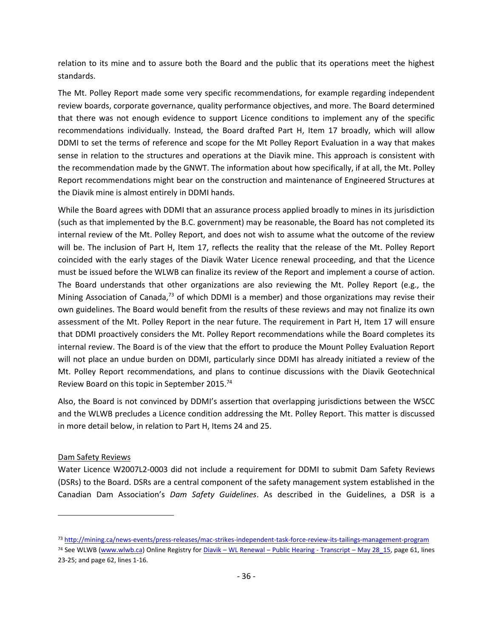relation to its mine and to assure both the Board and the public that its operations meet the highest standards.

The Mt. Polley Report made some very specific recommendations, for example regarding independent review boards, corporate governance, quality performance objectives, and more. The Board determined that there was not enough evidence to support Licence conditions to implement any of the specific recommendations individually. Instead, the Board drafted Part H, Item 17 broadly, which will allow DDMI to set the terms of reference and scope for the Mt Polley Report Evaluation in a way that makes sense in relation to the structures and operations at the Diavik mine. This approach is consistent with the recommendation made by the GNWT. The information about how specifically, if at all, the Mt. Polley Report recommendations might bear on the construction and maintenance of Engineered Structures at the Diavik mine is almost entirely in DDMI hands.

While the Board agrees with DDMI that an assurance process applied broadly to mines in its jurisdiction (such as that implemented by the B.C. government) may be reasonable, the Board has not completed its internal review of the Mt. Polley Report, and does not wish to assume what the outcome of the review will be. The inclusion of Part H, Item 17, reflects the reality that the release of the Mt. Polley Report coincided with the early stages of the Diavik Water Licence renewal proceeding, and that the Licence must be issued before the WLWB can finalize its review of the Report and implement a course of action. The Board understands that other organizations are also reviewing the Mt. Polley Report (e.g., the Mining Association of Canada,<sup>73</sup> of which DDMI is a member) and those organizations may revise their own guidelines. The Board would benefit from the results of these reviews and may not finalize its own assessment of the Mt. Polley Report in the near future. The requirement in Part H, Item 17 will ensure that DDMI proactively considers the Mt. Polley Report recommendations while the Board completes its internal review. The Board is of the view that the effort to produce the Mount Polley Evaluation Report will not place an undue burden on DDMI, particularly since DDMI has already initiated a review of the Mt. Polley Report recommendations, and plans to continue discussions with the Diavik Geotechnical Review Board on this topic in September 2015.<sup>74</sup>

Also, the Board is not convinced by DDMI's assertion that overlapping jurisdictions between the WSCC and the WLWB precludes a Licence condition addressing the Mt. Polley Report. This matter is discussed in more detail below, in relation to Part H, Items 24 and 25.

# Dam Safety Reviews

 $\overline{a}$ 

Water Licence W2007L2-0003 did not include a requirement for DDMI to submit Dam Safety Reviews (DSRs) to the Board. DSRs are a central component of the safety management system established in the Canadian Dam Association's *Dam Safety Guidelines*. As described in the Guidelines, a DSR is a

<sup>73</sup> <http://mining.ca/news-events/press-releases/mac-strikes-independent-task-force-review-its-tailings-management-program>

<sup>74</sup> See WLWB [\(www.wlwb.ca\)](http://www.wlwb.ca/) Online Registry for Diavik – WL Renewal – [Public Hearing -](http://www.mvlwb.ca/Boards/WLWB/Registry/2015/W2015L2-0001/Diavik%20-%20WL%20Renewal%20-%20Public%20Hearing%20-%20Transcript%20-%20May%2028_15.pdf) Transcript – May 28\_15, page 61, lines 23-25; and page 62, lines 1-16.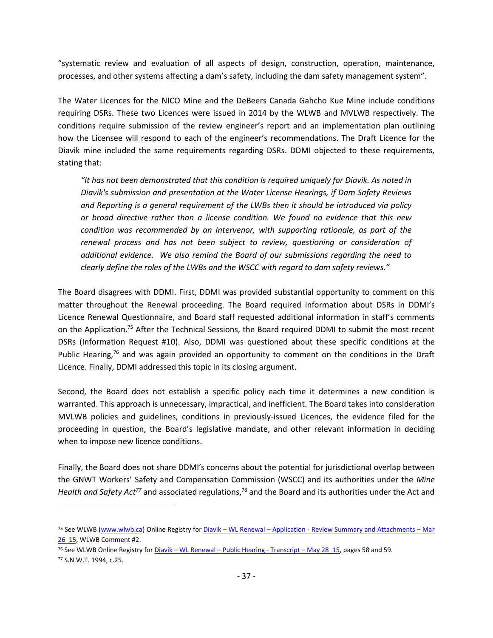"systematic review and evaluation of all aspects of design, construction, operation, maintenance, processes, and other systems affecting a dam's safety, including the dam safety management system".

The Water Licences for the NICO Mine and the DeBeers Canada Gahcho Kue Mine include conditions requiring DSRs. These two Licences were issued in 2014 by the WLWB and MVLWB respectively. The conditions require submission of the review engineer's report and an implementation plan outlining how the Licensee will respond to each of the engineer's recommendations. The Draft Licence for the Diavik mine included the same requirements regarding DSRs. DDMI objected to these requirements, stating that:

*"It has not been demonstrated that this condition is required uniquely for Diavik. As noted in Diavik's submission and presentation at the Water License Hearings, if Dam Safety Reviews and Reporting is a general requirement of the LWBs then it should be introduced via policy or broad directive rather than a license condition. We found no evidence that this new condition was recommended by an Intervenor, with supporting rationale, as part of the renewal process and has not been subject to review, questioning or consideration of additional evidence. We also remind the Board of our submissions regarding the need to clearly define the roles of the LWBs and the WSCC with regard to dam safety reviews."*

The Board disagrees with DDMI. First, DDMI was provided substantial opportunity to comment on this matter throughout the Renewal proceeding. The Board required information about DSRs in DDMI's Licence Renewal Questionnaire, and Board staff requested additional information in staff's comments on the Application.<sup>75</sup> After the Technical Sessions, the Board required DDMI to submit the most recent DSRs (Information Request #10). Also, DDMI was questioned about these specific conditions at the Public Hearing,<sup>76</sup> and was again provided an opportunity to comment on the conditions in the Draft Licence. Finally, DDMI addressed this topic in its closing argument.

Second, the Board does not establish a specific policy each time it determines a new condition is warranted. This approach is unnecessary, impractical, and inefficient. The Board takes into consideration MVLWB policies and guidelines, conditions in previously-issued Licences, the evidence filed for the proceeding in question, the Board's legislative mandate, and other relevant information in deciding when to impose new licence conditions.

Finally, the Board does not share DDMI's concerns about the potential for jurisdictional overlap between the GNWT Workers' Safety and Compensation Commission (WSCC) and its authorities under the *Mine*  Health and Safety Act<sup>77</sup> and associated regulations,<sup>78</sup> and the Board and its authorities under the Act and

<sup>75</sup> See WLWB [\(www.wlwb.ca\)](http://www.wlwb.ca/) Online Registry for Diavik – WL Renewal – Application - [Review Summary and Attachments](http://www.mvlwb.ca/Boards/WLWB/Registry/2015/W2015L2-0001/Diavik%20-%20WL%20Renewal%20-%20Application%20-%20Review%20Summary%20and%20Attachments%20-%20Mar%2026_15.pdf) – Mar [26\\_15,](http://www.mvlwb.ca/Boards/WLWB/Registry/2015/W2015L2-0001/Diavik%20-%20WL%20Renewal%20-%20Application%20-%20Review%20Summary%20and%20Attachments%20-%20Mar%2026_15.pdf) WLWB Comment #2.

<sup>&</sup>lt;sup>76</sup> See WLWB Online Registry for <u>Diavik – WL Renewal – [Public Hearing -](http://www.mvlwb.ca/Boards/WLWB/Registry/2015/W2015L2-0001/Diavik%20-%20WL%20Renewal%20-%20Public%20Hearing%20-%20Transcript%20-%20May%2028_15.pdf) Transcript – May 28\_15</u>, pages 58 and 59. <sup>77</sup> S.N.W.T. 1994, c.25.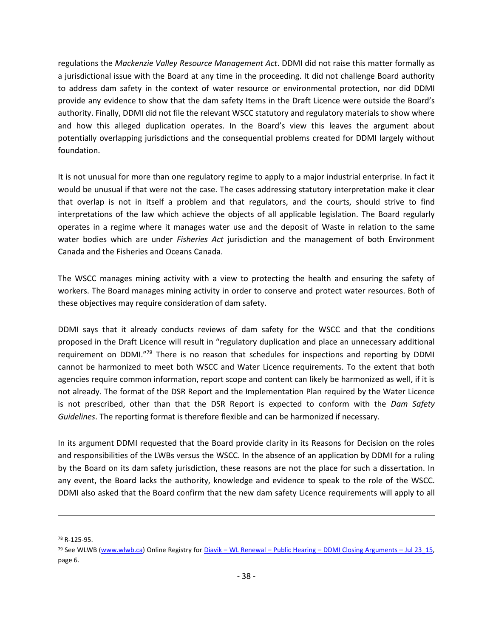regulations the *Mackenzie Valley Resource Management Act*. DDMI did not raise this matter formally as a jurisdictional issue with the Board at any time in the proceeding. It did not challenge Board authority to address dam safety in the context of water resource or environmental protection, nor did DDMI provide any evidence to show that the dam safety Items in the Draft Licence were outside the Board's authority. Finally, DDMI did not file the relevant WSCC statutory and regulatory materials to show where and how this alleged duplication operates. In the Board's view this leaves the argument about potentially overlapping jurisdictions and the consequential problems created for DDMI largely without foundation.

It is not unusual for more than one regulatory regime to apply to a major industrial enterprise. In fact it would be unusual if that were not the case. The cases addressing statutory interpretation make it clear that overlap is not in itself a problem and that regulators, and the courts, should strive to find interpretations of the law which achieve the objects of all applicable legislation. The Board regularly operates in a regime where it manages water use and the deposit of Waste in relation to the same water bodies which are under *Fisheries Act* jurisdiction and the management of both Environment Canada and the Fisheries and Oceans Canada.

The WSCC manages mining activity with a view to protecting the health and ensuring the safety of workers. The Board manages mining activity in order to conserve and protect water resources. Both of these objectives may require consideration of dam safety.

DDMI says that it already conducts reviews of dam safety for the WSCC and that the conditions proposed in the Draft Licence will result in "regulatory duplication and place an unnecessary additional requirement on DDMI."<sup>79</sup> There is no reason that schedules for inspections and reporting by DDMI cannot be harmonized to meet both WSCC and Water Licence requirements. To the extent that both agencies require common information, report scope and content can likely be harmonized as well, if it is not already. The format of the DSR Report and the Implementation Plan required by the Water Licence is not prescribed, other than that the DSR Report is expected to conform with the *Dam Safety Guidelines*. The reporting format is therefore flexible and can be harmonized if necessary.

In its argument DDMI requested that the Board provide clarity in its Reasons for Decision on the roles and responsibilities of the LWBs versus the WSCC. In the absence of an application by DDMI for a ruling by the Board on its dam safety jurisdiction, these reasons are not the place for such a dissertation. In any event, the Board lacks the authority, knowledge and evidence to speak to the role of the WSCC. DDMI also asked that the Board confirm that the new dam safety Licence requirements will apply to all

<sup>78</sup> R-125-95.

<sup>&</sup>lt;sup>79</sup> See WLWB [\(www.wlwb.ca\)](http://www.wlwb.ca/) Online Registry for Diavik – WL Renewal – Public Hearing – [DDMI Closing Arguments](http://www.mvlwb.ca/Boards/WLWB/Registry/2015/W2015L2-0001/Diavik%20-%20WL%20Renewal%20-%20Public%20Hearing%20-%20DDMI%20Closing%20Arguments%20-%20Jul%2023_15.pdf) – Jul 23\_15, page 6.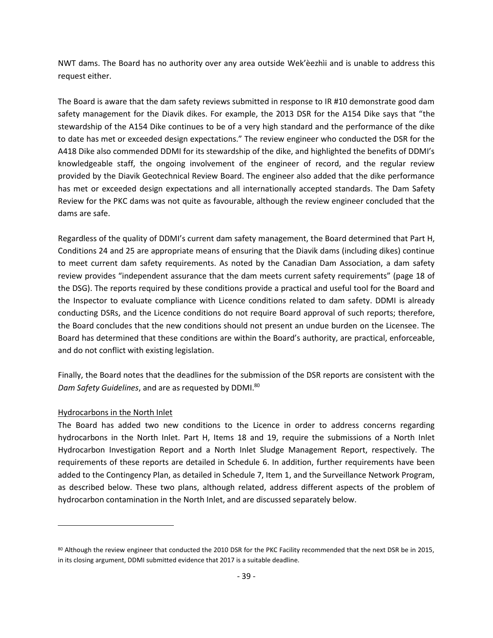NWT dams. The Board has no authority over any area outside Wek'èezhìi and is unable to address this request either.

The Board is aware that the dam safety reviews submitted in response to IR #10 demonstrate good dam safety management for the Diavik dikes. For example, the 2013 DSR for the A154 Dike says that "the stewardship of the A154 Dike continues to be of a very high standard and the performance of the dike to date has met or exceeded design expectations." The review engineer who conducted the DSR for the A418 Dike also commended DDMI for its stewardship of the dike, and highlighted the benefits of DDMI's knowledgeable staff, the ongoing involvement of the engineer of record, and the regular review provided by the Diavik Geotechnical Review Board. The engineer also added that the dike performance has met or exceeded design expectations and all internationally accepted standards. The Dam Safety Review for the PKC dams was not quite as favourable, although the review engineer concluded that the dams are safe.

Regardless of the quality of DDMI's current dam safety management, the Board determined that Part H, Conditions 24 and 25 are appropriate means of ensuring that the Diavik dams (including dikes) continue to meet current dam safety requirements. As noted by the Canadian Dam Association, a dam safety review provides "independent assurance that the dam meets current safety requirements" (page 18 of the DSG). The reports required by these conditions provide a practical and useful tool for the Board and the Inspector to evaluate compliance with Licence conditions related to dam safety. DDMI is already conducting DSRs, and the Licence conditions do not require Board approval of such reports; therefore, the Board concludes that the new conditions should not present an undue burden on the Licensee. The Board has determined that these conditions are within the Board's authority, are practical, enforceable, and do not conflict with existing legislation.

Finally, the Board notes that the deadlines for the submission of the DSR reports are consistent with the Dam Safety Guidelines, and are as requested by DDMI.<sup>80</sup>

#### Hydrocarbons in the North Inlet

 $\overline{a}$ 

The Board has added two new conditions to the Licence in order to address concerns regarding hydrocarbons in the North Inlet. Part H, Items 18 and 19, require the submissions of a North Inlet Hydrocarbon Investigation Report and a North Inlet Sludge Management Report, respectively. The requirements of these reports are detailed in Schedule 6. In addition, further requirements have been added to the Contingency Plan, as detailed in Schedule 7, Item 1, and the Surveillance Network Program, as described below. These two plans, although related, address different aspects of the problem of hydrocarbon contamination in the North Inlet, and are discussed separately below.

<sup>80</sup> Although the review engineer that conducted the 2010 DSR for the PKC Facility recommended that the next DSR be in 2015, in its closing argument, DDMI submitted evidence that 2017 is a suitable deadline.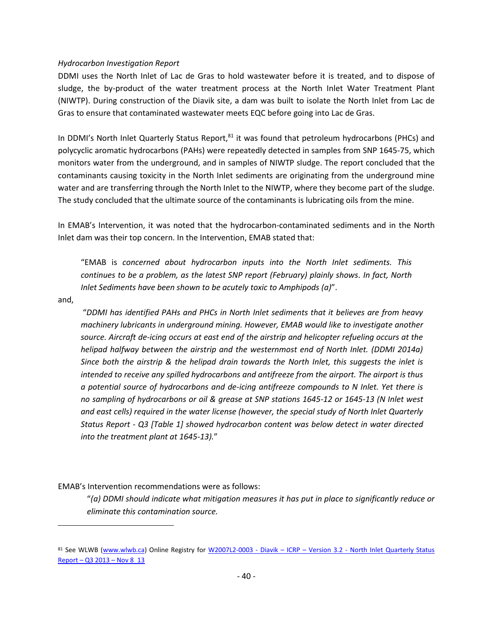#### *Hydrocarbon Investigation Report*

DDMI uses the North Inlet of Lac de Gras to hold wastewater before it is treated, and to dispose of sludge, the by-product of the water treatment process at the North Inlet Water Treatment Plant (NIWTP). During construction of the Diavik site, a dam was built to isolate the North Inlet from Lac de Gras to ensure that contaminated wastewater meets EQC before going into Lac de Gras.

In DDMI's North Inlet Quarterly Status Report,<sup>81</sup> it was found that petroleum hydrocarbons (PHCs) and polycyclic aromatic hydrocarbons (PAHs) were repeatedly detected in samples from SNP 1645-75, which monitors water from the underground, and in samples of NIWTP sludge. The report concluded that the contaminants causing toxicity in the North Inlet sediments are originating from the underground mine water and are transferring through the North Inlet to the NIWTP, where they become part of the sludge. The study concluded that the ultimate source of the contaminants is lubricating oils from the mine.

In EMAB's Intervention, it was noted that the hydrocarbon-contaminated sediments and in the North Inlet dam was their top concern. In the Intervention, EMAB stated that:

"EMAB is *concerned about hydrocarbon inputs into the North Inlet sediments. This continues to be a problem, as the latest SNP report (February) plainly shows. In fact, North Inlet Sediments have been shown to be acutely toxic to Amphipods (a)*".

and,

 $\overline{a}$ 

"*DDMI has identified PAHs and PHCs in North Inlet sediments that it believes are from heavy machinery lubricants in underground mining. However, EMAB would like to investigate another source. Aircraft de-icing occurs at east end of the airstrip and helicopter refueling occurs at the helipad halfway between the airstrip and the westernmost end of North Inlet. (DDMI 2014a) Since both the airstrip & the helipad drain towards the North Inlet, this suggests the inlet is intended to receive any spilled hydrocarbons and antifreeze from the airport. The airport is thus a potential source of hydrocarbons and de-icing antifreeze compounds to N Inlet. Yet there is no sampling of hydrocarbons or oil & grease at SNP stations 1645-12 or 1645-13 (N Inlet west and east cells) required in the water license (however, the special study of North Inlet Quarterly Status Report - Q3 [Table 1] showed hydrocarbon content was below detect in water directed into the treatment plant at 1645-13).*"

EMAB's Intervention recommendations were as follows:

"*(a) DDMI should indicate what mitigation measures it has put in place to significantly reduce or eliminate this contamination source.* 

<sup>81</sup> See WLWB [\(www.wlwb.ca\)](http://www.wlwb.ca/) Online Registry for W2007L2-0003 - Diavik – ICRP – Version 3.2 - North Inlet Quarterly Status Report – Q3 2013 – [Nov 8\\_13](http://www.mvlwb.ca/Boards/WLWB/Registry/2007/W2007L2-0003/W2007L2-0003%20-%20Diavik%20-%20ICRP%20-%20Version%203.2%20-%20North%20Inlet%20Quarterly%20Status%20Report%20-%20Q3%202013%20-%20Nov%208_13.pdf)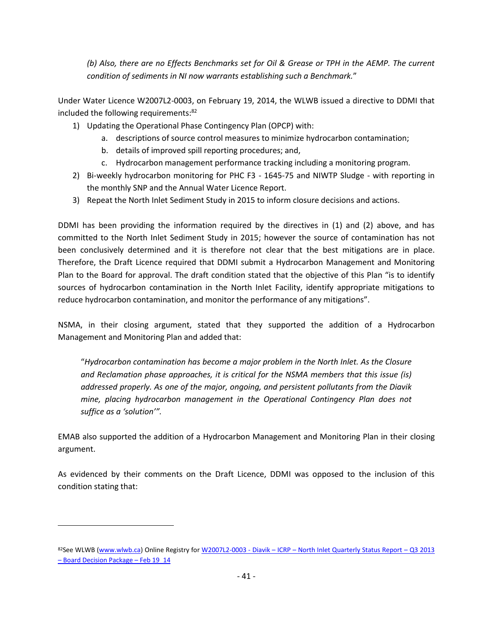*(b) Also, there are no Effects Benchmarks set for Oil & Grease or TPH in the AEMP. The current condition of sediments in NI now warrants establishing such a Benchmark.*"

Under Water Licence W2007L2-0003, on February 19, 2014, the WLWB issued a directive to DDMI that included the following requirements:<sup>82</sup>

- 1) Updating the Operational Phase Contingency Plan (OPCP) with:
	- a. descriptions of source control measures to minimize hydrocarbon contamination;
	- b. details of improved spill reporting procedures; and,
	- c. Hydrocarbon management performance tracking including a monitoring program.
- 2) Bi-weekly hydrocarbon monitoring for PHC F3 1645-75 and NIWTP Sludge with reporting in the monthly SNP and the Annual Water Licence Report.
- 3) Repeat the North Inlet Sediment Study in 2015 to inform closure decisions and actions.

DDMI has been providing the information required by the directives in (1) and (2) above, and has committed to the North Inlet Sediment Study in 2015; however the source of contamination has not been conclusively determined and it is therefore not clear that the best mitigations are in place. Therefore, the Draft Licence required that DDMI submit a Hydrocarbon Management and Monitoring Plan to the Board for approval. The draft condition stated that the objective of this Plan "is to identify sources of hydrocarbon contamination in the North Inlet Facility, identify appropriate mitigations to reduce hydrocarbon contamination, and monitor the performance of any mitigations".

NSMA, in their closing argument, stated that they supported the addition of a Hydrocarbon Management and Monitoring Plan and added that:

"*Hydrocarbon contamination has become a major problem in the North Inlet. As the Closure and Reclamation phase approaches, it is critical for the NSMA members that this issue (is) addressed properly. As one of the major, ongoing, and persistent pollutants from the Diavik mine, placing hydrocarbon management in the Operational Contingency Plan does not suffice as a 'solution'".*

EMAB also supported the addition of a Hydrocarbon Management and Monitoring Plan in their closing argument.

As evidenced by their comments on the Draft Licence, DDMI was opposed to the inclusion of this condition stating that:

<sup>82</sup>See WLWB [\(www.wlwb.ca\)](http://www.wlwb.ca/) Online Registry for W2007L2-0003 - Diavik – ICRP – [North Inlet Quarterly Status Report](http://www.mvlwb.ca/Boards/WLWB/Registry/2007/W2007L2-0003/AEMP/W2007L2-0003%20-%20Diavik%20-%20ICRP%20-%20North%20Inlet%20Quarterly%20Status%20Report%20-%20Q3%202013%20-%20Board%20Decision%20Package%20-%20Feb%2019_14.pdf) – Q3 2013 – [Board Decision Package](http://www.mvlwb.ca/Boards/WLWB/Registry/2007/W2007L2-0003/AEMP/W2007L2-0003%20-%20Diavik%20-%20ICRP%20-%20North%20Inlet%20Quarterly%20Status%20Report%20-%20Q3%202013%20-%20Board%20Decision%20Package%20-%20Feb%2019_14.pdf) – Feb 19\_14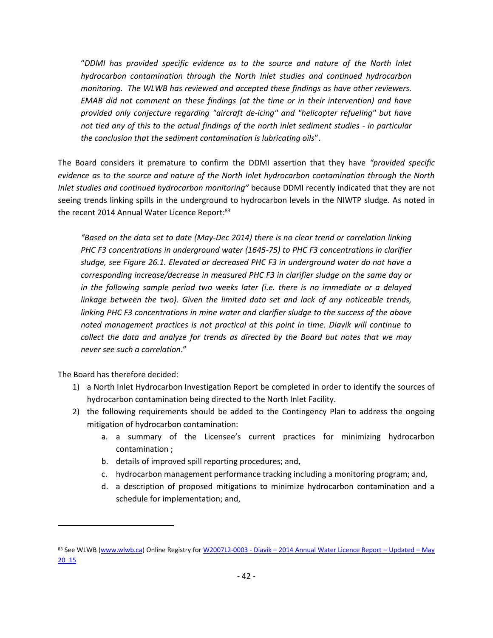"*DDMI has provided specific evidence as to the source and nature of the North Inlet hydrocarbon contamination through the North Inlet studies and continued hydrocarbon monitoring. The WLWB has reviewed and accepted these findings as have other reviewers. EMAB did not comment on these findings (at the time or in their intervention) and have provided only conjecture regarding "aircraft de-icing" and "helicopter refueling" but have not tied any of this to the actual findings of the north inlet sediment studies - in particular the conclusion that the sediment contamination is lubricating oils*".

The Board considers it premature to confirm the DDMI assertion that they have *"provided specific evidence as to the source and nature of the North Inlet hydrocarbon contamination through the North Inlet studies and continued hydrocarbon monitoring"* because DDMI recently indicated that they are not seeing trends linking spills in the underground to hydrocarbon levels in the NIWTP sludge. As noted in the recent 2014 Annual Water Licence Report: 83

*"Based on the data set to date (May-Dec 2014) there is no clear trend or correlation linking PHC F3 concentrations in underground water (1645-75) to PHC F3 concentrations in clarifier sludge, see Figure 26.1. Elevated or decreased PHC F3 in underground water do not have a corresponding increase/decrease in measured PHC F3 in clarifier sludge on the same day or in the following sample period two weeks later (i.e. there is no immediate or a delayed linkage between the two). Given the limited data set and lack of any noticeable trends, linking PHC F3 concentrations in mine water and clarifier sludge to the success of the above noted management practices is not practical at this point in time. Diavik will continue to collect the data and analyze for trends as directed by the Board but notes that we may never see such a correlation*."

The Board has therefore decided:

- 1) a North Inlet Hydrocarbon Investigation Report be completed in order to identify the sources of hydrocarbon contamination being directed to the North Inlet Facility.
- 2) the following requirements should be added to the Contingency Plan to address the ongoing mitigation of hydrocarbon contamination:
	- a. a summary of the Licensee's current practices for minimizing hydrocarbon contamination ;
	- b. details of improved spill reporting procedures; and,
	- c. hydrocarbon management performance tracking including a monitoring program; and,
	- d. a description of proposed mitigations to minimize hydrocarbon contamination and a schedule for implementation; and,

<sup>83</sup> See WLWB [\(www.wlwb.ca\)](http://www.wlwb.ca/) Online Registry for W2007L2-0003 - Diavik - [2014 Annual Water Licence Report](http://www.mvlwb.ca/Boards/WLWB/Registry/2007/W2007L2-0003/Reports/W2007L2-0003%20-%20Diavik%20-%202014%20Annual%20Water%20Licence%20Report%20-%20Updated%20-%20May%2020_15.pdf) - Updated - May [20\\_15](http://www.mvlwb.ca/Boards/WLWB/Registry/2007/W2007L2-0003/Reports/W2007L2-0003%20-%20Diavik%20-%202014%20Annual%20Water%20Licence%20Report%20-%20Updated%20-%20May%2020_15.pdf)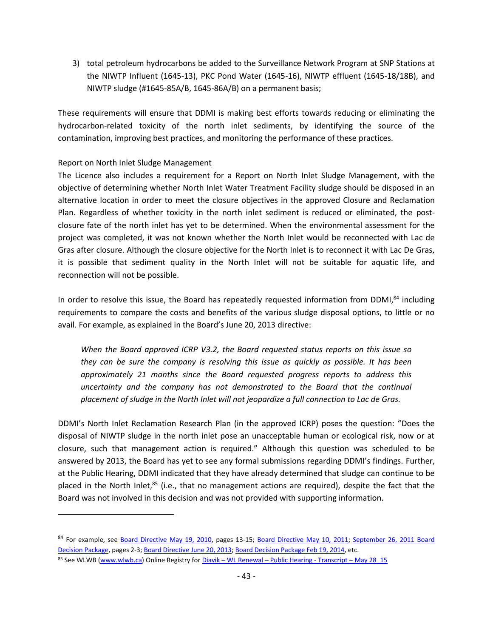3) total petroleum hydrocarbons be added to the Surveillance Network Program at SNP Stations at the NIWTP Influent (1645-13), PKC Pond Water (1645-16), NIWTP effluent (1645-18/18B), and NIWTP sludge (#1645-85A/B, 1645-86A/B) on a permanent basis;

These requirements will ensure that DDMI is making best efforts towards reducing or eliminating the hydrocarbon-related toxicity of the north inlet sediments, by identifying the source of the contamination, improving best practices, and monitoring the performance of these practices.

### Report on North Inlet Sludge Management

 $\overline{a}$ 

The Licence also includes a requirement for a Report on North Inlet Sludge Management, with the objective of determining whether North Inlet Water Treatment Facility sludge should be disposed in an alternative location in order to meet the closure objectives in the approved Closure and Reclamation Plan. Regardless of whether toxicity in the north inlet sediment is reduced or eliminated, the postclosure fate of the north inlet has yet to be determined. When the environmental assessment for the project was completed, it was not known whether the North Inlet would be reconnected with Lac de Gras after closure. Although the closure objective for the North Inlet is to reconnect it with Lac De Gras, it is possible that sediment quality in the North Inlet will not be suitable for aquatic life, and reconnection will not be possible.

In order to resolve this issue, the Board has repeatedly requested information from DDMI, $^{84}$  including requirements to compare the costs and benefits of the various sludge disposal options, to little or no avail. For example, as explained in the Board's June 20, 2013 directive:

*When the Board approved ICRP V3.2, the Board requested status reports on this issue so they can be sure the company is resolving this issue as quickly as possible. It has been approximately 21 months since the Board requested progress reports to address this uncertainty and the company has not demonstrated to the Board that the continual placement of sludge in the North Inlet will not jeopardize a full connection to Lac de Gras.*

DDMI's North Inlet Reclamation Research Plan (in the approved ICRP) poses the question: "Does the disposal of NIWTP sludge in the north inlet pose an unacceptable human or ecological risk, now or at closure, such that management action is required." Although this question was scheduled to be answered by 2013, the Board has yet to see any formal submissions regarding DDMI's findings. Further, at the Public Hearing, DDMI indicated that they have already determined that sludge can continue to be placed in the North Inlet,<sup>85</sup> (i.e., that no management actions are required), despite the fact that the Board was not involved in this decision and was not provided with supporting information.

<sup>84</sup> For example, see [Board Directive May 19, 2010,](http://www.mvlwb.ca/Boards/WLWB/Registry/2007/W2007L2-0003/ICRP/W2007L2-0003%20-%20Diavik%20-%20ICRP%20-%20Board%20Decision%20Package%20-%20May%2020_10.pdf) pages 13-15; [Board Directive May 10, 2011;](http://www.mvlwb.ca/Boards/WLWB/Registry/2007/W2007L2-0003/W2007L2-0003%20-%20Diavik%20-%20ICRP%20-%20Version%203.1%20-%20Board%20Directive%20-%20May%2010_11.doc) September 26, 2011 Board [Decision Package,](http://www.mvlwb.ca/Boards/WLWB/Registry/2007/W2007L2-0003/W2007L2-0003%20-%20Diavik%20-%20ICRP%20-%20Version%203.2%20-%20Board%20Decision%20Package%20-%20Sep%2021_11.pdf) pages 2-3; Board [Directive June 20, 2013;](http://www.mvlwb.ca/Boards/WLWB/Registry/2007/W2007L2-0003/W2007L2-0003%20-%20Diavik%20-%20ICRP%20-%20Version%203.2%20-%20North%20Inlet%20Quarterly%20Status%20Report%20-%20Directive%20-%20Jun%2020_13.pdf) [Board Decision Package Feb 19, 2014,](http://www.mvlwb.ca/Boards/WLWB/Registry/2007/W2007L2-0003/AEMP/W2007L2-0003%20-%20Diavik%20-%20ICRP%20-%20North%20Inlet%20Quarterly%20Status%20Report%20-%20Q3%202013%20-%20Board%20Decision%20Package%20-%20Feb%2019_14.pdf) etc.

<sup>85</sup> See WLWB [\(www.wlwb.ca\)](http://www.wlwb.ca/) Online Registry for Diavik – WL Renewal – [Public Hearing -](http://www.mvlwb.ca/Boards/WLWB/Registry/2015/W2015L2-0001/Diavik%20-%20WL%20Renewal%20-%20Public%20Hearing%20-%20Transcript%20-%20May%2028_15.pdf) Transcript – May 28\_15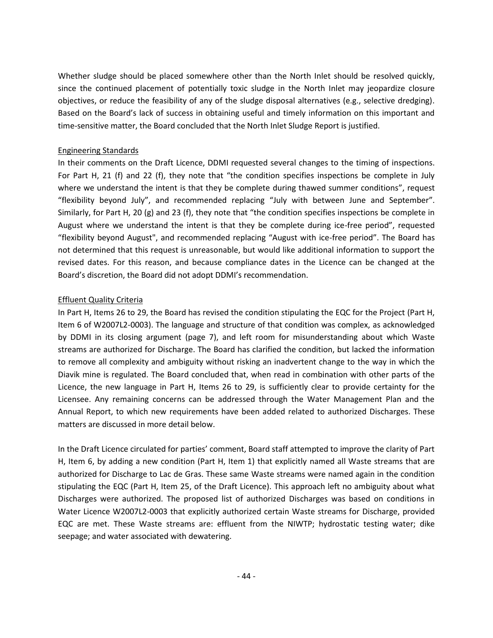Whether sludge should be placed somewhere other than the North Inlet should be resolved quickly, since the continued placement of potentially toxic sludge in the North Inlet may jeopardize closure objectives, or reduce the feasibility of any of the sludge disposal alternatives (e.g., selective dredging). Based on the Board's lack of success in obtaining useful and timely information on this important and time-sensitive matter, the Board concluded that the North Inlet Sludge Report is justified.

### Engineering Standards

In their comments on the Draft Licence, DDMI requested several changes to the timing of inspections. For Part H, 21 (f) and 22 (f), they note that "the condition specifies inspections be complete in July where we understand the intent is that they be complete during thawed summer conditions", request "flexibility beyond July", and recommended replacing "July with between June and September". Similarly, for Part H, 20 (g) and 23 (f), they note that "the condition specifies inspections be complete in August where we understand the intent is that they be complete during ice-free period", requested "flexibility beyond August", and recommended replacing "August with ice-free period". The Board has not determined that this request is unreasonable, but would like additional information to support the revised dates. For this reason, and because compliance dates in the Licence can be changed at the Board's discretion, the Board did not adopt DDMI's recommendation.

### Effluent Quality Criteria

In Part H, Items 26 to 29, the Board has revised the condition stipulating the EQC for the Project (Part H, Item 6 of W2007L2-0003). The language and structure of that condition was complex, as acknowledged by DDMI in its closing argument (page 7), and left room for misunderstanding about which Waste streams are authorized for Discharge. The Board has clarified the condition, but lacked the information to remove all complexity and ambiguity without risking an inadvertent change to the way in which the Diavik mine is regulated. The Board concluded that, when read in combination with other parts of the Licence, the new language in Part H, Items 26 to 29, is sufficiently clear to provide certainty for the Licensee. Any remaining concerns can be addressed through the Water Management Plan and the Annual Report, to which new requirements have been added related to authorized Discharges. These matters are discussed in more detail below.

In the Draft Licence circulated for parties' comment, Board staff attempted to improve the clarity of Part H, Item 6, by adding a new condition (Part H, Item 1) that explicitly named all Waste streams that are authorized for Discharge to Lac de Gras. These same Waste streams were named again in the condition stipulating the EQC (Part H, Item 25, of the Draft Licence). This approach left no ambiguity about what Discharges were authorized. The proposed list of authorized Discharges was based on conditions in Water Licence W2007L2-0003 that explicitly authorized certain Waste streams for Discharge, provided EQC are met. These Waste streams are: effluent from the NIWTP; hydrostatic testing water; dike seepage; and water associated with dewatering.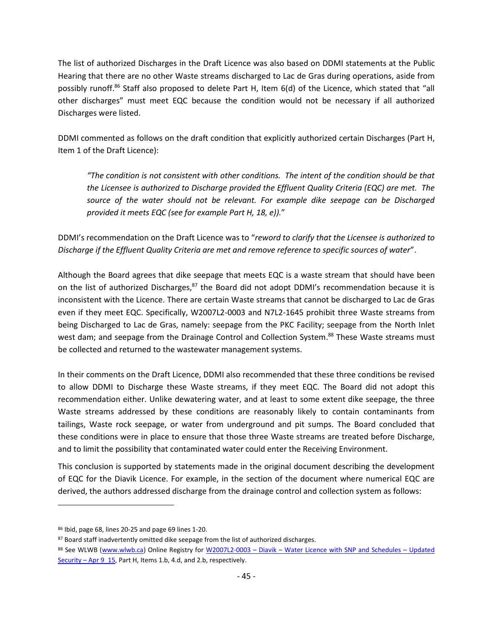The list of authorized Discharges in the Draft Licence was also based on DDMI statements at the Public Hearing that there are no other Waste streams discharged to Lac de Gras during operations, aside from possibly runoff.<sup>86</sup> Staff also proposed to delete Part H, Item 6(d) of the Licence, which stated that "all other discharges" must meet EQC because the condition would not be necessary if all authorized Discharges were listed.

DDMI commented as follows on the draft condition that explicitly authorized certain Discharges (Part H, Item 1 of the Draft Licence):

*"The condition is not consistent with other conditions. The intent of the condition should be that the Licensee is authorized to Discharge provided the Effluent Quality Criteria (EQC) are met. The source of the water should not be relevant. For example dike seepage can be Discharged provided it meets EQC (see for example Part H, 18, e)).*"

DDMI's recommendation on the Draft Licence was to "*reword to clarify that the Licensee is authorized to Discharge if the Effluent Quality Criteria are met and remove reference to specific sources of water*".

Although the Board agrees that dike seepage that meets EQC is a waste stream that should have been on the list of authorized Discharges,<sup>87</sup> the Board did not adopt DDMI's recommendation because it is inconsistent with the Licence. There are certain Waste streams that cannot be discharged to Lac de Gras even if they meet EQC. Specifically, W2007L2-0003 and N7L2-1645 prohibit three Waste streams from being Discharged to Lac de Gras, namely: seepage from the PKC Facility; seepage from the North Inlet west dam; and seepage from the Drainage Control and Collection System.<sup>88</sup> These Waste streams must be collected and returned to the wastewater management systems.

In their comments on the Draft Licence, DDMI also recommended that these three conditions be revised to allow DDMI to Discharge these Waste streams, if they meet EQC. The Board did not adopt this recommendation either. Unlike dewatering water, and at least to some extent dike seepage, the three Waste streams addressed by these conditions are reasonably likely to contain contaminants from tailings, Waste rock seepage, or water from underground and pit sumps. The Board concluded that these conditions were in place to ensure that those three Waste streams are treated before Discharge, and to limit the possibility that contaminated water could enter the Receiving Environment.

This conclusion is supported by statements made in the original document describing the development of EQC for the Diavik Licence. For example, in the section of the document where numerical EQC are derived, the authors addressed discharge from the drainage control and collection system as follows:

<sup>86</sup> Ibid, page 68, lines 20-25 and page 69 lines 1-20.

<sup>87</sup> Board staff inadvertently omitted dike seepage from the list of authorized discharges.

<sup>88</sup> See WLWB [\(www.wlwb.ca\)](http://www.wlwb.ca/) Online Registry for W2007L2-0003 - Diavik - [Water Licence with SNP and Schedules](http://www.mvlwb.ca/Boards/WLWB/Registry/2007/W2007L2-0003/W2007L2-0003%20-%20Diavik%20-%20Water%20Licence%20%20with%20SNP%20and%20Schedules%20-%20Updated%20Security%20-%20Apr%209_15.pdf) - Updated Security – [Apr 9\\_15,](http://www.mvlwb.ca/Boards/WLWB/Registry/2007/W2007L2-0003/W2007L2-0003%20-%20Diavik%20-%20Water%20Licence%20%20with%20SNP%20and%20Schedules%20-%20Updated%20Security%20-%20Apr%209_15.pdf) Part H, Items 1.b, 4.d, and 2.b, respectively.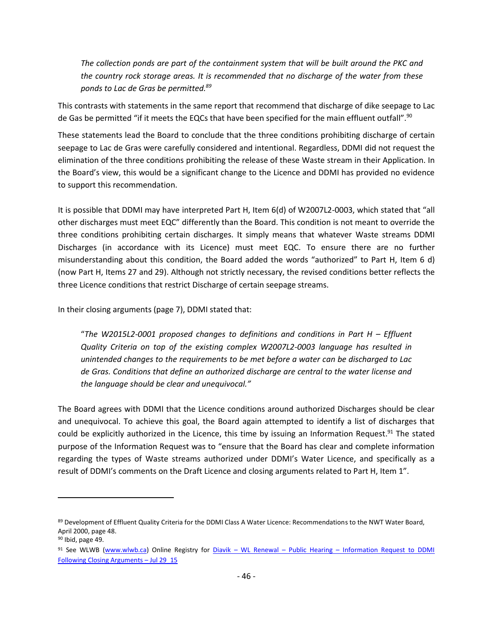*The collection ponds are part of the containment system that will be built around the PKC and the country rock storage areas. It is recommended that no discharge of the water from these ponds to Lac de Gras be permitted.<sup>89</sup>*

This contrasts with statements in the same report that recommend that discharge of dike seepage to Lac de Gas be permitted "if it meets the EQCs that have been specified for the main effluent outfall".<sup>90</sup>

These statements lead the Board to conclude that the three conditions prohibiting discharge of certain seepage to Lac de Gras were carefully considered and intentional. Regardless, DDMI did not request the elimination of the three conditions prohibiting the release of these Waste stream in their Application. In the Board's view, this would be a significant change to the Licence and DDMI has provided no evidence to support this recommendation.

It is possible that DDMI may have interpreted Part H, Item 6(d) of W2007L2-0003, which stated that "all other discharges must meet EQC" differently than the Board. This condition is not meant to override the three conditions prohibiting certain discharges. It simply means that whatever Waste streams DDMI Discharges (in accordance with its Licence) must meet EQC. To ensure there are no further misunderstanding about this condition, the Board added the words "authorized" to Part H, Item 6 d) (now Part H, Items 27 and 29). Although not strictly necessary, the revised conditions better reflects the three Licence conditions that restrict Discharge of certain seepage streams.

In their closing arguments (page 7), DDMI stated that:

"*The W2015L2-0001 proposed changes to definitions and conditions in Part H – Effluent Quality Criteria on top of the existing complex W2007L2-0003 language has resulted in unintended changes to the requirements to be met before a water can be discharged to Lac de Gras. Conditions that define an authorized discharge are central to the water license and the language should be clear and unequivocal."*

The Board agrees with DDMI that the Licence conditions around authorized Discharges should be clear and unequivocal. To achieve this goal, the Board again attempted to identify a list of discharges that could be explicitly authorized in the Licence, this time by issuing an Information Request.<sup>91</sup> The stated purpose of the Information Request was to "ensure that the Board has clear and complete information regarding the types of Waste streams authorized under DDMI's Water Licence, and specifically as a result of DDMI's comments on the Draft Licence and closing arguments related to Part H, Item 1".

<sup>89</sup> Development of Effluent Quality Criteria for the DDMI Class A Water Licence: Recommendations to the NWT Water Board, April 2000, page 48.

<sup>90</sup> Ibid, page 49.

<sup>91</sup> See WLWB [\(www.wlwb.ca\)](http://www.wlwb.ca/) Online Registry for Diavik – WL Renewal – Public Hearing – Information Request to DDMI [Following Closing Arguments](http://www.mvlwb.ca/Boards/WLWB/Registry/2015/W2015L2-0001/Diavik%20-%20WL%20Renewal%20-%20Public%20Hearing%20-%20Information%20Request%20to%20DDMI%20Following%20Closing%20Arguments%20-%20Jul%2029_15.pdf) – Jul 29\_15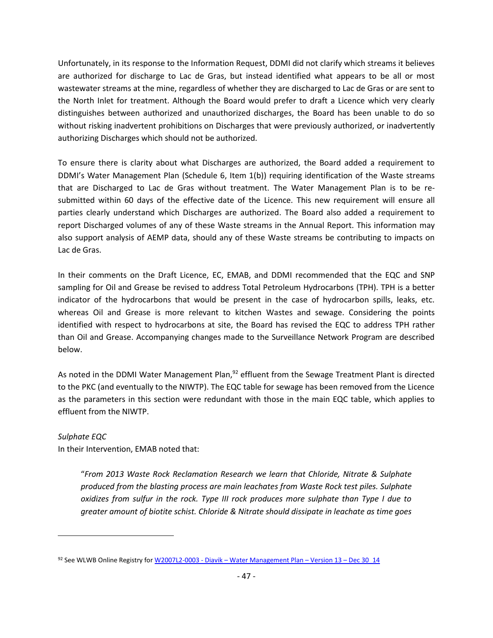Unfortunately, in its response to the Information Request, DDMI did not clarify which streams it believes are authorized for discharge to Lac de Gras, but instead identified what appears to be all or most wastewater streams at the mine, regardless of whether they are discharged to Lac de Gras or are sent to the North Inlet for treatment. Although the Board would prefer to draft a Licence which very clearly distinguishes between authorized and unauthorized discharges, the Board has been unable to do so without risking inadvertent prohibitions on Discharges that were previously authorized, or inadvertently authorizing Discharges which should not be authorized.

To ensure there is clarity about what Discharges are authorized, the Board added a requirement to DDMI's Water Management Plan (Schedule 6, Item 1(b)) requiring identification of the Waste streams that are Discharged to Lac de Gras without treatment. The Water Management Plan is to be resubmitted within 60 days of the effective date of the Licence. This new requirement will ensure all parties clearly understand which Discharges are authorized. The Board also added a requirement to report Discharged volumes of any of these Waste streams in the Annual Report. This information may also support analysis of AEMP data, should any of these Waste streams be contributing to impacts on Lac de Gras.

In their comments on the Draft Licence, EC, EMAB, and DDMI recommended that the EQC and SNP sampling for Oil and Grease be revised to address Total Petroleum Hydrocarbons (TPH). TPH is a better indicator of the hydrocarbons that would be present in the case of hydrocarbon spills, leaks, etc. whereas Oil and Grease is more relevant to kitchen Wastes and sewage. Considering the points identified with respect to hydrocarbons at site, the Board has revised the EQC to address TPH rather than Oil and Grease. Accompanying changes made to the Surveillance Network Program are described below.

As noted in the DDMI Water Management Plan,<sup>92</sup> effluent from the Sewage Treatment Plant is directed to the PKC (and eventually to the NIWTP). The EQC table for sewage has been removed from the Licence as the parameters in this section were redundant with those in the main EQC table, which applies to effluent from the NIWTP.

# *Sulphate EQC*

 $\overline{a}$ 

In their Intervention, EMAB noted that:

"*From 2013 Waste Rock Reclamation Research we learn that Chloride, Nitrate & Sulphate produced from the blasting process are main leachates from Waste Rock test piles. Sulphate oxidizes from sulfur in the rock. Type III rock produces more sulphate than Type I due to greater amount of biotite schist. Chloride & Nitrate should dissipate in leachate as time goes* 

<sup>92</sup> See WLWB Online Registry for W2007L2-0003 - Diavik – [Water Management Plan](http://www.mvlwb.ca/Boards/WLWB/Registry/2007/W2007L2-0003/W2007L2-0003%20-%20Diavik%20-%20Water%20Management%20Plan%20-%20Version%2013%20-%20Dec%2030_14.pdf) – Version 13 – Dec 30\_14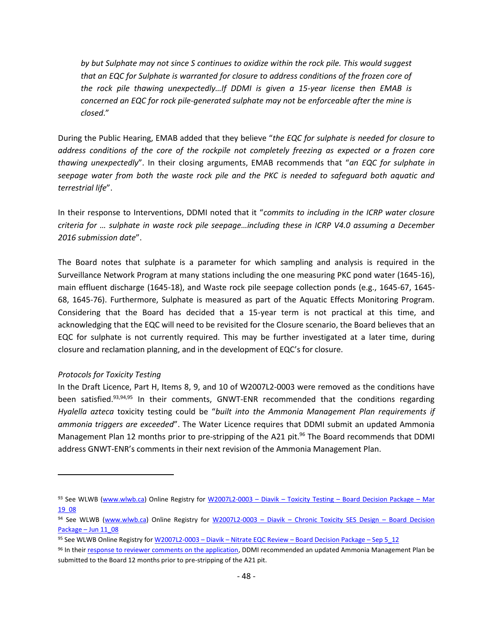*by but Sulphate may not since S continues to oxidize within the rock pile. This would suggest that an EQC for Sulphate is warranted for closure to address conditions of the frozen core of the rock pile thawing unexpectedly…If DDMI is given a 15-year license then EMAB is concerned an EQC for rock pile-generated sulphate may not be enforceable after the mine is closed*."

During the Public Hearing, EMAB added that they believe "*the EQC for sulphate is needed for closure to address conditions of the core of the rockpile not completely freezing as expected or a frozen core thawing unexpectedly*". In their closing arguments, EMAB recommends that "*an EQC for sulphate in seepage water from both the waste rock pile and the PKC is needed to safeguard both aquatic and terrestrial life*".

In their response to Interventions, DDMI noted that it "*commits to including in the ICRP water closure criteria for … sulphate in waste rock pile seepage…including these in ICRP V4.0 assuming a December 2016 submission date*".

The Board notes that sulphate is a parameter for which sampling and analysis is required in the Surveillance Network Program at many stations including the one measuring PKC pond water (1645-16), main effluent discharge (1645-18), and Waste rock pile seepage collection ponds (e.g., 1645-67, 1645- 68, 1645-76). Furthermore, Sulphate is measured as part of the Aquatic Effects Monitoring Program. Considering that the Board has decided that a 15-year term is not practical at this time, and acknowledging that the EQC will need to be revisited for the Closure scenario, the Board believes that an EQC for sulphate is not currently required. This may be further investigated at a later time, during closure and reclamation planning, and in the development of EQC's for closure.

#### *Protocols for Toxicity Testing*

 $\overline{a}$ 

In the Draft Licence, Part H, Items 8, 9, and 10 of W2007L2-0003 were removed as the conditions have been satisfied.<sup>93,94,95</sup> In their comments, GNWT-ENR recommended that the conditions regarding *Hyalella azteca* toxicity testing could be "*built into the Ammonia Management Plan requirements if ammonia triggers are exceeded*". The Water Licence requires that DDMI submit an updated Ammonia Management Plan 12 months prior to pre-stripping of the A21 pit.<sup>96</sup> The Board recommends that DDMI address GNWT-ENR's comments in their next revision of the Ammonia Management Plan.

<sup>93</sup> See WLWB [\(www.wlwb.ca\)](http://www.wlwb.ca/) Online Registry for W2007L2-0003 - Diavik - Toxicity Testing - [Board Decision Package](http://www.mvlwb.ca/Boards/WLWB/Registry/2007/W2007L2-0003/W2007L2-0003%20-%20Diavik%20-%20Toxicity%20Testing%20-%20Board%20Decision%20Package%20-%20Mar%2019_08.pdf) - Mar [19\\_08](http://www.mvlwb.ca/Boards/WLWB/Registry/2007/W2007L2-0003/W2007L2-0003%20-%20Diavik%20-%20Toxicity%20Testing%20-%20Board%20Decision%20Package%20-%20Mar%2019_08.pdf)

<sup>94</sup> See WLWB [\(www.wlwb.ca\)](http://www.wlwb.ca/) Online Registry for W2007L2-0003 - Diavik - [Chronic Toxicity SES Design](http://www.mvlwb.ca/Boards/WLWB/Registry/2007/W2007L2-0003/W2007L2-0003%20-%20Diavik%20-%20Chronic%20Toxicity%20SES%20Design%20-%20Board%20Decision%20Package%20-%20Jun%2011_08.pdf) - Board Decision Package – [Jun 11\\_08](http://www.mvlwb.ca/Boards/WLWB/Registry/2007/W2007L2-0003/W2007L2-0003%20-%20Diavik%20-%20Chronic%20Toxicity%20SES%20Design%20-%20Board%20Decision%20Package%20-%20Jun%2011_08.pdf)

<sup>95</sup> See WLWB Online Registry for W2007L2-0003 - Diavik - Nitrate EQC Review - [Board Decision Package](http://www.mvlwb.ca/Boards/WLWB/Registry/2007/W2007L2-0003/W2007L2-0003%20-%20Diavik%20-%20Nitrate%20EQC%20Review%20-%20Board%20Decision%20Package%20-%20Sep%205_12.pdf) - Sep 5\_12

<sup>96</sup> In their [response to reviewer comments on the application,](http://www.mvlwb.ca/Boards/WLWB/Registry/2015/W2015L2-0001/Diavik%20-%20WL%20Renewal%20-%20Review%20Comment%20Table%20and%20Attachments%20-%20Mar%2026_15.pdf) DDMI recommended an updated Ammonia Management Plan be submitted to the Board 12 months prior to pre-stripping of the A21 pit.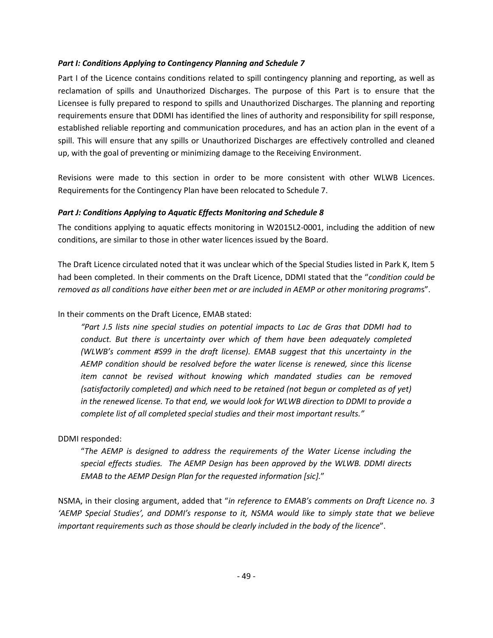### <span id="page-48-0"></span>*Part I: Conditions Applying to Contingency Planning and Schedule 7*

Part I of the Licence contains conditions related to spill contingency planning and reporting, as well as reclamation of spills and Unauthorized Discharges. The purpose of this Part is to ensure that the Licensee is fully prepared to respond to spills and Unauthorized Discharges. The planning and reporting requirements ensure that DDMI has identified the lines of authority and responsibility for spill response, established reliable reporting and communication procedures, and has an action plan in the event of a spill. This will ensure that any spills or Unauthorized Discharges are effectively controlled and cleaned up, with the goal of preventing or minimizing damage to the Receiving Environment.

Revisions were made to this section in order to be more consistent with other WLWB Licences. Requirements for the Contingency Plan have been relocated to Schedule 7.

### <span id="page-48-1"></span>*Part J: Conditions Applying to Aquatic Effects Monitoring and Schedule 8*

The conditions applying to aquatic effects monitoring in W2015L2-0001, including the addition of new conditions, are similar to those in other water licences issued by the Board.

The Draft Licence circulated noted that it was unclear which of the Special Studies listed in Park K, Item 5 had been completed. In their comments on the Draft Licence, DDMI stated that the "*condition could be removed as all conditions have either been met or are included in AEMP or other monitoring program*s".

In their comments on the Draft Licence, EMAB stated:

*"Part J.5 lists nine special studies on potential impacts to Lac de Gras that DDMI had to conduct. But there is uncertainty over which of them have been adequately completed (WLWB's comment #S99 in the draft license). EMAB suggest that this uncertainty in the AEMP condition should be resolved before the water license is renewed, since this license item cannot be revised without knowing which mandated studies can be removed (satisfactorily completed) and which need to be retained (not begun or completed as of yet) in the renewed license. To that end, we would look for WLWB direction to DDMI to provide a complete list of all completed special studies and their most important results."*

# DDMI responded:

"*The AEMP is designed to address the requirements of the Water License including the special effects studies. The AEMP Design has been approved by the WLWB. DDMI directs EMAB to the AEMP Design Plan for the requested information [sic].*"

NSMA, in their closing argument, added that "*in reference to EMAB's comments on Draft Licence no. 3 'AEMP Special Studies', and DDMI's response to it, NSMA would like to simply state that we believe important requirements such as those should be clearly included in the body of the licence*".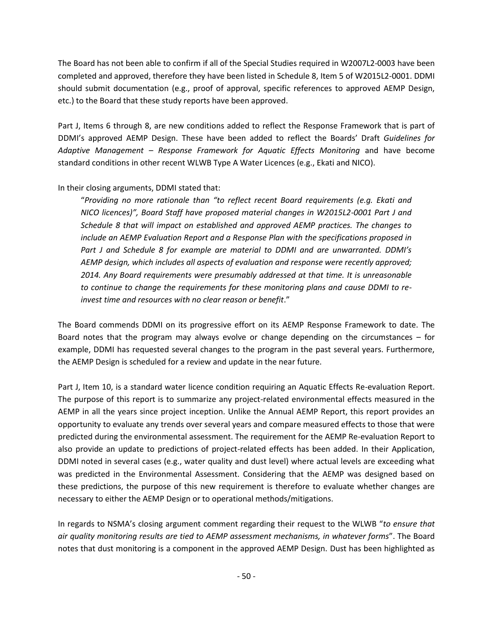The Board has not been able to confirm if all of the Special Studies required in W2007L2-0003 have been completed and approved, therefore they have been listed in Schedule 8, Item 5 of W2015L2-0001. DDMI should submit documentation (e.g., proof of approval, specific references to approved AEMP Design, etc.) to the Board that these study reports have been approved.

Part J, Items 6 through 8, are new conditions added to reflect the Response Framework that is part of DDMI's approved AEMP Design. These have been added to reflect the Boards' Draft *Guidelines for Adaptive Management – Response Framework for Aquatic Effects Monitoring* and have become standard conditions in other recent WLWB Type A Water Licences (e.g., Ekati and NICO).

### In their closing arguments, DDMI stated that:

"*Providing no more rationale than "to reflect recent Board requirements (e.g. Ekati and NICO licences)", Board Staff have proposed material changes in W2015L2-0001 Part J and Schedule 8 that will impact on established and approved AEMP practices. The changes to include an AEMP Evaluation Report and a Response Plan with the specifications proposed in Part J and Schedule 8 for example are material to DDMI and are unwarranted. DDMI's AEMP design, which includes all aspects of evaluation and response were recently approved; 2014. Any Board requirements were presumably addressed at that time. It is unreasonable to continue to change the requirements for these monitoring plans and cause DDMI to reinvest time and resources with no clear reason or benefit*."

The Board commends DDMI on its progressive effort on its AEMP Response Framework to date. The Board notes that the program may always evolve or change depending on the circumstances – for example, DDMI has requested several changes to the program in the past several years. Furthermore, the AEMP Design is scheduled for a review and update in the near future.

Part J, Item 10, is a standard water licence condition requiring an Aquatic Effects Re-evaluation Report. The purpose of this report is to summarize any project-related environmental effects measured in the AEMP in all the years since project inception. Unlike the Annual AEMP Report, this report provides an opportunity to evaluate any trends over several years and compare measured effects to those that were predicted during the environmental assessment. The requirement for the AEMP Re-evaluation Report to also provide an update to predictions of project-related effects has been added. In their Application, DDMI noted in several cases (e.g., water quality and dust level) where actual levels are exceeding what was predicted in the Environmental Assessment. Considering that the AEMP was designed based on these predictions, the purpose of this new requirement is therefore to evaluate whether changes are necessary to either the AEMP Design or to operational methods/mitigations.

In regards to NSMA's closing argument comment regarding their request to the WLWB "*to ensure that air quality monitoring results are tied to AEMP assessment mechanisms, in whatever forms*". The Board notes that dust monitoring is a component in the approved AEMP Design. Dust has been highlighted as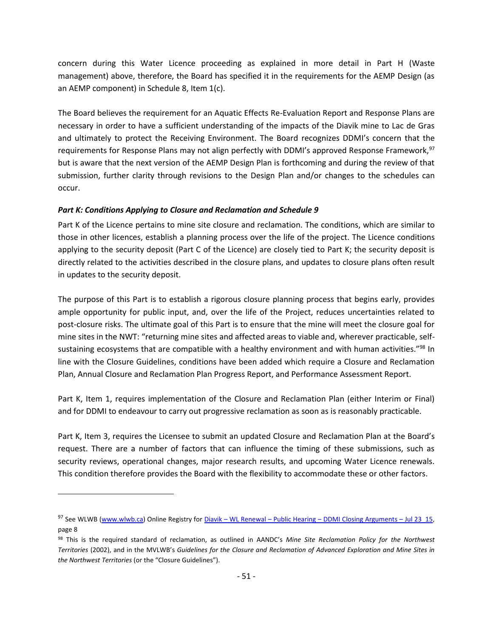concern during this Water Licence proceeding as explained in more detail in Part H (Waste management) above, therefore, the Board has specified it in the requirements for the AEMP Design (as an AEMP component) in Schedule 8, Item 1(c).

The Board believes the requirement for an Aquatic Effects Re-Evaluation Report and Response Plans are necessary in order to have a sufficient understanding of the impacts of the Diavik mine to Lac de Gras and ultimately to protect the Receiving Environment. The Board recognizes DDMI's concern that the requirements for Response Plans may not align perfectly with DDMI's approved Response Framework, <sup>97</sup> but is aware that the next version of the AEMP Design Plan is forthcoming and during the review of that submission, further clarity through revisions to the Design Plan and/or changes to the schedules can occur.

### <span id="page-50-0"></span>*Part K: Conditions Applying to Closure and Reclamation and Schedule 9*

 $\overline{a}$ 

Part K of the Licence pertains to mine site closure and reclamation. The conditions, which are similar to those in other licences, establish a planning process over the life of the project. The Licence conditions applying to the security deposit (Part C of the Licence) are closely tied to Part K; the security deposit is directly related to the activities described in the closure plans, and updates to closure plans often result in updates to the security deposit.

The purpose of this Part is to establish a rigorous closure planning process that begins early, provides ample opportunity for public input, and, over the life of the Project, reduces uncertainties related to post-closure risks. The ultimate goal of this Part is to ensure that the mine will meet the closure goal for mine sites in the NWT: "returning mine sites and affected areas to viable and, wherever practicable, selfsustaining ecosystems that are compatible with a healthy environment and with human activities."<sup>98</sup> In line with the Closure Guidelines, conditions have been added which require a Closure and Reclamation Plan, Annual Closure and Reclamation Plan Progress Report, and Performance Assessment Report.

Part K, Item 1, requires implementation of the Closure and Reclamation Plan (either Interim or Final) and for DDMI to endeavour to carry out progressive reclamation as soon as is reasonably practicable.

Part K, Item 3, requires the Licensee to submit an updated Closure and Reclamation Plan at the Board's request. There are a number of factors that can influence the timing of these submissions, such as security reviews, operational changes, major research results, and upcoming Water Licence renewals. This condition therefore provides the Board with the flexibility to accommodate these or other factors.

<sup>97</sup> See WLWB [\(www.wlwb.ca\)](http://www.wlwb.ca/) Online Registry for Diavik – WL Renewal – Public Hearing – [DDMI Closing Arguments](http://www.mvlwb.ca/Boards/WLWB/Registry/2015/W2015L2-0001/Diavik%20-%20WL%20Renewal%20-%20Public%20Hearing%20-%20DDMI%20Closing%20Arguments%20-%20Jul%2023_15.pdf) – Jul 23\_15, page 8

<sup>98</sup> This is the required standard of reclamation, as outlined in AANDC's *Mine Site Reclamation Policy for the Northwest Territories* (2002), and in the MVLWB's *Guidelines for the Closure and Reclamation of Advanced Exploration and Mine Sites in the Northwest Territories* (or the "Closure Guidelines").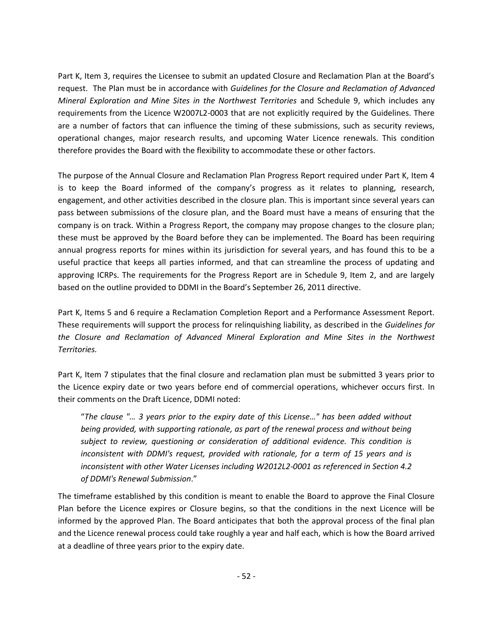Part K, Item 3, requires the Licensee to submit an updated Closure and Reclamation Plan at the Board's request. The Plan must be in accordance with *Guidelines for the Closure and Reclamation of Advanced Mineral Exploration and Mine Sites in the Northwest Territories* and Schedule 9, which includes any requirements from the Licence W2007L2-0003 that are not explicitly required by the Guidelines. There are a number of factors that can influence the timing of these submissions, such as security reviews, operational changes, major research results, and upcoming Water Licence renewals. This condition therefore provides the Board with the flexibility to accommodate these or other factors.

The purpose of the Annual Closure and Reclamation Plan Progress Report required under Part K, Item 4 is to keep the Board informed of the company's progress as it relates to planning, research, engagement, and other activities described in the closure plan. This is important since several years can pass between submissions of the closure plan, and the Board must have a means of ensuring that the company is on track. Within a Progress Report, the company may propose changes to the closure plan; these must be approved by the Board before they can be implemented. The Board has been requiring annual progress reports for mines within its jurisdiction for several years, and has found this to be a useful practice that keeps all parties informed, and that can streamline the process of updating and approving ICRPs. The requirements for the Progress Report are in Schedule 9, Item 2, and are largely based on the outline provided to DDMI in the Board's September 26, 2011 directive.

Part K, Items 5 and 6 require a Reclamation Completion Report and a Performance Assessment Report. These requirements will support the process for relinquishing liability, as described in the *Guidelines for the Closure and Reclamation of Advanced Mineral Exploration and Mine Sites in the Northwest Territories.*

Part K, Item 7 stipulates that the final closure and reclamation plan must be submitted 3 years prior to the Licence expiry date or two years before end of commercial operations, whichever occurs first. In their comments on the Draft Licence, DDMI noted:

"*The clause "… 3 years prior to the expiry date of this License…" has been added without being provided, with supporting rationale, as part of the renewal process and without being subject to review, questioning or consideration of additional evidence. This condition is inconsistent with DDMI's request, provided with rationale, for a term of 15 years and is inconsistent with other Water Licenses including W2012L2-0001 as referenced in Section 4.2 of DDMI's Renewal Submission*."

The timeframe established by this condition is meant to enable the Board to approve the Final Closure Plan before the Licence expires or Closure begins, so that the conditions in the next Licence will be informed by the approved Plan. The Board anticipates that both the approval process of the final plan and the Licence renewal process could take roughly a year and half each, which is how the Board arrived at a deadline of three years prior to the expiry date.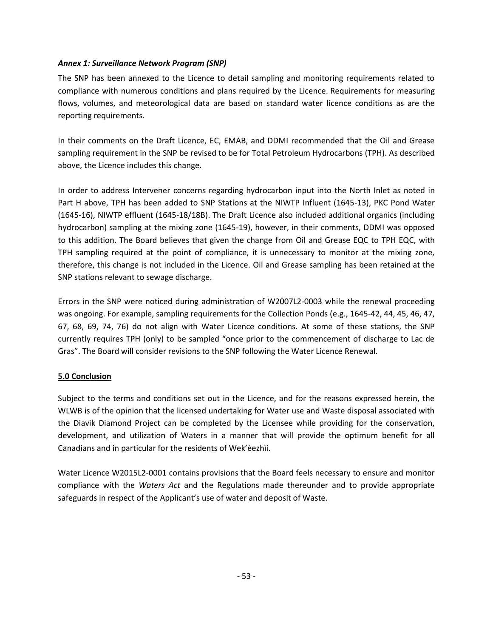### <span id="page-52-0"></span>*Annex 1: Surveillance Network Program (SNP)*

The SNP has been annexed to the Licence to detail sampling and monitoring requirements related to compliance with numerous conditions and plans required by the Licence. Requirements for measuring flows, volumes, and meteorological data are based on standard water licence conditions as are the reporting requirements.

In their comments on the Draft Licence, EC, EMAB, and DDMI recommended that the Oil and Grease sampling requirement in the SNP be revised to be for Total Petroleum Hydrocarbons (TPH). As described above, the Licence includes this change.

In order to address Intervener concerns regarding hydrocarbon input into the North Inlet as noted in Part H above, TPH has been added to SNP Stations at the NIWTP Influent (1645-13), PKC Pond Water (1645-16), NIWTP effluent (1645-18/18B). The Draft Licence also included additional organics (including hydrocarbon) sampling at the mixing zone (1645-19), however, in their comments, DDMI was opposed to this addition. The Board believes that given the change from Oil and Grease EQC to TPH EQC, with TPH sampling required at the point of compliance, it is unnecessary to monitor at the mixing zone, therefore, this change is not included in the Licence. Oil and Grease sampling has been retained at the SNP stations relevant to sewage discharge.

Errors in the SNP were noticed during administration of W2007L2-0003 while the renewal proceeding was ongoing. For example, sampling requirements for the Collection Ponds (e.g., 1645-42, 44, 45, 46, 47, 67, 68, 69, 74, 76) do not align with Water Licence conditions. At some of these stations, the SNP currently requires TPH (only) to be sampled "once prior to the commencement of discharge to Lac de Gras". The Board will consider revisions to the SNP following the Water Licence Renewal.

# <span id="page-52-1"></span>**5.0 Conclusion**

Subject to the terms and conditions set out in the Licence, and for the reasons expressed herein, the WLWB is of the opinion that the licensed undertaking for Water use and Waste disposal associated with the Diavik Diamond Project can be completed by the Licensee while providing for the conservation, development, and utilization of Waters in a manner that will provide the optimum benefit for all Canadians and in particular for the residents of Wek'èezhìi.

Water Licence W2015L2-0001 contains provisions that the Board feels necessary to ensure and monitor compliance with the *Waters Act* and the Regulations made thereunder and to provide appropriate safeguards in respect of the Applicant's use of water and deposit of Waste.